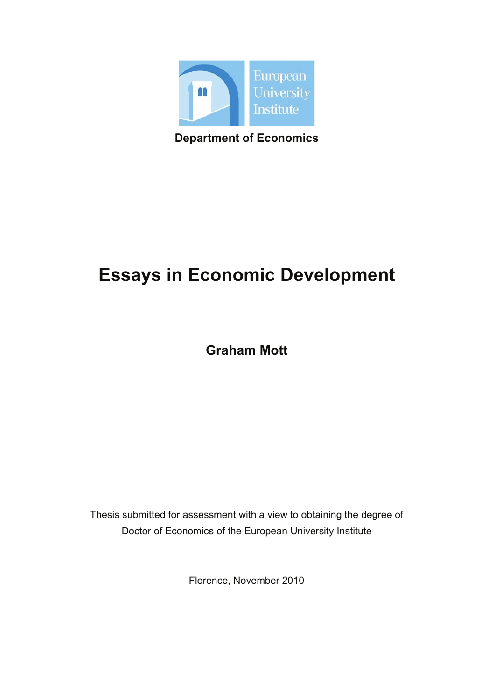

**Department of Economics**

# **Essays in Economic Development**

**Graham Mott** 

Thesis submitted for assessment with a view to obtaining the degree of Doctor of Economics of the European University Institute

Florence, November 2010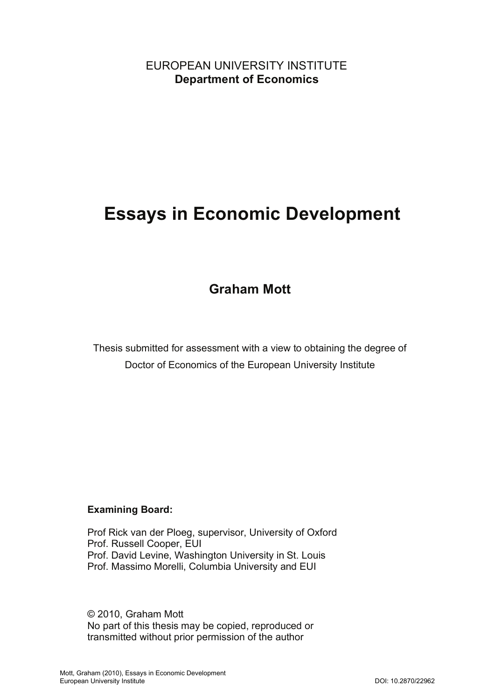## EUROPEAN UNIVERSITY INSTITUTE **Department of Economics**

# **Essays in Economic Development**

# **Graham Mott**

Thesis submitted for assessment with a view to obtaining the degree of Doctor of Economics of the European University Institute

## **Examining Board:**

Prof Rick van der Ploeg, supervisor, University of Oxford Prof. Russell Cooper, EUI Prof. David Levine, Washington University in St. Louis Prof. Massimo Morelli, Columbia University and EUI

© 2010, Graham Mott No part of this thesis may be copied, reproduced or transmitted without prior permission of the author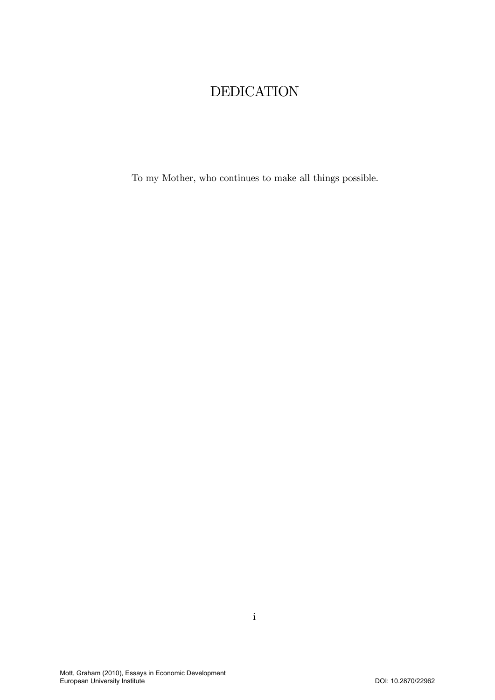# DEDICATION

To my Mother, who continues to make all things possible.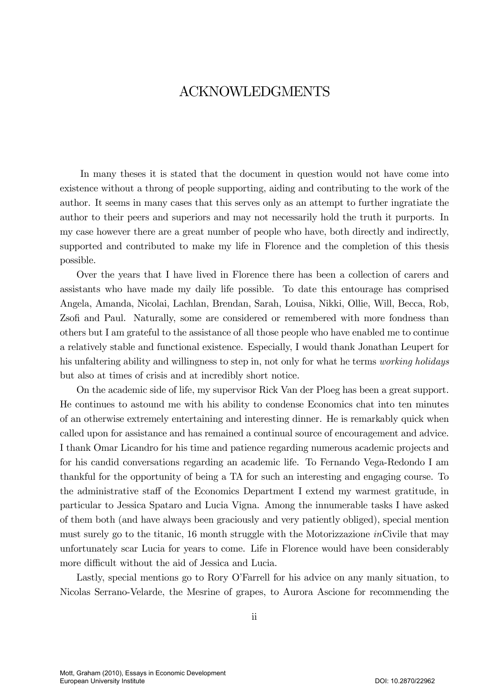## ACKNOWLEDGMENTS

In many theses it is stated that the document in question would not have come into existence without a throng of people supporting, aiding and contributing to the work of the author. It seems in many cases that this serves only as an attempt to further ingratiate the author to their peers and superiors and may not necessarily hold the truth it purports. In my case however there are a great number of people who have, both directly and indirectly, supported and contributed to make my life in Florence and the completion of this thesis possible.

Over the years that I have lived in Florence there has been a collection of carers and assistants who have made my daily life possible. To date this entourage has comprised Angela, Amanda, Nicolai, Lachlan, Brendan, Sarah, Louisa, Nikki, Ollie, Will, Becca, Rob, Zsofi and Paul. Naturally, some are considered or remembered with more fondness than others but I am grateful to the assistance of all those people who have enabled me to continue a relatively stable and functional existence. Especially, I would thank Jonathan Leupert for his unfaltering ability and willingness to step in, not only for what he terms *working holidays* but also at times of crisis and at incredibly short notice.

On the academic side of life, my supervisor Rick Van der Ploeg has been a great support. He continues to astound me with his ability to condense Economics chat into ten minutes of an otherwise extremely entertaining and interesting dinner. He is remarkably quick when called upon for assistance and has remained a continual source of encouragement and advice. I thank Omar Licandro for his time and patience regarding numerous academic projects and for his candid conversations regarding an academic life. To Fernando Vega-Redondo I am thankful for the opportunity of being a TA for such an interesting and engaging course. To the administrative staff of the Economics Department I extend my warmest gratitude, in particular to Jessica Spataro and Lucia Vigna. Among the innumerable tasks I have asked of them both (and have always been graciously and very patiently obliged), special mention must surely go to the titanic, 16 month struggle with the Motorizzazione inCivile that may unfortunately scar Lucia for years to come. Life in Florence would have been considerably more difficult without the aid of Jessica and Lucia.

Lastly, special mentions go to Rory O'Farrell for his advice on any manly situation, to Nicolas Serrano-Velarde, the Mesrine of grapes, to Aurora Ascione for recommending the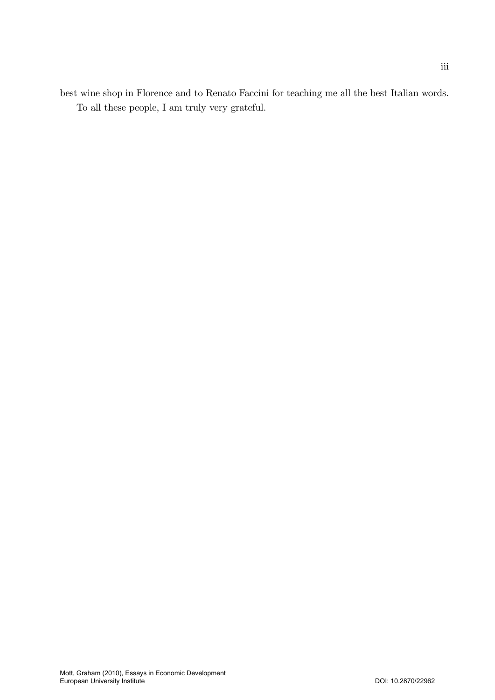best wine shop in Florence and to Renato Faccini for teaching me all the best Italian words. To all these people, I am truly very grateful.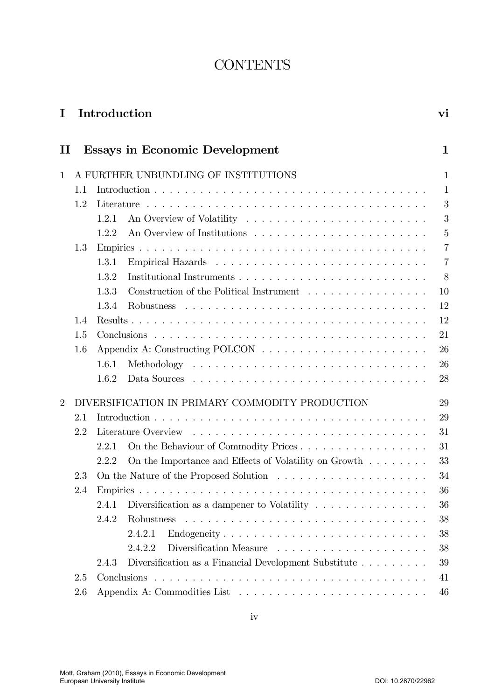# **CONTENTS**

| I              |                                                 |       | Introduction                                                                                                   | $\mathbf{vi}$  |  |  |  |  |
|----------------|-------------------------------------------------|-------|----------------------------------------------------------------------------------------------------------------|----------------|--|--|--|--|
| $\mathbf H$    |                                                 |       | <b>Essays in Economic Development</b>                                                                          | $\mathbf{1}$   |  |  |  |  |
| 1              |                                                 |       | A FURTHER UNBUNDLING OF INSTITUTIONS                                                                           | $\mathbf{1}$   |  |  |  |  |
|                | 1.1                                             |       |                                                                                                                | $\mathbf{1}$   |  |  |  |  |
|                | 1.2                                             |       |                                                                                                                | 3              |  |  |  |  |
|                |                                                 | 1.2.1 |                                                                                                                | 3              |  |  |  |  |
|                |                                                 | 1.2.2 |                                                                                                                | $\overline{5}$ |  |  |  |  |
|                | 1.3                                             |       |                                                                                                                | $\overline{7}$ |  |  |  |  |
|                |                                                 | 1.3.1 |                                                                                                                | $\overline{7}$ |  |  |  |  |
|                |                                                 | 1.3.2 |                                                                                                                | 8              |  |  |  |  |
|                |                                                 | 1.3.3 | Construction of the Political Instrument                                                                       | 10             |  |  |  |  |
|                |                                                 | 1.3.4 |                                                                                                                | 12             |  |  |  |  |
|                | 1.4                                             |       |                                                                                                                | 12             |  |  |  |  |
|                | 1.5                                             | 21    |                                                                                                                |                |  |  |  |  |
|                | 1.6                                             |       |                                                                                                                |                |  |  |  |  |
|                |                                                 | 1.6.1 |                                                                                                                | 26             |  |  |  |  |
|                |                                                 | 1.6.2 |                                                                                                                | 28             |  |  |  |  |
| $\overline{2}$ | DIVERSIFICATION IN PRIMARY COMMODITY PRODUCTION |       |                                                                                                                |                |  |  |  |  |
|                | 2.1                                             |       |                                                                                                                | 29             |  |  |  |  |
|                | 2.2                                             |       |                                                                                                                | 31             |  |  |  |  |
|                |                                                 | 2.2.1 | On the Behaviour of Commodity Prices                                                                           | 31             |  |  |  |  |
|                |                                                 | 2.2.2 | On the Importance and Effects of Volatility on Growth $\dots \dots$                                            | 33             |  |  |  |  |
|                | 2.3                                             |       | On the Nature of the Proposed Solution<br>$\hfill\ldots\ldots\ldots\ldots\ldots\ldots\ldots\ldots\ldots\ldots$ | 34             |  |  |  |  |
|                | 2.4                                             |       |                                                                                                                | 36             |  |  |  |  |
|                |                                                 | 2.4.1 | Diversification as a dampener to Volatility $\dots \dots \dots \dots \dots$                                    | 36             |  |  |  |  |
|                |                                                 | 2.4.2 | Robustness                                                                                                     | 38             |  |  |  |  |
|                |                                                 |       | 2.4.2.1<br>Endogeneity                                                                                         | 38             |  |  |  |  |
|                |                                                 |       | 2.4.2.2                                                                                                        | 38             |  |  |  |  |
|                |                                                 | 2.4.3 | Diversification as a Financial Development Substitute                                                          | 39             |  |  |  |  |
|                | 2.5                                             |       |                                                                                                                | 41             |  |  |  |  |
|                | 2.6                                             |       |                                                                                                                | 46             |  |  |  |  |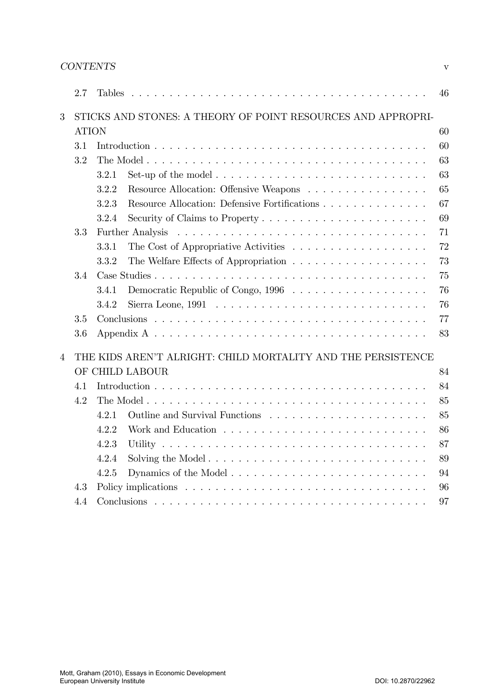## CONTENTS v

|   | 2.7          | <b>Tables</b>                                                | 46 |
|---|--------------|--------------------------------------------------------------|----|
| 3 |              | STICKS AND STONES: A THEORY OF POINT RESOURCES AND APPROPRI- |    |
|   | <b>ATION</b> |                                                              | 60 |
|   | 3.1          |                                                              | 60 |
|   | 3.2          |                                                              | 63 |
|   |              | 3.2.1                                                        | 63 |
|   |              | Resource Allocation: Offensive Weapons<br>3.2.2              | 65 |
|   |              | 3.2.3<br>Resource Allocation: Defensive Fortifications       | 67 |
|   |              | Security of Claims to Property<br>3.2.4                      | 69 |
|   | 3.3          | Further Analysis                                             | 71 |
|   |              | 3.3.1                                                        | 72 |
|   |              | 3.3.2                                                        | 73 |
|   | 3.4          |                                                              | 75 |
|   |              | 3.4.1                                                        | 76 |
|   |              | 3.4.2                                                        | 76 |
|   | 3.5          |                                                              | 77 |
|   | 3.6          |                                                              | 83 |
| 4 |              | THE KIDS AREN'T ALRIGHT: CHILD MORTALITY AND THE PERSISTENCE |    |
|   |              | OF CHILD LABOUR                                              | 84 |
|   | 4.1          |                                                              | 84 |
|   | 4.2          |                                                              | 85 |
|   |              | 4.2.1                                                        | 85 |
|   |              | 4.2.2                                                        | 86 |
|   |              | 4.2.3                                                        | 87 |
|   |              | 4.2.4                                                        | 89 |
|   |              | 4.2.5                                                        | 94 |
|   | 4.3          |                                                              | 96 |
|   | 4.4          |                                                              | 97 |
|   |              |                                                              |    |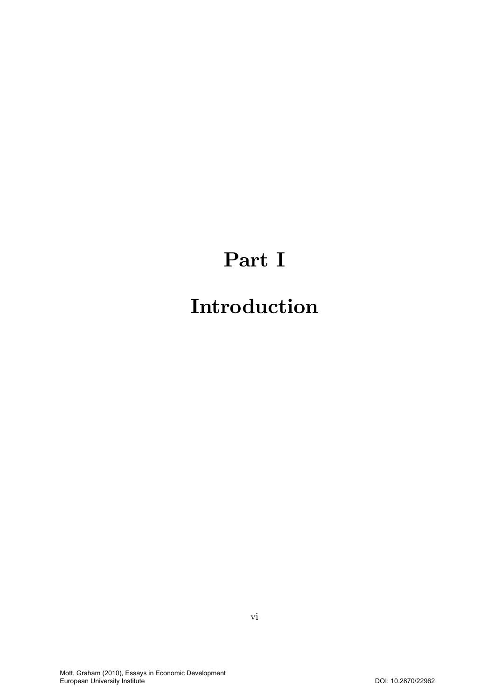# Part I

# Introduction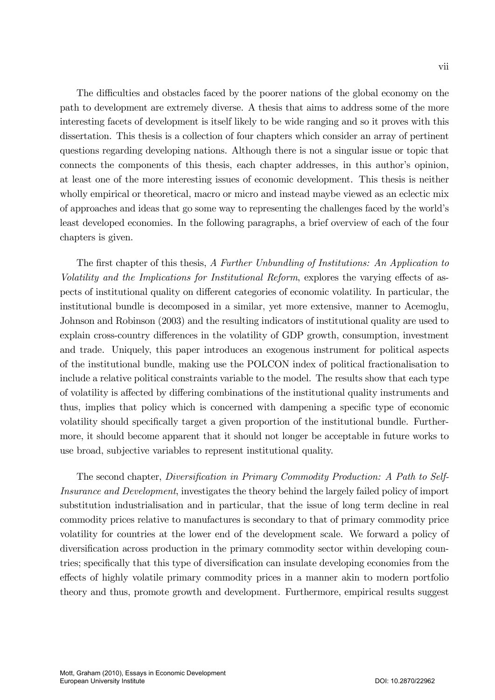The difficulties and obstacles faced by the poorer nations of the global economy on the path to development are extremely diverse. A thesis that aims to address some of the more interesting facets of development is itself likely to be wide ranging and so it proves with this dissertation. This thesis is a collection of four chapters which consider an array of pertinent questions regarding developing nations. Although there is not a singular issue or topic that connects the components of this thesis, each chapter addresses, in this author's opinion, at least one of the more interesting issues of economic development. This thesis is neither wholly empirical or theoretical, macro or micro and instead maybe viewed as an eclectic mix of approaches and ideas that go some way to representing the challenges faced by the worldís least developed economies. In the following paragraphs, a brief overview of each of the four chapters is given.

The first chapter of this thesis, A Further Unbundling of Institutions: An Application to Volatility and the Implications for Institutional Reform, explores the varying effects of aspects of institutional quality on different categories of economic volatility. In particular, the institutional bundle is decomposed in a similar, yet more extensive, manner to Acemoglu, Johnson and Robinson (2003) and the resulting indicators of institutional quality are used to explain cross-country differences in the volatility of GDP growth, consumption, investment and trade. Uniquely, this paper introduces an exogenous instrument for political aspects of the institutional bundle, making use the POLCON index of political fractionalisation to include a relative political constraints variable to the model. The results show that each type of volatility is affected by differing combinations of the institutional quality instruments and thus, implies that policy which is concerned with dampening a specific type of economic volatility should specifically target a given proportion of the institutional bundle. Furthermore, it should become apparent that it should not longer be acceptable in future works to use broad, subjective variables to represent institutional quality.

The second chapter, Diversification in Primary Commodity Production: A Path to Self-Insurance and Development, investigates the theory behind the largely failed policy of import substitution industrialisation and in particular, that the issue of long term decline in real commodity prices relative to manufactures is secondary to that of primary commodity price volatility for countries at the lower end of the development scale. We forward a policy of diversification across production in the primary commodity sector within developing countries; specifically that this type of diversification can insulate developing economies from the effects of highly volatile primary commodity prices in a manner akin to modern portfolio theory and thus, promote growth and development. Furthermore, empirical results suggest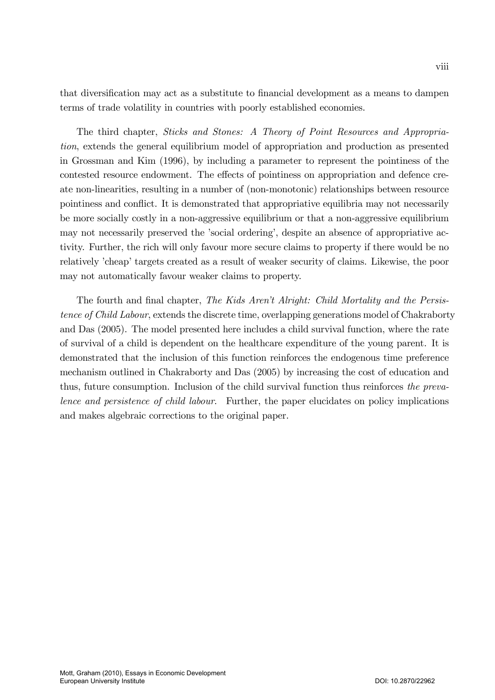that diversification may act as a substitute to financial development as a means to dampen terms of trade volatility in countries with poorly established economies.

The third chapter, Sticks and Stones: A Theory of Point Resources and Appropriation, extends the general equilibrium model of appropriation and production as presented in Grossman and Kim (1996), by including a parameter to represent the pointiness of the contested resource endowment. The effects of pointiness on appropriation and defence create non-linearities, resulting in a number of (non-monotonic) relationships between resource pointiness and conflict. It is demonstrated that appropriative equilibria may not necessarily be more socially costly in a non-aggressive equilibrium or that a non-aggressive equilibrium may not necessarily preserved the 'social ordering', despite an absence of appropriative activity. Further, the rich will only favour more secure claims to property if there would be no relatively 'cheap' targets created as a result of weaker security of claims. Likewise, the poor may not automatically favour weaker claims to property.

The fourth and final chapter, The Kids Aren't Alright: Child Mortality and the Persistence of Child Labour, extends the discrete time, overlapping generations model of Chakraborty and Das (2005). The model presented here includes a child survival function, where the rate of survival of a child is dependent on the healthcare expenditure of the young parent. It is demonstrated that the inclusion of this function reinforces the endogenous time preference mechanism outlined in Chakraborty and Das (2005) by increasing the cost of education and thus, future consumption. Inclusion of the child survival function thus reinforces the prevalence and persistence of child labour. Further, the paper elucidates on policy implications and makes algebraic corrections to the original paper.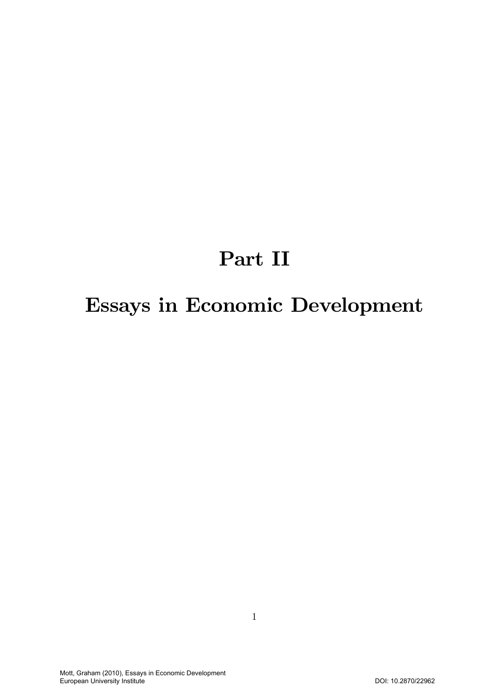# Part II

# Essays in Economic Development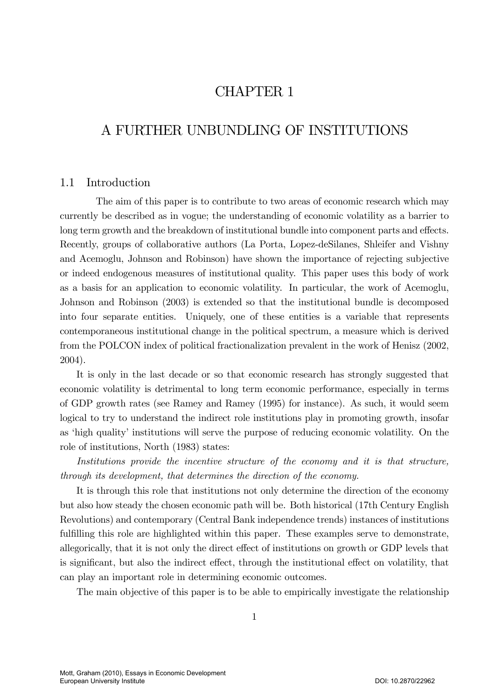# CHAPTER 1

## A FURTHER UNBUNDLING OF INSTITUTIONS

## 1.1 Introduction

The aim of this paper is to contribute to two areas of economic research which may currently be described as in vogue; the understanding of economic volatility as a barrier to long term growth and the breakdown of institutional bundle into component parts and effects. Recently, groups of collaborative authors (La Porta, Lopez-deSilanes, Shleifer and Vishny and Acemoglu, Johnson and Robinson) have shown the importance of rejecting subjective or indeed endogenous measures of institutional quality. This paper uses this body of work as a basis for an application to economic volatility. In particular, the work of Acemoglu, Johnson and Robinson (2003) is extended so that the institutional bundle is decomposed into four separate entities. Uniquely, one of these entities is a variable that represents contemporaneous institutional change in the political spectrum, a measure which is derived from the POLCON index of political fractionalization prevalent in the work of Henisz (2002, 2004).

It is only in the last decade or so that economic research has strongly suggested that economic volatility is detrimental to long term economic performance, especially in terms of GDP growth rates (see Ramey and Ramey (1995) for instance). As such, it would seem logical to try to understand the indirect role institutions play in promoting growth, insofar as 'high quality' institutions will serve the purpose of reducing economic volatility. On the role of institutions, North (1983) states:

Institutions provide the incentive structure of the economy and it is that structure, through its development, that determines the direction of the economy.

It is through this role that institutions not only determine the direction of the economy but also how steady the chosen economic path will be. Both historical (17th Century English Revolutions) and contemporary (Central Bank independence trends) instances of institutions fulfilling this role are highlighted within this paper. These examples serve to demonstrate, allegorically, that it is not only the direct effect of institutions on growth or GDP levels that is significant, but also the indirect effect, through the institutional effect on volatility, that can play an important role in determining economic outcomes.

The main objective of this paper is to be able to empirically investigate the relationship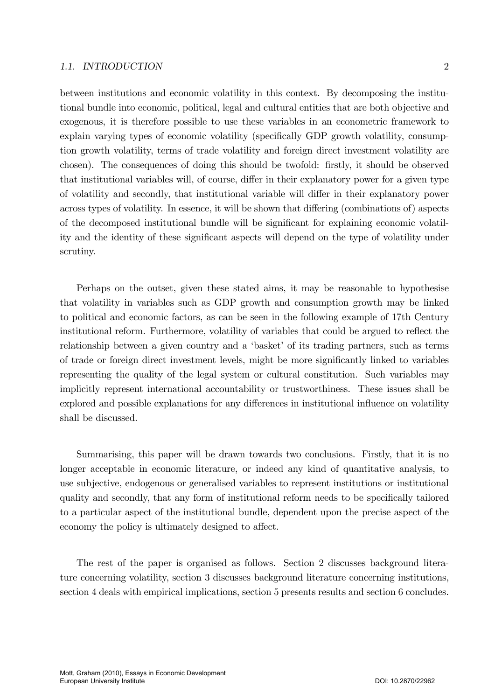#### 1.1. INTRODUCTION 2

between institutions and economic volatility in this context. By decomposing the institutional bundle into economic, political, legal and cultural entities that are both objective and exogenous, it is therefore possible to use these variables in an econometric framework to explain varying types of economic volatility (specifically GDP growth volatility, consumption growth volatility, terms of trade volatility and foreign direct investment volatility are chosen). The consequences of doing this should be twofold: firstly, it should be observed that institutional variables will, of course, differ in their explanatory power for a given type of volatility and secondly, that institutional variable will differ in their explanatory power across types of volatility. In essence, it will be shown that differing (combinations of) aspects of the decomposed institutional bundle will be significant for explaining economic volatility and the identity of these significant aspects will depend on the type of volatility under scrutiny.

Perhaps on the outset, given these stated aims, it may be reasonable to hypothesise that volatility in variables such as GDP growth and consumption growth may be linked to political and economic factors, as can be seen in the following example of 17th Century institutional reform. Furthermore, volatility of variables that could be argued to reflect the relationship between a given country and a 'basket' of its trading partners, such as terms of trade or foreign direct investment levels, might be more significantly linked to variables representing the quality of the legal system or cultural constitution. Such variables may implicitly represent international accountability or trustworthiness. These issues shall be explored and possible explanations for any differences in institutional influence on volatility shall be discussed.

Summarising, this paper will be drawn towards two conclusions. Firstly, that it is no longer acceptable in economic literature, or indeed any kind of quantitative analysis, to use subjective, endogenous or generalised variables to represent institutions or institutional quality and secondly, that any form of institutional reform needs to be specifically tailored to a particular aspect of the institutional bundle, dependent upon the precise aspect of the economy the policy is ultimately designed to affect.

The rest of the paper is organised as follows. Section 2 discusses background literature concerning volatility, section 3 discusses background literature concerning institutions, section 4 deals with empirical implications, section 5 presents results and section 6 concludes.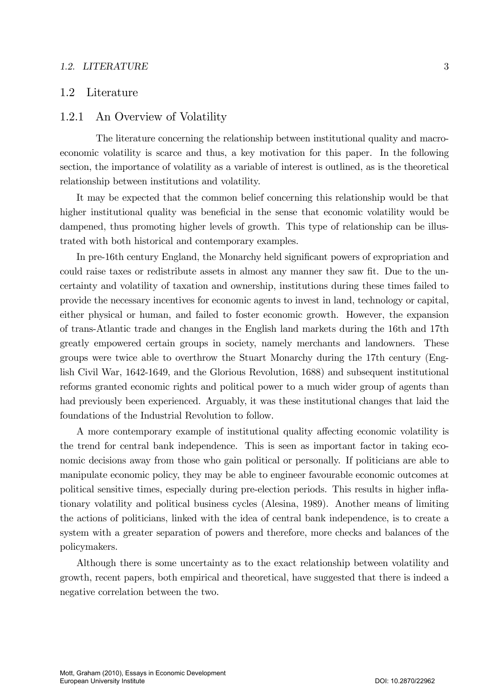### 1.2 Literature

#### 1.2.1 An Overview of Volatility

The literature concerning the relationship between institutional quality and macroeconomic volatility is scarce and thus, a key motivation for this paper. In the following section, the importance of volatility as a variable of interest is outlined, as is the theoretical relationship between institutions and volatility.

It may be expected that the common belief concerning this relationship would be that higher institutional quality was beneficial in the sense that economic volatility would be dampened, thus promoting higher levels of growth. This type of relationship can be illustrated with both historical and contemporary examples.

In pre-16th century England, the Monarchy held significant powers of expropriation and could raise taxes or redistribute assets in almost any manner they saw fit. Due to the uncertainty and volatility of taxation and ownership, institutions during these times failed to provide the necessary incentives for economic agents to invest in land, technology or capital, either physical or human, and failed to foster economic growth. However, the expansion of trans-Atlantic trade and changes in the English land markets during the 16th and 17th greatly empowered certain groups in society, namely merchants and landowners. These groups were twice able to overthrow the Stuart Monarchy during the 17th century (English Civil War, 1642-1649, and the Glorious Revolution, 1688) and subsequent institutional reforms granted economic rights and political power to a much wider group of agents than had previously been experienced. Arguably, it was these institutional changes that laid the foundations of the Industrial Revolution to follow.

A more contemporary example of institutional quality affecting economic volatility is the trend for central bank independence. This is seen as important factor in taking economic decisions away from those who gain political or personally. If politicians are able to manipulate economic policy, they may be able to engineer favourable economic outcomes at political sensitive times, especially during pre-election periods. This results in higher inflationary volatility and political business cycles (Alesina, 1989). Another means of limiting the actions of politicians, linked with the idea of central bank independence, is to create a system with a greater separation of powers and therefore, more checks and balances of the policymakers.

Although there is some uncertainty as to the exact relationship between volatility and growth, recent papers, both empirical and theoretical, have suggested that there is indeed a negative correlation between the two.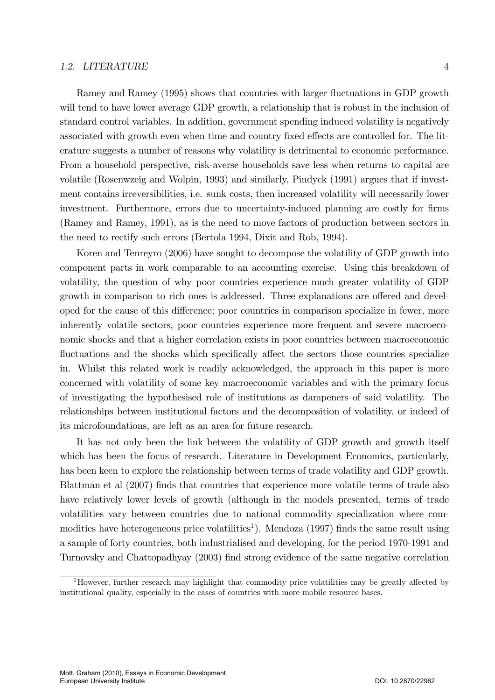Ramey and Ramey (1995) shows that countries with larger fluctuations in GDP growth will tend to have lower average GDP growth, a relationship that is robust in the inclusion of standard control variables. In addition, government spending induced volatility is negatively associated with growth even when time and country fixed effects are controlled for. The literature suggests a number of reasons why volatility is detrimental to economic performance. From a household perspective, risk-averse households save less when returns to capital are volatile (Rosenwzeig and Wolpin, 1993) and similarly, Pindyck (1991) argues that if investment contains irreversibilities, i.e. sunk costs, then increased volatility will necessarily lower investment. Furthermore, errors due to uncertainty-induced planning are costly for firms (Ramey and Ramey, 1991), as is the need to move factors of production between sectors in the need to rectify such errors (Bertola 1994, Dixit and Rob, 1994).

Koren and Tenreyro (2006) have sought to decompose the volatility of GDP growth into component parts in work comparable to an accounting exercise. Using this breakdown of volatility, the question of why poor countries experience much greater volatility of GDP growth in comparison to rich ones is addressed. Three explanations are offered and developed for the cause of this difference; poor countries in comparison specialize in fewer, more inherently volatile sectors, poor countries experience more frequent and severe macroeconomic shocks and that a higher correlation exists in poor countries between macroeconomic fluctuations and the shocks which specifically affect the sectors those countries specialize in. Whilst this related work is readily acknowledged, the approach in this paper is more concerned with volatility of some key macroeconomic variables and with the primary focus of investigating the hypothesised role of institutions as dampeners of said volatility. The relationships between institutional factors and the decomposition of volatility, or indeed of its microfoundations, are left as an area for future research.

It has not only been the link between the volatility of GDP growth and growth itself which has been the focus of research. Literature in Development Economics, particularly, has been keen to explore the relationship between terms of trade volatility and GDP growth. Blattman et al (2007) finds that countries that experience more volatile terms of trade also have relatively lower levels of growth (although in the models presented, terms of trade volatilities vary between countries due to national commodity specialization where commodities have heterogeneous price volatilities<sup>1</sup>). Mendoza (1997) finds the same result using a sample of forty countries, both industrialised and developing, for the period 1970-1991 and Turnovsky and Chattopadhyay (2003) find strong evidence of the same negative correlation

<sup>&</sup>lt;sup>1</sup>However, further research may highlight that commodity price volatilities may be greatly affected by institutional quality, especially in the cases of countries with more mobile resource bases.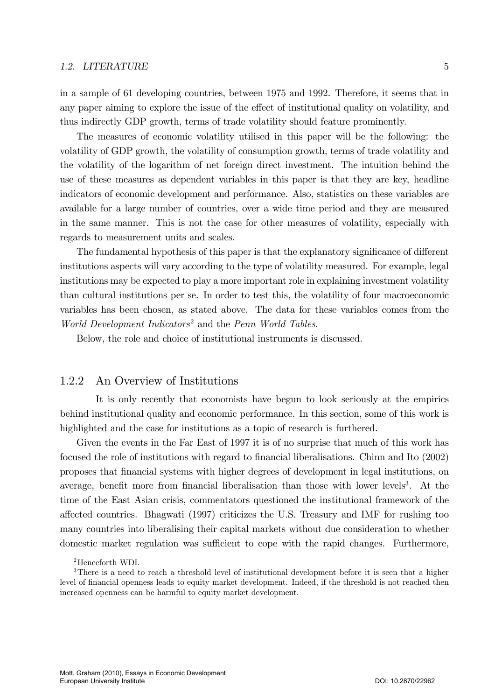in a sample of 61 developing countries, between 1975 and 1992. Therefore, it seems that in any paper aiming to explore the issue of the effect of institutional quality on volatility, and thus indirectly GDP growth, terms of trade volatility should feature prominently.

The measures of economic volatility utilised in this paper will be the following: the volatility of GDP growth, the volatility of consumption growth, terms of trade volatility and the volatility of the logarithm of net foreign direct investment. The intuition behind the use of these measures as dependent variables in this paper is that they are key, headline indicators of economic development and performance. Also, statistics on these variables are available for a large number of countries, over a wide time period and they are measured in the same manner. This is not the case for other measures of volatility, especially with regards to measurement units and scales.

The fundamental hypothesis of this paper is that the explanatory significance of different institutions aspects will vary according to the type of volatility measured. For example, legal institutions may be expected to play a more important role in explaining investment volatility than cultural institutions per se. In order to test this, the volatility of four macroeconomic variables has been chosen, as stated above. The data for these variables comes from the World Development Indicators<sup>2</sup> and the Penn World Tables.

Below, the role and choice of institutional instruments is discussed.

## 1.2.2 An Overview of Institutions

It is only recently that economists have begun to look seriously at the empirics behind institutional quality and economic performance. In this section, some of this work is highlighted and the case for institutions as a topic of research is furthered.

Given the events in the Far East of 1997 it is of no surprise that much of this work has focused the role of institutions with regard to Önancial liberalisations. Chinn and Ito (2002) proposes that Önancial systems with higher degrees of development in legal institutions, on average, benefit more from financial liberalisation than those with lower levels<sup>3</sup>. At the time of the East Asian crisis, commentators questioned the institutional framework of the a§ected countries. Bhagwati (1997) criticizes the U.S. Treasury and IMF for rushing too many countries into liberalising their capital markets without due consideration to whether domestic market regulation was sufficient to cope with the rapid changes. Furthermore,

<sup>2</sup>Henceforth WDI.

<sup>&</sup>lt;sup>3</sup>There is a need to reach a threshold level of institutional development before it is seen that a higher level of financial openness leads to equity market development. Indeed, if the threshold is not reached then increased openness can be harmful to equity market development.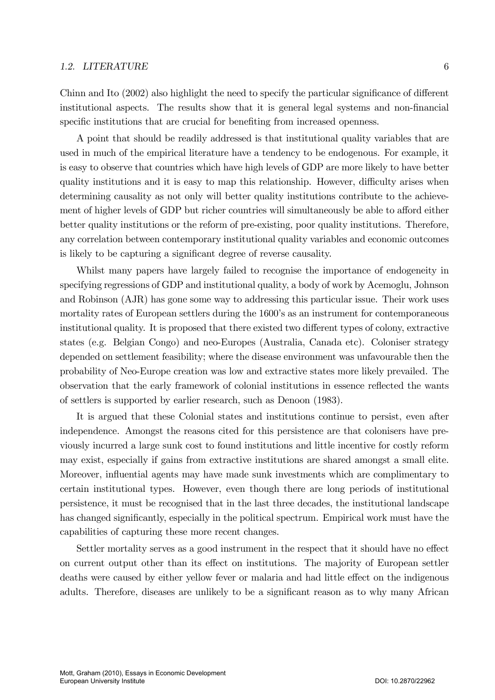Chinn and Ito  $(2002)$  also highlight the need to specify the particular significance of different institutional aspects. The results show that it is general legal systems and non-financial specific institutions that are crucial for benefiting from increased openness.

A point that should be readily addressed is that institutional quality variables that are used in much of the empirical literature have a tendency to be endogenous. For example, it is easy to observe that countries which have high levels of GDP are more likely to have better quality institutions and it is easy to map this relationship. However, difficulty arises when determining causality as not only will better quality institutions contribute to the achievement of higher levels of GDP but richer countries will simultaneously be able to afford either better quality institutions or the reform of pre-existing, poor quality institutions. Therefore, any correlation between contemporary institutional quality variables and economic outcomes is likely to be capturing a significant degree of reverse causality.

Whilst many papers have largely failed to recognise the importance of endogeneity in specifying regressions of GDP and institutional quality, a body of work by Acemoglu, Johnson and Robinson (AJR) has gone some way to addressing this particular issue. Their work uses mortality rates of European settlers during the 1600's as an instrument for contemporaneous institutional quality. It is proposed that there existed two different types of colony, extractive states (e.g. Belgian Congo) and neo-Europes (Australia, Canada etc). Coloniser strategy depended on settlement feasibility; where the disease environment was unfavourable then the probability of Neo-Europe creation was low and extractive states more likely prevailed. The observation that the early framework of colonial institutions in essence reflected the wants of settlers is supported by earlier research, such as Denoon (1983).

It is argued that these Colonial states and institutions continue to persist, even after independence. Amongst the reasons cited for this persistence are that colonisers have previously incurred a large sunk cost to found institutions and little incentive for costly reform may exist, especially if gains from extractive institutions are shared amongst a small elite. Moreover, influential agents may have made sunk investments which are complimentary to certain institutional types. However, even though there are long periods of institutional persistence, it must be recognised that in the last three decades, the institutional landscape has changed significantly, especially in the political spectrum. Empirical work must have the capabilities of capturing these more recent changes.

Settler mortality serves as a good instrument in the respect that it should have no effect on current output other than its effect on institutions. The majority of European settler deaths were caused by either yellow fever or malaria and had little effect on the indigenous adults. Therefore, diseases are unlikely to be a significant reason as to why many African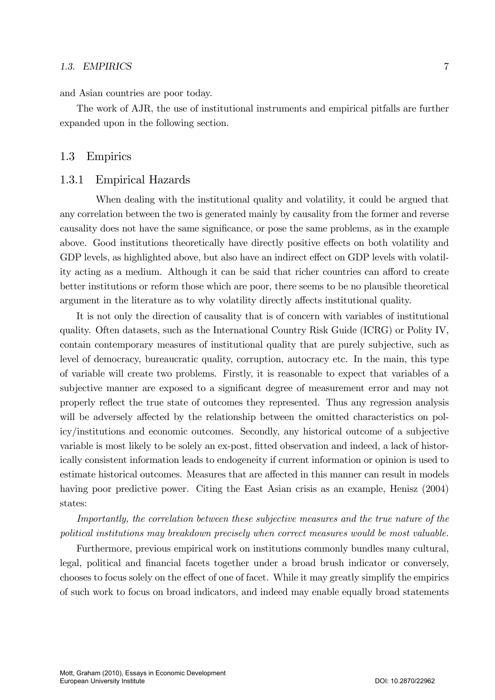and Asian countries are poor today.

The work of AJR, the use of institutional instruments and empirical pitfalls are further expanded upon in the following section.

### 1.3 Empirics

### 1.3.1 Empirical Hazards

When dealing with the institutional quality and volatility, it could be argued that any correlation between the two is generated mainly by causality from the former and reverse causality does not have the same significance, or pose the same problems, as in the example above. Good institutions theoretically have directly positive effects on both volatility and GDP levels, as highlighted above, but also have an indirect effect on GDP levels with volatility acting as a medium. Although it can be said that richer countries can afford to create better institutions or reform those which are poor, there seems to be no plausible theoretical argument in the literature as to why volatility directly affects institutional quality.

It is not only the direction of causality that is of concern with variables of institutional quality. Often datasets, such as the International Country Risk Guide (ICRG) or Polity IV, contain contemporary measures of institutional quality that are purely subjective, such as level of democracy, bureaucratic quality, corruption, autocracy etc. In the main, this type of variable will create two problems. Firstly, it is reasonable to expect that variables of a subjective manner are exposed to a significant degree of measurement error and may not properly reáect the true state of outcomes they represented. Thus any regression analysis will be adversely affected by the relationship between the omitted characteristics on policy/institutions and economic outcomes. Secondly, any historical outcome of a subjective variable is most likely to be solely an ex-post, fitted observation and indeed, a lack of historically consistent information leads to endogeneity if current information or opinion is used to estimate historical outcomes. Measures that are affected in this manner can result in models having poor predictive power. Citing the East Asian crisis as an example, Henisz (2004) states:

Importantly, the correlation between these subjective measures and the true nature of the political institutions may breakdown precisely when correct measures would be most valuable.

Furthermore, previous empirical work on institutions commonly bundles many cultural, legal, political and financial facets together under a broad brush indicator or conversely, chooses to focus solely on the effect of one of facet. While it may greatly simplify the empirics of such work to focus on broad indicators, and indeed may enable equally broad statements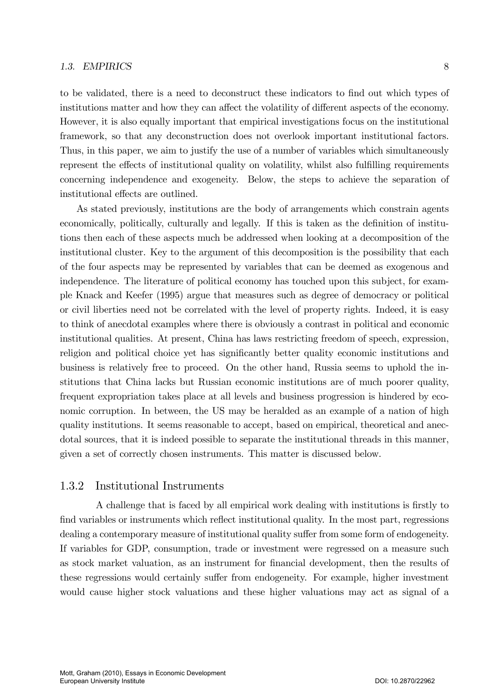to be validated, there is a need to deconstruct these indicators to find out which types of institutions matter and how they can affect the volatility of different aspects of the economy. However, it is also equally important that empirical investigations focus on the institutional framework, so that any deconstruction does not overlook important institutional factors. Thus, in this paper, we aim to justify the use of a number of variables which simultaneously represent the effects of institutional quality on volatility, whilst also fulfilling requirements concerning independence and exogeneity. Below, the steps to achieve the separation of institutional effects are outlined.

As stated previously, institutions are the body of arrangements which constrain agents economically, politically, culturally and legally. If this is taken as the definition of institutions then each of these aspects much be addressed when looking at a decomposition of the institutional cluster. Key to the argument of this decomposition is the possibility that each of the four aspects may be represented by variables that can be deemed as exogenous and independence. The literature of political economy has touched upon this subject, for example Knack and Keefer (1995) argue that measures such as degree of democracy or political or civil liberties need not be correlated with the level of property rights. Indeed, it is easy to think of anecdotal examples where there is obviously a contrast in political and economic institutional qualities. At present, China has laws restricting freedom of speech, expression, religion and political choice yet has significantly better quality economic institutions and business is relatively free to proceed. On the other hand, Russia seems to uphold the institutions that China lacks but Russian economic institutions are of much poorer quality, frequent expropriation takes place at all levels and business progression is hindered by economic corruption. In between, the US may be heralded as an example of a nation of high quality institutions. It seems reasonable to accept, based on empirical, theoretical and anecdotal sources, that it is indeed possible to separate the institutional threads in this manner, given a set of correctly chosen instruments. This matter is discussed below.

### 1.3.2 Institutional Instruments

A challenge that is faced by all empirical work dealing with institutions is firstly to find variables or instruments which reflect institutional quality. In the most part, regressions dealing a contemporary measure of institutional quality suffer from some form of endogeneity. If variables for GDP, consumption, trade or investment were regressed on a measure such as stock market valuation, as an instrument for financial development, then the results of these regressions would certainly suffer from endogeneity. For example, higher investment would cause higher stock valuations and these higher valuations may act as signal of a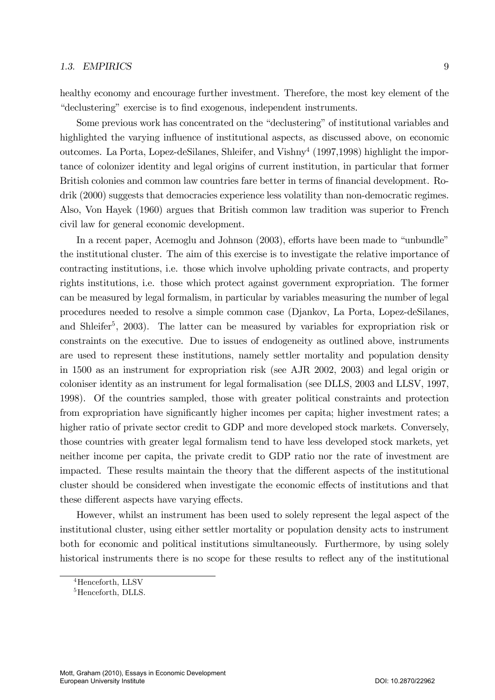healthy economy and encourage further investment. Therefore, the most key element of the "declustering" exercise is to find exogenous, independent instruments.

Some previous work has concentrated on the "declustering" of institutional variables and highlighted the varying influence of institutional aspects, as discussed above, on economic outcomes. La Porta, Lopez-deSilanes, Shleifer, and Vishny<sup>4</sup> (1997,1998) highlight the importance of colonizer identity and legal origins of current institution, in particular that former British colonies and common law countries fare better in terms of financial development. Rodrik (2000) suggests that democracies experience less volatility than non-democratic regimes. Also, Von Hayek (1960) argues that British common law tradition was superior to French civil law for general economic development.

In a recent paper, Acemoglu and Johnson (2003), efforts have been made to "unbundle" the institutional cluster. The aim of this exercise is to investigate the relative importance of contracting institutions, i.e. those which involve upholding private contracts, and property rights institutions, i.e. those which protect against government expropriation. The former can be measured by legal formalism, in particular by variables measuring the number of legal procedures needed to resolve a simple common case (Djankov, La Porta, Lopez-deSilanes, and Shleifer<sup>5</sup>, 2003). The latter can be measured by variables for expropriation risk or constraints on the executive. Due to issues of endogeneity as outlined above, instruments are used to represent these institutions, namely settler mortality and population density in 1500 as an instrument for expropriation risk (see AJR 2002, 2003) and legal origin or coloniser identity as an instrument for legal formalisation (see DLLS, 2003 and LLSV, 1997, 1998). Of the countries sampled, those with greater political constraints and protection from expropriation have significantly higher incomes per capita; higher investment rates; a higher ratio of private sector credit to GDP and more developed stock markets. Conversely, those countries with greater legal formalism tend to have less developed stock markets, yet neither income per capita, the private credit to GDP ratio nor the rate of investment are impacted. These results maintain the theory that the different aspects of the institutional cluster should be considered when investigate the economic effects of institutions and that these different aspects have varying effects.

However, whilst an instrument has been used to solely represent the legal aspect of the institutional cluster, using either settler mortality or population density acts to instrument both for economic and political institutions simultaneously. Furthermore, by using solely historical instruments there is no scope for these results to reflect any of the institutional

<sup>&</sup>lt;sup>4</sup>Henceforth, LLSV

<sup>5</sup>Henceforth, DLLS.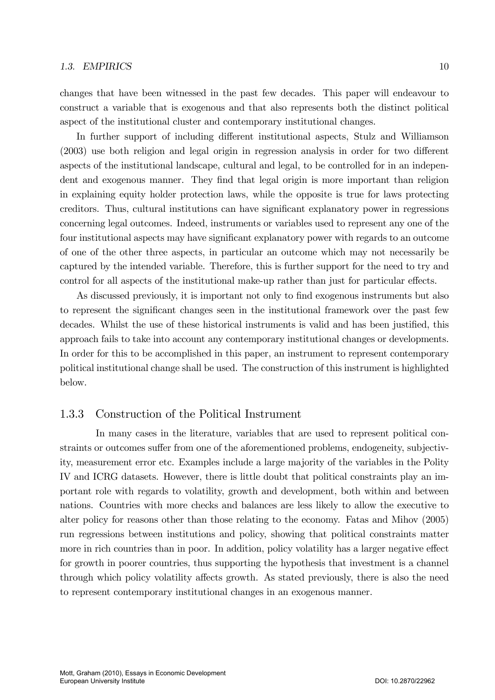changes that have been witnessed in the past few decades. This paper will endeavour to construct a variable that is exogenous and that also represents both the distinct political aspect of the institutional cluster and contemporary institutional changes.

In further support of including different institutional aspects, Stulz and Williamson  $(2003)$  use both religion and legal origin in regression analysis in order for two different aspects of the institutional landscape, cultural and legal, to be controlled for in an independent and exogenous manner. They find that legal origin is more important than religion in explaining equity holder protection laws, while the opposite is true for laws protecting creditors. Thus, cultural institutions can have significant explanatory power in regressions concerning legal outcomes. Indeed, instruments or variables used to represent any one of the four institutional aspects may have significant explanatory power with regards to an outcome of one of the other three aspects, in particular an outcome which may not necessarily be captured by the intended variable. Therefore, this is further support for the need to try and control for all aspects of the institutional make-up rather than just for particular effects.

As discussed previously, it is important not only to find exogenous instruments but also to represent the significant changes seen in the institutional framework over the past few decades. Whilst the use of these historical instruments is valid and has been justified, this approach fails to take into account any contemporary institutional changes or developments. In order for this to be accomplished in this paper, an instrument to represent contemporary political institutional change shall be used. The construction of this instrument is highlighted below.

## 1.3.3 Construction of the Political Instrument

In many cases in the literature, variables that are used to represent political constraints or outcomes suffer from one of the aforementioned problems, endogeneity, subjectivity, measurement error etc. Examples include a large majority of the variables in the Polity IV and ICRG datasets. However, there is little doubt that political constraints play an important role with regards to volatility, growth and development, both within and between nations. Countries with more checks and balances are less likely to allow the executive to alter policy for reasons other than those relating to the economy. Fatas and Mihov (2005) run regressions between institutions and policy, showing that political constraints matter more in rich countries than in poor. In addition, policy volatility has a larger negative effect for growth in poorer countries, thus supporting the hypothesis that investment is a channel through which policy volatility affects growth. As stated previously, there is also the need to represent contemporary institutional changes in an exogenous manner.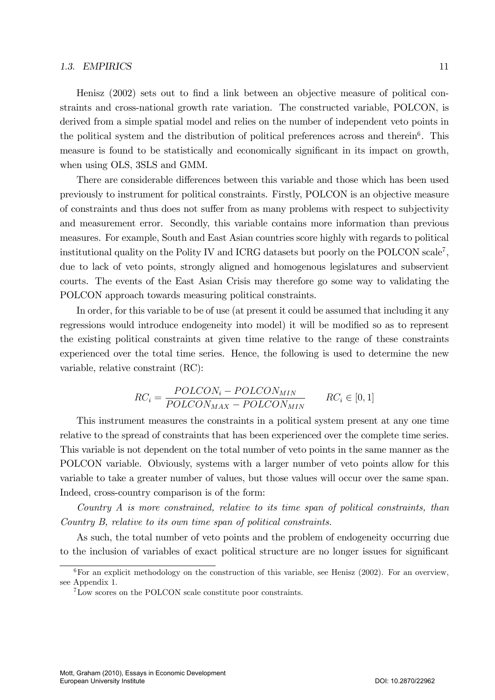Henisz (2002) sets out to find a link between an objective measure of political constraints and cross-national growth rate variation. The constructed variable, POLCON, is derived from a simple spatial model and relies on the number of independent veto points in the political system and the distribution of political preferences across and therein<sup>6</sup>. This measure is found to be statistically and economically significant in its impact on growth, when using OLS, 3SLS and GMM.

There are considerable differences between this variable and those which has been used previously to instrument for political constraints. Firstly, POLCON is an objective measure of constraints and thus does not suffer from as many problems with respect to subjectivity and measurement error. Secondly, this variable contains more information than previous measures. For example, South and East Asian countries score highly with regards to political institutional quality on the Polity IV and ICRG datasets but poorly on the POLCON scale<sup>7</sup> , due to lack of veto points, strongly aligned and homogenous legislatures and subservient courts. The events of the East Asian Crisis may therefore go some way to validating the POLCON approach towards measuring political constraints.

In order, for this variable to be of use (at present it could be assumed that including it any regressions would introduce endogeneity into model) it will be modified so as to represent the existing political constraints at given time relative to the range of these constraints experienced over the total time series. Hence, the following is used to determine the new variable, relative constraint (RC):

$$
RC_i = \frac{POLCON_i - POLCON_{MIN}}{POLCON_{MAX} - POLCON_{MIN}} \qquad RC_i \in [0, 1]
$$

This instrument measures the constraints in a political system present at any one time relative to the spread of constraints that has been experienced over the complete time series. This variable is not dependent on the total number of veto points in the same manner as the POLCON variable. Obviously, systems with a larger number of veto points allow for this variable to take a greater number of values, but those values will occur over the same span. Indeed, cross-country comparison is of the form:

Country A is more constrained, relative to its time span of political constraints, than Country B, relative to its own time span of political constraints.

As such, the total number of veto points and the problem of endogeneity occurring due to the inclusion of variables of exact political structure are no longer issues for significant

 ${}^{6}$  For an explicit methodology on the construction of this variable, see Henisz (2002). For an overview, see Appendix 1.

<sup>7</sup>Low scores on the POLCON scale constitute poor constraints.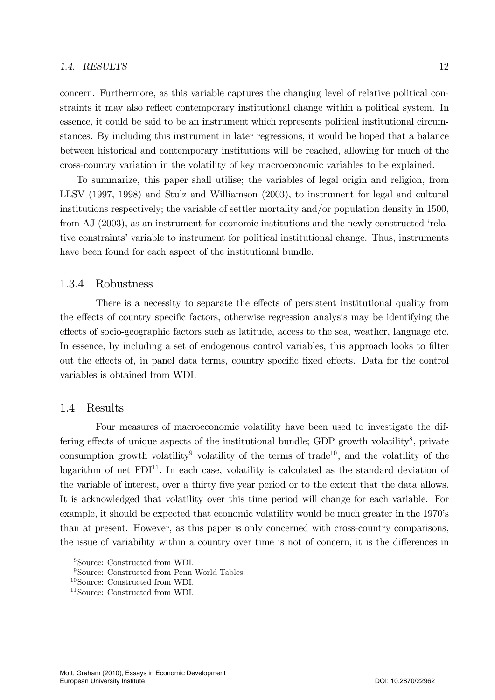#### 1.4. RESULTS 12

concern. Furthermore, as this variable captures the changing level of relative political constraints it may also reflect contemporary institutional change within a political system. In essence, it could be said to be an instrument which represents political institutional circumstances. By including this instrument in later regressions, it would be hoped that a balance between historical and contemporary institutions will be reached, allowing for much of the

To summarize, this paper shall utilise; the variables of legal origin and religion, from LLSV (1997, 1998) and Stulz and Williamson (2003), to instrument for legal and cultural institutions respectively; the variable of settler mortality and/or population density in 1500, from AJ (2003), as an instrument for economic institutions and the newly constructed ërelative constraints' variable to instrument for political institutional change. Thus, instruments have been found for each aspect of the institutional bundle.

cross-country variation in the volatility of key macroeconomic variables to be explained.

### 1.3.4 Robustness

There is a necessity to separate the effects of persistent institutional quality from the effects of country specific factors, otherwise regression analysis may be identifying the effects of socio-geographic factors such as latitude, access to the sea, weather, language etc. In essence, by including a set of endogenous control variables, this approach looks to filter out the effects of, in panel data terms, country specific fixed effects. Data for the control variables is obtained from WDI.

#### 1.4 Results

Four measures of macroeconomic volatility have been used to investigate the differing effects of unique aspects of the institutional bundle; GDP growth volatility<sup>8</sup>, private consumption growth volatility<sup>9</sup> volatility of the terms of trade<sup>10</sup>, and the volatility of the logarithm of net  $FDI<sup>11</sup>$ . In each case, volatility is calculated as the standard deviation of the variable of interest, over a thirty five year period or to the extent that the data allows. It is acknowledged that volatility over this time period will change for each variable. For example, it should be expected that economic volatility would be much greater in the 1970's than at present. However, as this paper is only concerned with cross-country comparisons, the issue of variability within a country over time is not of concern, it is the differences in

<sup>8</sup>Source: Constructed from WDI.

<sup>&</sup>lt;sup>9</sup>Source: Constructed from Penn World Tables.

<sup>10</sup>Source: Constructed from WDI.

<sup>11</sup>Source: Constructed from WDI.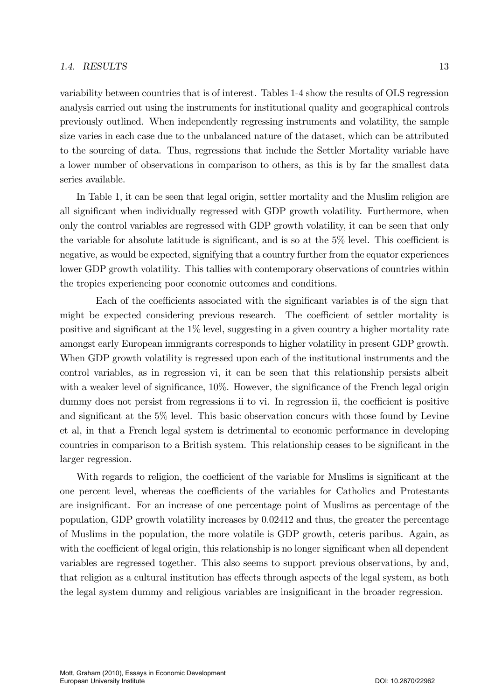#### 1.4. RESULTS 13

variability between countries that is of interest. Tables 1-4 show the results of OLS regression analysis carried out using the instruments for institutional quality and geographical controls previously outlined. When independently regressing instruments and volatility, the sample size varies in each case due to the unbalanced nature of the dataset, which can be attributed to the sourcing of data. Thus, regressions that include the Settler Mortality variable have a lower number of observations in comparison to others, as this is by far the smallest data series available.

In Table 1, it can be seen that legal origin, settler mortality and the Muslim religion are all significant when individually regressed with GDP growth volatility. Furthermore, when only the control variables are regressed with GDP growth volatility, it can be seen that only the variable for absolute latitude is significant, and is so at the  $5\%$  level. This coefficient is negative, as would be expected, signifying that a country further from the equator experiences lower GDP growth volatility. This tallies with contemporary observations of countries within the tropics experiencing poor economic outcomes and conditions.

Each of the coefficients associated with the significant variables is of the sign that might be expected considering previous research. The coefficient of settler mortality is positive and significant at the  $1\%$  level, suggesting in a given country a higher mortality rate amongst early European immigrants corresponds to higher volatility in present GDP growth. When GDP growth volatility is regressed upon each of the institutional instruments and the control variables, as in regression vi, it can be seen that this relationship persists albeit with a weaker level of significance,  $10\%$ . However, the significance of the French legal origin dummy does not persist from regressions ii to vi. In regression ii, the coefficient is positive and significant at the  $5\%$  level. This basic observation concurs with those found by Levine et al, in that a French legal system is detrimental to economic performance in developing countries in comparison to a British system. This relationship ceases to be significant in the larger regression.

With regards to religion, the coefficient of the variable for Muslims is significant at the one percent level, whereas the coefficients of the variables for Catholics and Protestants are insignificant. For an increase of one percentage point of Muslims as percentage of the population, GDP growth volatility increases by 0.02412 and thus, the greater the percentage of Muslims in the population, the more volatile is GDP growth, ceteris paribus. Again, as with the coefficient of legal origin, this relationship is no longer significant when all dependent variables are regressed together. This also seems to support previous observations, by and, that religion as a cultural institution has effects through aspects of the legal system, as both the legal system dummy and religious variables are insignificant in the broader regression.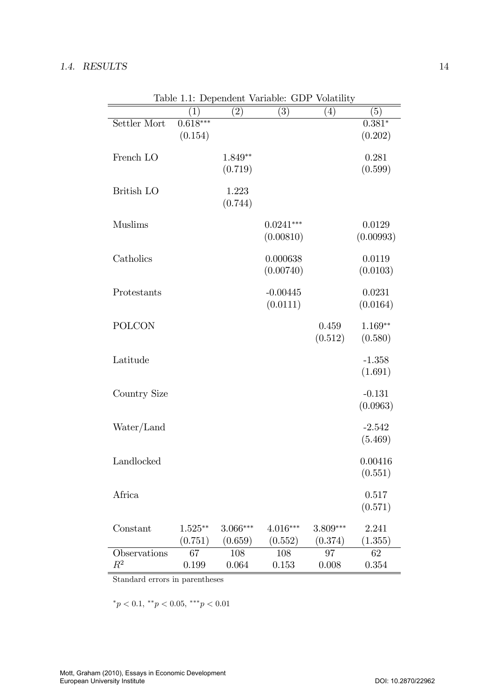|                |                  |                   | rapie r.r. Dependent variable. GDT volatility |            |           |
|----------------|------------------|-------------------|-----------------------------------------------|------------|-----------|
|                | $\left(1\right)$ | $\left( 2\right)$ | (3)                                           | (4)        | (5)       |
| Settler Mort   | $0.618***$       |                   |                                               |            | $0.381*$  |
|                | (0.154)          |                   |                                               |            | (0.202)   |
|                |                  |                   |                                               |            |           |
| French LO      |                  | $1.849**$         |                                               |            | 0.281     |
|                |                  | (0.719)           |                                               |            | (0.599)   |
|                |                  |                   |                                               |            |           |
| British LO     |                  | 1.223             |                                               |            |           |
|                |                  | (0.744)           |                                               |            |           |
| <b>Muslims</b> |                  |                   | $0.0241***$                                   |            | 0.0129    |
|                |                  |                   | (0.00810)                                     |            | (0.00993) |
|                |                  |                   |                                               |            |           |
| Catholics      |                  |                   | 0.000638                                      |            | 0.0119    |
|                |                  |                   | (0.00740)                                     |            | (0.0103)  |
|                |                  |                   |                                               |            |           |
| Protestants    |                  |                   | $-0.00445$                                    |            | 0.0231    |
|                |                  |                   | (0.0111)                                      |            | (0.0164)  |
|                |                  |                   |                                               |            |           |
| <b>POLCON</b>  |                  |                   |                                               | 0.459      | $1.169**$ |
|                |                  |                   |                                               | (0.512)    | (0.580)   |
| Latitude       |                  |                   |                                               |            |           |
|                |                  |                   |                                               |            | $-1.358$  |
|                |                  |                   |                                               |            | (1.691)   |
| Country Size   |                  |                   |                                               |            | $-0.131$  |
|                |                  |                   |                                               |            | (0.0963)  |
|                |                  |                   |                                               |            |           |
| Water/Land     |                  |                   |                                               |            | $-2.542$  |
|                |                  |                   |                                               |            | (5.469)   |
|                |                  |                   |                                               |            |           |
| Landlocked     |                  |                   |                                               |            | 0.00416   |
|                |                  |                   |                                               |            | (0.551)   |
|                |                  |                   |                                               |            |           |
| Africa         |                  |                   |                                               |            | 0.517     |
|                |                  |                   |                                               |            | (0.571)   |
|                |                  |                   |                                               |            |           |
| Constant       | $1.525***$       | $3.066***$        | $4.016***$                                    | $3.809***$ | 2.241     |
| Observations   | (0.751)          | (0.659)           | (0.552)                                       | (0.374)    | (1.355)   |
| $R^2$          | 67               | 108               | 108                                           | 97         | 62        |
|                | 0.199            | 0.064             | 0.153                                         | 0.008      | 0.354     |

Table 1.1: Dependent Variable: GDP Volatility

Standard errors in parentheses

 $*_{p} < 0.1, **_{p} < 0.05, **_{p} < 0.01$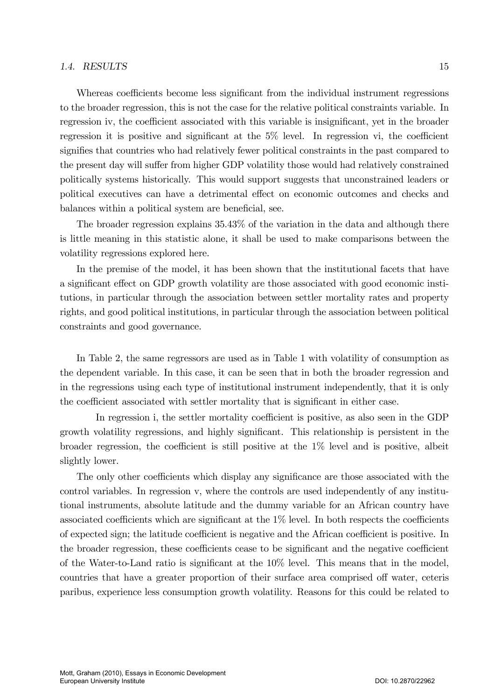#### 1.4. RESULTS 15

Whereas coefficients become less significant from the individual instrument regressions to the broader regression, this is not the case for the relative political constraints variable. In regression iv, the coefficient associated with this variable is insignificant, yet in the broader regression it is positive and significant at the  $5\%$  level. In regression vi, the coefficient signifies that countries who had relatively fewer political constraints in the past compared to the present day will suffer from higher GDP volatility those would had relatively constrained politically systems historically. This would support suggests that unconstrained leaders or political executives can have a detrimental effect on economic outcomes and checks and balances within a political system are beneficial, see.

The broader regression explains 35.43% of the variation in the data and although there is little meaning in this statistic alone, it shall be used to make comparisons between the volatility regressions explored here.

In the premise of the model, it has been shown that the institutional facets that have a significant effect on GDP growth volatility are those associated with good economic institutions, in particular through the association between settler mortality rates and property rights, and good political institutions, in particular through the association between political constraints and good governance.

In Table 2, the same regressors are used as in Table 1 with volatility of consumption as the dependent variable. In this case, it can be seen that in both the broader regression and in the regressions using each type of institutional instrument independently, that it is only the coefficient associated with settler mortality that is significant in either case.

In regression i, the settler mortality coefficient is positive, as also seen in the GDP growth volatility regressions, and highly significant. This relationship is persistent in the broader regression, the coefficient is still positive at the  $1\%$  level and is positive, albeit slightly lower.

The only other coefficients which display any significance are those associated with the control variables. In regression v, where the controls are used independently of any institutional instruments, absolute latitude and the dummy variable for an African country have associated coefficients which are significant at the  $1\%$  level. In both respects the coefficients of expected sign; the latitude coefficient is negative and the African coefficient is positive. In the broader regression, these coefficients cease to be significant and the negative coefficient of the Water-to-Land ratio is significant at the  $10\%$  level. This means that in the model, countries that have a greater proportion of their surface area comprised off water, ceteris paribus, experience less consumption growth volatility. Reasons for this could be related to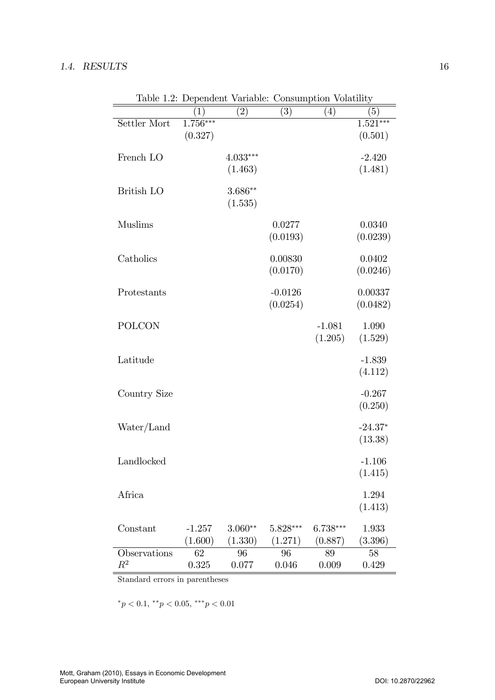| (3)<br>$\left( 2\right)$<br>(4)<br>$\left(5\right)$<br>$1.\overline{756***}$<br>$1.521***$<br>Settler Mort<br>(0.327)<br>(0.501)<br>4.033***<br>French LO<br>$-2.420$<br>(1.481)<br>(1.463)<br>$3.686**$<br>British LO |
|------------------------------------------------------------------------------------------------------------------------------------------------------------------------------------------------------------------------|
|                                                                                                                                                                                                                        |
|                                                                                                                                                                                                                        |
|                                                                                                                                                                                                                        |
|                                                                                                                                                                                                                        |
|                                                                                                                                                                                                                        |
|                                                                                                                                                                                                                        |
|                                                                                                                                                                                                                        |
| (1.535)                                                                                                                                                                                                                |
|                                                                                                                                                                                                                        |
| <b>Muslims</b><br>0.0277<br>0.0340                                                                                                                                                                                     |
| (0.0193)<br>(0.0239)                                                                                                                                                                                                   |
|                                                                                                                                                                                                                        |
| 0.00830<br>0.0402<br>Catholics                                                                                                                                                                                         |
| (0.0170)<br>(0.0246)                                                                                                                                                                                                   |
|                                                                                                                                                                                                                        |
| Protestants<br>$-0.0126$<br>0.00337                                                                                                                                                                                    |
| (0.0254)<br>(0.0482)                                                                                                                                                                                                   |
|                                                                                                                                                                                                                        |
| <b>POLCON</b><br>$-1.081$<br>1.090                                                                                                                                                                                     |
| (1.205)<br>(1.529)                                                                                                                                                                                                     |
|                                                                                                                                                                                                                        |
| Latitude<br>$-1.839$                                                                                                                                                                                                   |
| (4.112)                                                                                                                                                                                                                |
|                                                                                                                                                                                                                        |
| $-0.267$<br>Country Size                                                                                                                                                                                               |
| (0.250)                                                                                                                                                                                                                |
|                                                                                                                                                                                                                        |
| $-24.37*$<br>Water/Land                                                                                                                                                                                                |
| (13.38)                                                                                                                                                                                                                |
| Landlocked                                                                                                                                                                                                             |
| $-1.106$                                                                                                                                                                                                               |
| (1.415)                                                                                                                                                                                                                |
| Africa<br>1.294                                                                                                                                                                                                        |
| (1.413)                                                                                                                                                                                                                |
|                                                                                                                                                                                                                        |
| Constant<br>$5.828***$<br>$-1.257$<br>$6.738***$<br>1.933<br>$3.060**$                                                                                                                                                 |
| (1.600)<br>(3.396)<br>(1.330)<br>(1.271)<br>(0.887)                                                                                                                                                                    |
| 62<br>96<br>96<br>Observations<br>89<br>58                                                                                                                                                                             |
| $R^2$<br>0.325<br>0.077<br>0.046<br>0.009<br>0.429                                                                                                                                                                     |

Table 1.2: Dependent Variable: Consumption Volatility

Standard errors in parentheses

 $*_{p} < 0.1, **_{p} < 0.05, **_{p} < 0.01$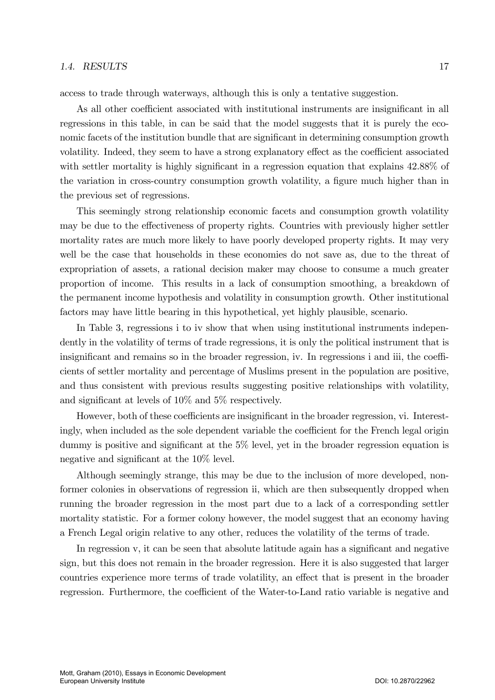#### 1.4. RESULTS 17

access to trade through waterways, although this is only a tentative suggestion.

As all other coefficient associated with institutional instruments are insignificant in all regressions in this table, in can be said that the model suggests that it is purely the economic facets of the institution bundle that are significant in determining consumption growth volatility. Indeed, they seem to have a strong explanatory effect as the coefficient associated with settler mortality is highly significant in a regression equation that explains  $42.88\%$  of the variation in cross-country consumption growth volatility, a figure much higher than in the previous set of regressions.

This seemingly strong relationship economic facets and consumption growth volatility may be due to the effectiveness of property rights. Countries with previously higher settler mortality rates are much more likely to have poorly developed property rights. It may very well be the case that households in these economies do not save as, due to the threat of expropriation of assets, a rational decision maker may choose to consume a much greater proportion of income. This results in a lack of consumption smoothing, a breakdown of the permanent income hypothesis and volatility in consumption growth. Other institutional factors may have little bearing in this hypothetical, yet highly plausible, scenario.

In Table 3, regressions i to iv show that when using institutional instruments independently in the volatility of terms of trade regressions, it is only the political instrument that is insignificant and remains so in the broader regression, iv. In regressions i and iii, the coefficients of settler mortality and percentage of Muslims present in the population are positive, and thus consistent with previous results suggesting positive relationships with volatility, and significant at levels of  $10\%$  and  $5\%$  respectively.

However, both of these coefficients are insignificant in the broader regression, vi. Interestingly, when included as the sole dependent variable the coefficient for the French legal origin dummy is positive and significant at the  $5\%$  level, yet in the broader regression equation is negative and significant at the  $10\%$  level.

Although seemingly strange, this may be due to the inclusion of more developed, nonformer colonies in observations of regression ii, which are then subsequently dropped when running the broader regression in the most part due to a lack of a corresponding settler mortality statistic. For a former colony however, the model suggest that an economy having a French Legal origin relative to any other, reduces the volatility of the terms of trade.

In regression  $v$ , it can be seen that absolute latitude again has a significant and negative sign, but this does not remain in the broader regression. Here it is also suggested that larger countries experience more terms of trade volatility, an effect that is present in the broader regression. Furthermore, the coefficient of the Water-to-Land ratio variable is negative and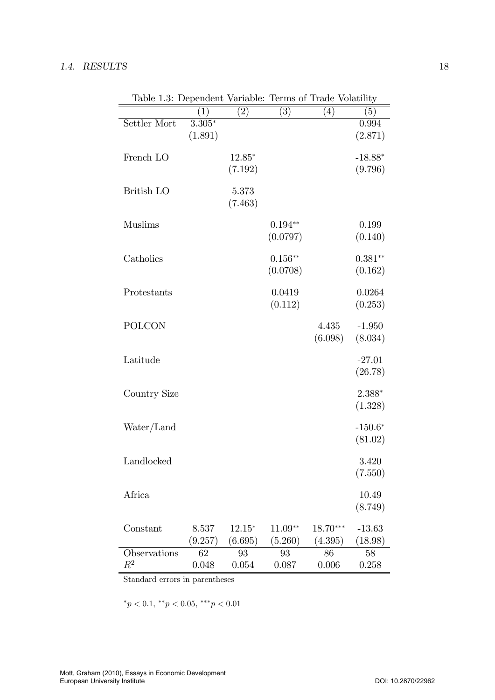| rapic 1.0. Dependent |                  | v or toppe.       |                   | refilm of ridde volutility |                   |
|----------------------|------------------|-------------------|-------------------|----------------------------|-------------------|
|                      | $\left(1\right)$ | $\left( 2\right)$ | $\left( 3\right)$ | (4)                        | $\left( 5\right)$ |
| Settler Mort         | $3.305*$         |                   |                   |                            | 0.994             |
|                      | (1.891)          |                   |                   |                            | (2.871)           |
|                      |                  | $12.85*$          |                   |                            | $-18.88*$         |
| French LO            |                  |                   |                   |                            |                   |
|                      |                  | (7.192)           |                   |                            | (9.796)           |
| British LO           |                  | 5.373             |                   |                            |                   |
|                      |                  | (7.463)           |                   |                            |                   |
|                      |                  |                   |                   |                            |                   |
| <b>Muslims</b>       |                  |                   | $0.194**$         |                            | 0.199             |
|                      |                  |                   | (0.0797)          |                            | (0.140)           |
| Catholics            |                  |                   | $0.156**$         |                            | $0.381**$         |
|                      |                  |                   | (0.0708)          |                            | (0.162)           |
|                      |                  |                   |                   |                            |                   |
| Protestants          |                  |                   | 0.0419            |                            | 0.0264            |
|                      |                  |                   | (0.112)           |                            | (0.253)           |
|                      |                  |                   |                   |                            |                   |
| <b>POLCON</b>        |                  |                   |                   | 4.435                      | $-1.950$          |
|                      |                  |                   |                   | (6.098)                    | (8.034)           |
| Latitude             |                  |                   |                   |                            | $-27.01$          |
|                      |                  |                   |                   |                            | (26.78)           |
|                      |                  |                   |                   |                            |                   |
| Country Size         |                  |                   |                   |                            | $2.388*$          |
|                      |                  |                   |                   |                            | (1.328)           |
|                      |                  |                   |                   |                            |                   |
| Water/Land           |                  |                   |                   |                            | $-150.6*$         |
|                      |                  |                   |                   |                            | (81.02)           |
| Landlocked           |                  |                   |                   |                            | 3.420             |
|                      |                  |                   |                   |                            | (7.550)           |
|                      |                  |                   |                   |                            |                   |
| Africa               |                  |                   |                   |                            | 10.49             |
|                      |                  |                   |                   |                            | (8.749)           |
|                      |                  |                   |                   |                            |                   |
| Constant             | 8.537            | $12.15*$          | $11.09**$         | $18.70***$                 | $-13.63$          |
|                      | (9.257)          | (6.695)           | (5.260)           | (4.395)                    | (18.98)           |
| Observations         | 62               | 93                | 93                | 86                         | 58                |
| $\mathbb{R}^2$       | 0.048            | 0.054             | 0.087             | $0.006\,$                  | 0.258             |

Table 1.3: Dependent Variable: Terms of Trade Volatility

Standard errors in parentheses

 $*_{p} < 0.1, **_{p} < 0.05, **_{p} < 0.01$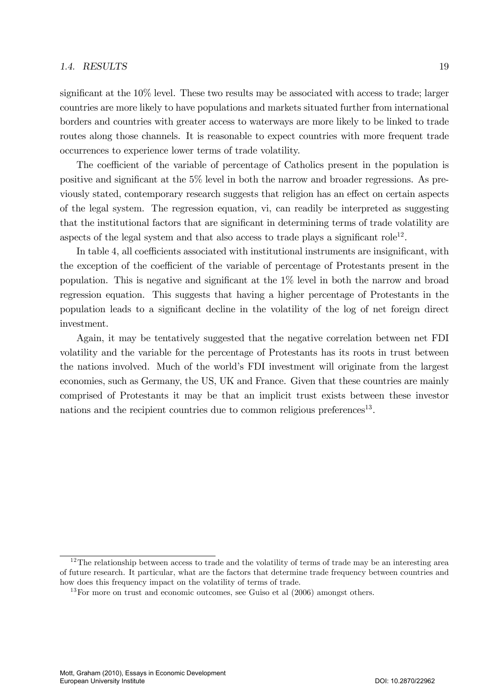#### 1.4. RESULTS 19

significant at the  $10\%$  level. These two results may be associated with access to trade; larger countries are more likely to have populations and markets situated further from international borders and countries with greater access to waterways are more likely to be linked to trade routes along those channels. It is reasonable to expect countries with more frequent trade occurrences to experience lower terms of trade volatility.

The coefficient of the variable of percentage of Catholics present in the population is positive and significant at the  $5\%$  level in both the narrow and broader regressions. As previously stated, contemporary research suggests that religion has an effect on certain aspects of the legal system. The regression equation, vi, can readily be interpreted as suggesting that the institutional factors that are significant in determining terms of trade volatility are aspects of the legal system and that also access to trade plays a significant role<sup>12</sup>.

In table 4, all coefficients associated with institutional instruments are insignificant, with the exception of the coefficient of the variable of percentage of Protestants present in the population. This is negative and significant at the  $1\%$  level in both the narrow and broad regression equation. This suggests that having a higher percentage of Protestants in the population leads to a signiÖcant decline in the volatility of the log of net foreign direct investment.

Again, it may be tentatively suggested that the negative correlation between net FDI volatility and the variable for the percentage of Protestants has its roots in trust between the nations involved. Much of the world's FDI investment will originate from the largest economies, such as Germany, the US, UK and France. Given that these countries are mainly comprised of Protestants it may be that an implicit trust exists between these investor nations and the recipient countries due to common religious preferences<sup>13</sup>.

 $12$ The relationship between access to trade and the volatility of terms of trade may be an interesting area of future research. It particular, what are the factors that determine trade frequency between countries and how does this frequency impact on the volatility of terms of trade.

 $13$ For more on trust and economic outcomes, see Guiso et al  $(2006)$  amongst others.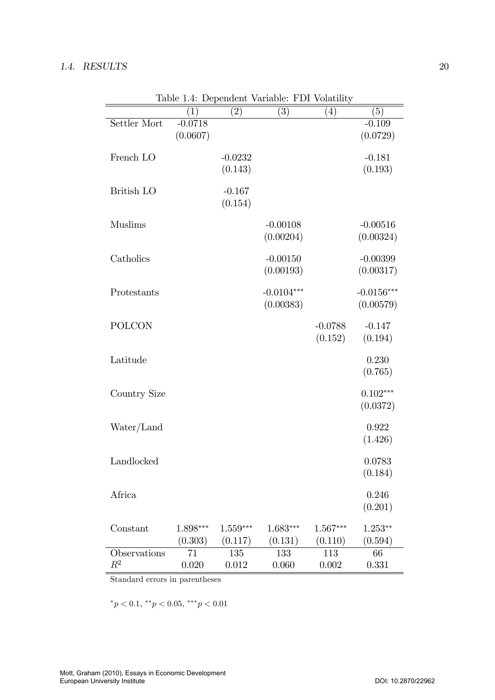|                |            |            | Table 1.4: Dependent Variable: FDI Volatility |            |                        |
|----------------|------------|------------|-----------------------------------------------|------------|------------------------|
|                | (1)        | (2)        | (3)                                           | (4)        | (5)                    |
| Settler Mort   | $-0.0718$  |            |                                               |            | $-0.109$               |
|                | (0.0607)   |            |                                               |            | (0.0729)               |
| French LO      |            | $-0.0232$  |                                               |            | $-0.181$               |
|                |            | (0.143)    |                                               |            | (0.193)                |
| British LO     |            | $-0.167$   |                                               |            |                        |
|                |            | (0.154)    |                                               |            |                        |
| <b>Muslims</b> |            |            | $-0.00108$                                    |            | $-0.00516$             |
|                |            |            | (0.00204)                                     |            | (0.00324)              |
| Catholics      |            |            | $-0.00150$                                    |            | $-0.00399$             |
|                |            |            | (0.00193)                                     |            | (0.00317)              |
| Protestants    |            |            | $-0.0104***$                                  |            | $-0.0156***$           |
|                |            |            | (0.00383)                                     |            | (0.00579)              |
| <b>POLCON</b>  |            |            |                                               | $-0.0788$  | $-0.147$               |
|                |            |            |                                               | (0.152)    | (0.194)                |
|                |            |            |                                               |            |                        |
| Latitude       |            |            |                                               |            | 0.230<br>(0.765)       |
|                |            |            |                                               |            |                        |
| Country Size   |            |            |                                               |            | $0.102***$<br>(0.0372) |
|                |            |            |                                               |            |                        |
| Water/Land     |            |            |                                               |            | 0.922                  |
|                |            |            |                                               |            | (1.426)                |
| Landlocked     |            |            |                                               |            | 0.0783                 |
|                |            |            |                                               |            | (0.184)                |
| Africa         |            |            |                                               |            | 0.246                  |
|                |            |            |                                               |            | (0.201)                |
| Constant       | $1.898***$ | $1.559***$ | $1.683***$                                    | $1.567***$ | $1.253**$              |
|                | (0.303)    | (0.117)    | (0.131)                                       | (0.110)    | (0.594)                |
| Observations   | 71         | 135        | 133                                           | 113        | 66                     |
| $\mathbb{R}^2$ | 0.020      | 0.012      | 0.060                                         | 0.002      | 0.331                  |

Standard errors in parentheses

 $*_{p} < 0.1, **_{p} < 0.05, **_{p} < 0.01$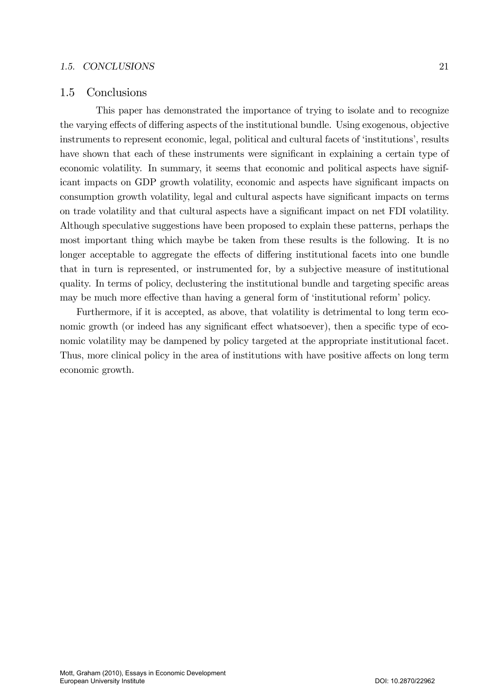#### 1.5. CONCLUSIONS 21

## 1.5 Conclusions

This paper has demonstrated the importance of trying to isolate and to recognize the varying effects of differing aspects of the institutional bundle. Using exogenous, objective instruments to represent economic, legal, political and cultural facets of 'institutions', results have shown that each of these instruments were significant in explaining a certain type of economic volatility. In summary, it seems that economic and political aspects have significant impacts on GDP growth volatility, economic and aspects have significant impacts on consumption growth volatility, legal and cultural aspects have significant impacts on terms on trade volatility and that cultural aspects have a significant impact on net FDI volatility. Although speculative suggestions have been proposed to explain these patterns, perhaps the most important thing which maybe be taken from these results is the following. It is no longer acceptable to aggregate the effects of differing institutional facets into one bundle that in turn is represented, or instrumented for, by a subjective measure of institutional quality. In terms of policy, declustering the institutional bundle and targeting specific areas may be much more effective than having a general form of 'institutional reform' policy.

Furthermore, if it is accepted, as above, that volatility is detrimental to long term economic growth (or indeed has any significant effect whatsoever), then a specific type of economic volatility may be dampened by policy targeted at the appropriate institutional facet. Thus, more clinical policy in the area of institutions with have positive affects on long term economic growth.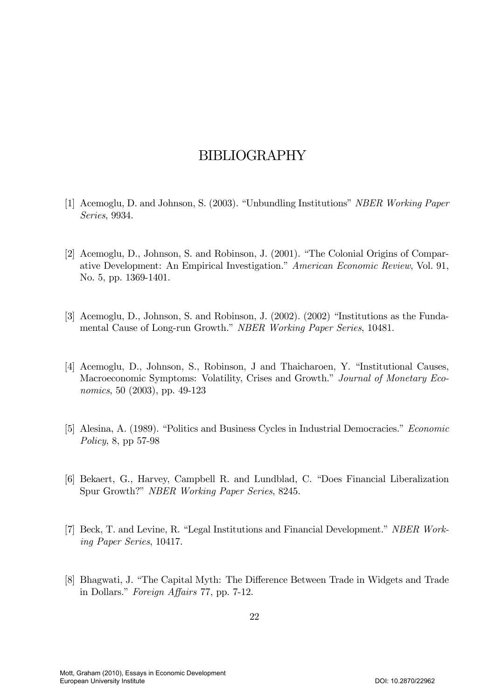# BIBLIOGRAPHY

- [1] Acemoglu, D. and Johnson, S. (2003). "Unbundling Institutions" NBER Working Paper Series, 9934.
- [2] Acemoglu, D., Johnson, S. and Robinson, J. (2001). "The Colonial Origins of Comparative Development: An Empirical Investigation." American Economic Review, Vol. 91, No. 5, pp. 1369-1401.
- [3] Acemoglu, D., Johnson, S. and Robinson, J.  $(2002)$ .  $(2002)$  "Institutions as the Fundamental Cause of Long-run Growth." NBER Working Paper Series, 10481.
- [4] Acemoglu, D., Johnson, S., Robinson, J and Thaicharoen, Y. "Institutional Causes, Macroeconomic Symptoms: Volatility, Crises and Growth." Journal of Monetary Economics, 50 (2003), pp. 49-123
- [5] Alesina, A. (1989). "Politics and Business Cycles in Industrial Democracies." Economic Policy, 8, pp 57-98
- [6] Bekaert, G., Harvey, Campbell R. and Lundblad, C. "Does Financial Liberalization Spur Growth?" NBER Working Paper Series, 8245.
- [7] Beck, T. and Levine, R. "Legal Institutions and Financial Development." NBER Working Paper Series, 10417.
- [8] Bhagwati, J. "The Capital Myth: The Difference Between Trade in Widgets and Trade in Dollars." Foreign Affairs 77, pp. 7-12.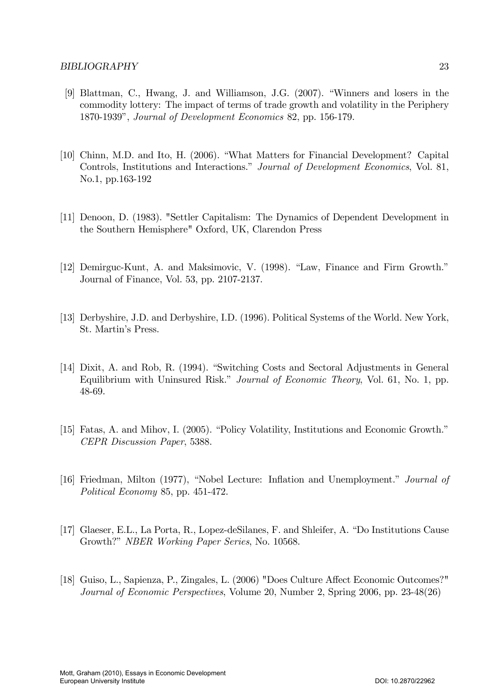#### BIBLIOGRAPHY 23

- [9] Blattman, C., Hwang, J. and Williamson, J.G. (2007). "Winners and losers in the commodity lottery: The impact of terms of trade growth and volatility in the Periphery 1870-1939î, Journal of Development Economics 82, pp. 156-179.
- [10] Chinn, M.D. and Ito, H. (2006). "What Matters for Financial Development? Capital Controls, Institutions and Interactions." Journal of Development Economics, Vol. 81, No.1, pp.163-192
- [11] Denoon, D. (1983). "Settler Capitalism: The Dynamics of Dependent Development in the Southern Hemisphere" Oxford, UK, Clarendon Press
- [12] Demirguc-Kunt, A. and Maksimovic, V. (1998). "Law, Finance and Firm Growth." Journal of Finance, Vol. 53, pp. 2107-2137.
- [13] Derbyshire, J.D. and Derbyshire, I.D. (1996). Political Systems of the World. New York, St. Martin's Press.
- [14] Dixit, A. and Rob, R. (1994). "Switching Costs and Sectoral Adjustments in General Equilibrium with Uninsured Risk." Journal of Economic Theory, Vol. 61, No. 1, pp. 48-69.
- [15] Fatas, A. and Mihov, I. (2005). "Policy Volatility, Institutions and Economic Growth." CEPR Discussion Paper, 5388.
- [16] Friedman, Milton (1977), "Nobel Lecture: Inflation and Unemployment." Journal of Political Economy 85, pp. 451-472.
- [17] Glaeser, E.L., La Porta, R., Lopez-deSilanes, F. and Shleifer, A. "Do Institutions Cause Growth?" NBER Working Paper Series, No. 10568.
- [18] Guiso, L., Sapienza, P., Zingales, L. (2006) "Does Culture Affect Economic Outcomes?" Journal of Economic Perspectives, Volume 20, Number 2, Spring 2006, pp. 23-48(26)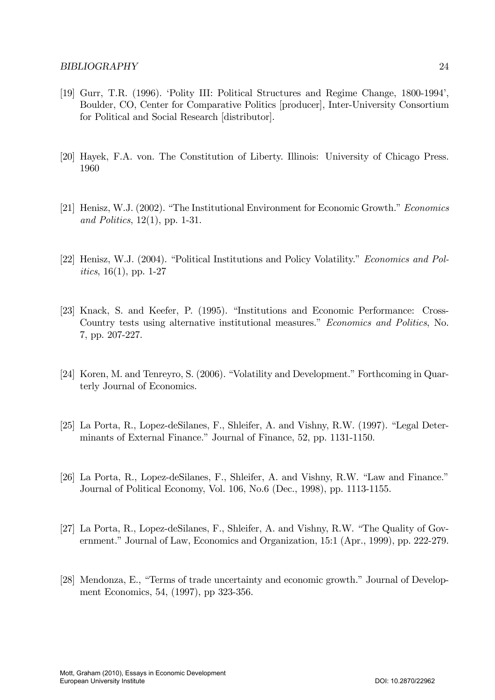- [19] Gurr, T.R. (1996). ëPolity III: Political Structures and Regime Change, 1800-1994í, Boulder, CO, Center for Comparative Politics [producer], Inter-University Consortium for Political and Social Research [distributor].
- [20] Hayek, F.A. von. The Constitution of Liberty. Illinois: University of Chicago Press. 1960
- [21] Henisz, W.J. (2002). "The Institutional Environment for Economic Growth." *Economics* and Politics, 12(1), pp. 1-31.
- [22] Henisz, W.J. (2004). "Political Institutions and Policy Volatility." Economics and Politics, 16(1), pp. 1-27
- [23] Knack, S. and Keefer, P. (1995). "Institutions and Economic Performance: Cross-Country tests using alternative institutional measures." Economics and Politics, No. 7, pp. 207-227.
- [24] Koren, M. and Tenreyro, S.  $(2006)$ . "Volatility and Development." Forthcoming in Quarterly Journal of Economics.
- [25] La Porta, R., Lopez-deSilanes, F., Shleifer, A. and Vishny, R.W. (1997). "Legal Determinants of External Finance." Journal of Finance, 52, pp. 1131-1150.
- [26] La Porta, R., Lopez-deSilanes, F., Shleifer, A. and Vishny, R.W. "Law and Finance." Journal of Political Economy, Vol. 106, No.6 (Dec., 1998), pp. 1113-1155.
- [27] La Porta, R., Lopez-deSilanes, F., Shleifer, A. and Vishny, R.W. "The Quality of Government." Journal of Law, Economics and Organization, 15:1 (Apr., 1999), pp. 222-279.
- [28] Mendonza, E., "Terms of trade uncertainty and economic growth." Journal of Development Economics, 54, (1997), pp 323-356.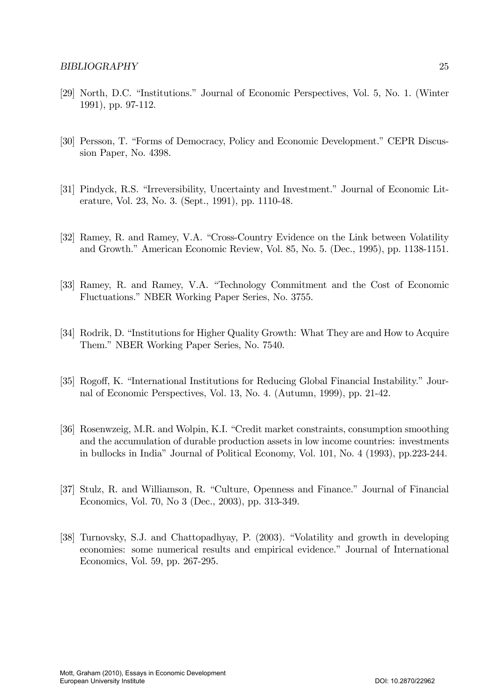- [29] North, D.C. "Institutions." Journal of Economic Perspectives, Vol. 5, No. 1. (Winter 1991), pp. 97-112.
- [30] Persson, T. "Forms of Democracy, Policy and Economic Development." CEPR Discussion Paper, No. 4398.
- [31] Pindyck, R.S. "Irreversibility, Uncertainty and Investment." Journal of Economic Literature, Vol. 23, No. 3. (Sept., 1991), pp. 1110-48.
- [32] Ramey, R. and Ramey, V.A. "Cross-Country Evidence on the Link between Volatility and Growth." American Economic Review, Vol. 85, No. 5. (Dec., 1995), pp. 1138-1151.
- [33] Ramey, R. and Ramey, V.A. "Technology Commitment and the Cost of Economic Fluctuations." NBER Working Paper Series, No. 3755.
- [34] Rodrik, D. "Institutions for Higher Quality Growth: What They are and How to Acquire Them." NBER Working Paper Series, No. 7540.
- [35] Rogoff, K. "International Institutions for Reducing Global Financial Instability." Journal of Economic Perspectives, Vol. 13, No. 4. (Autumn, 1999), pp. 21-42.
- [36] Rosenwzeig, M.R. and Wolpin, K.I. "Credit market constraints, consumption smoothing and the accumulation of durable production assets in low income countries: investments in bullocks in India" Journal of Political Economy, Vol. 101, No. 4 (1993), pp.223-244.
- [37] Stulz, R. and Williamson, R. "Culture, Openness and Finance." Journal of Financial Economics, Vol. 70, No 3 (Dec., 2003), pp. 313-349.
- [38] Turnovsky, S.J. and Chattopadhyay, P. (2003). "Volatility and growth in developing economies: some numerical results and empirical evidence." Journal of International Economics, Vol. 59, pp. 267-295.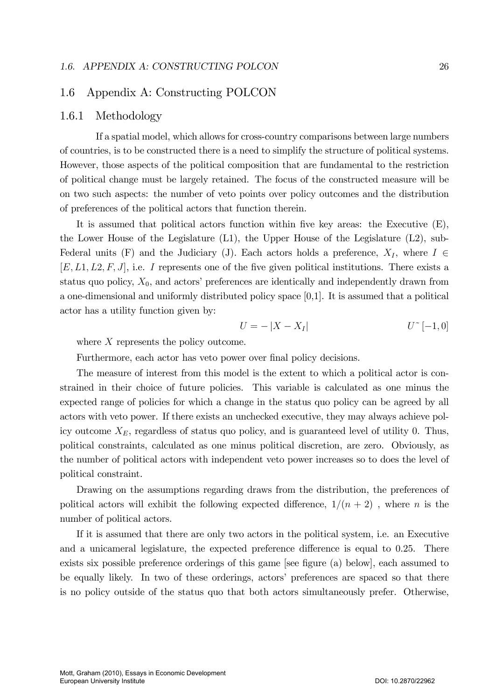#### 1.6. APPENDIX A: CONSTRUCTING POLCON 26

## 1.6 Appendix A: Constructing POLCON

#### 1.6.1 Methodology

If a spatial model, which allows for cross-country comparisons between large numbers of countries, is to be constructed there is a need to simplify the structure of political systems. However, those aspects of the political composition that are fundamental to the restriction of political change must be largely retained. The focus of the constructed measure will be on two such aspects: the number of veto points over policy outcomes and the distribution of preferences of the political actors that function therein.

It is assumed that political actors function within five key areas: the Executive  $(E)$ , the Lower House of the Legislature (L1), the Upper House of the Legislature (L2), sub-Federal units (F) and the Judiciary (J). Each actors holds a preference,  $X_I$ , where  $I \in$  $[E, L1, L2, F, J]$ , i.e. I represents one of the five given political institutions. There exists a status quo policy,  $X_0$ , and actors' preferences are identically and independently drawn from a one-dimensional and uniformly distributed policy space [0,1]. It is assumed that a political actor has a utility function given by:

$$
U = -|X - X_I|
$$
 
$$
U^{\sim}[-1, 0]
$$

where X represents the policy outcome.

Furthermore, each actor has veto power over final policy decisions.

The measure of interest from this model is the extent to which a political actor is constrained in their choice of future policies. This variable is calculated as one minus the expected range of policies for which a change in the status quo policy can be agreed by all actors with veto power. If there exists an unchecked executive, they may always achieve policy outcome  $X_E$ , regardless of status quo policy, and is guaranteed level of utility 0. Thus, political constraints, calculated as one minus political discretion, are zero. Obviously, as the number of political actors with independent veto power increases so to does the level of political constraint.

Drawing on the assumptions regarding draws from the distribution, the preferences of political actors will exhibit the following expected difference,  $1/(n + 2)$ , where n is the number of political actors.

If it is assumed that there are only two actors in the political system, i.e. an Executive and a unicameral legislature, the expected preference difference is equal to  $0.25$ . There exists six possible preference orderings of this game [see figure (a) below], each assumed to be equally likely. In two of these orderings, actors' preferences are spaced so that there is no policy outside of the status quo that both actors simultaneously prefer. Otherwise,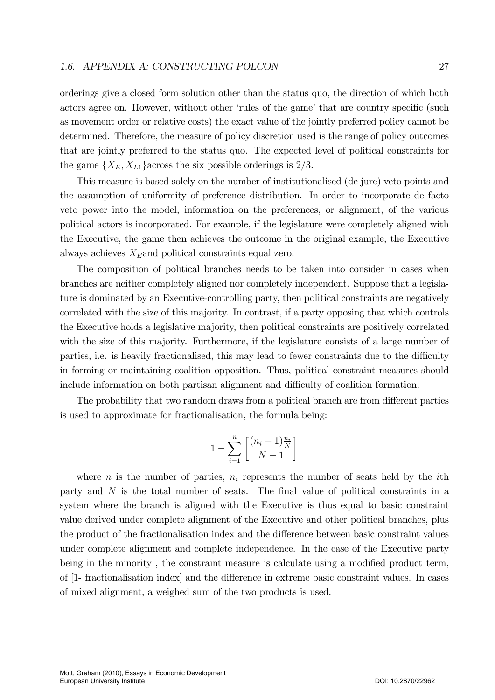orderings give a closed form solution other than the status quo, the direction of which both actors agree on. However, without other 'rules of the game' that are country specific (such as movement order or relative costs) the exact value of the jointly preferred policy cannot be determined. Therefore, the measure of policy discretion used is the range of policy outcomes that are jointly preferred to the status quo. The expected level of political constraints for the game  $\{X_E, X_{L1}\}$  across the six possible orderings is 2/3.

This measure is based solely on the number of institutionalised (de jure) veto points and the assumption of uniformity of preference distribution. In order to incorporate de facto veto power into the model, information on the preferences, or alignment, of the various political actors is incorporated. For example, if the legislature were completely aligned with the Executive, the game then achieves the outcome in the original example, the Executive always achieves  $X<sub>E</sub>$  and political constraints equal zero.

The composition of political branches needs to be taken into consider in cases when branches are neither completely aligned nor completely independent. Suppose that a legislature is dominated by an Executive-controlling party, then political constraints are negatively correlated with the size of this majority. In contrast, if a party opposing that which controls the Executive holds a legislative majority, then political constraints are positively correlated with the size of this majority. Furthermore, if the legislature consists of a large number of parties, i.e. is heavily fractionalised, this may lead to fewer constraints due to the difficulty in forming or maintaining coalition opposition. Thus, political constraint measures should include information on both partisan alignment and difficulty of coalition formation.

The probability that two random draws from a political branch are from different parties is used to approximate for fractionalisation, the formula being:

$$
1-\sum_{i=1}^n\left[\frac{(n_i-1)\frac{n_i}{N}}{N-1}\right]
$$

where *n* is the number of parties,  $n_i$  represents the number of seats held by the *i*th party and  $N$  is the total number of seats. The final value of political constraints in a system where the branch is aligned with the Executive is thus equal to basic constraint value derived under complete alignment of the Executive and other political branches, plus the product of the fractionalisation index and the difference between basic constraint values under complete alignment and complete independence. In the case of the Executive party being in the minority, the constraint measure is calculate using a modified product term, of [1- fractionalisation index] and the difference in extreme basic constraint values. In cases of mixed alignment, a weighed sum of the two products is used.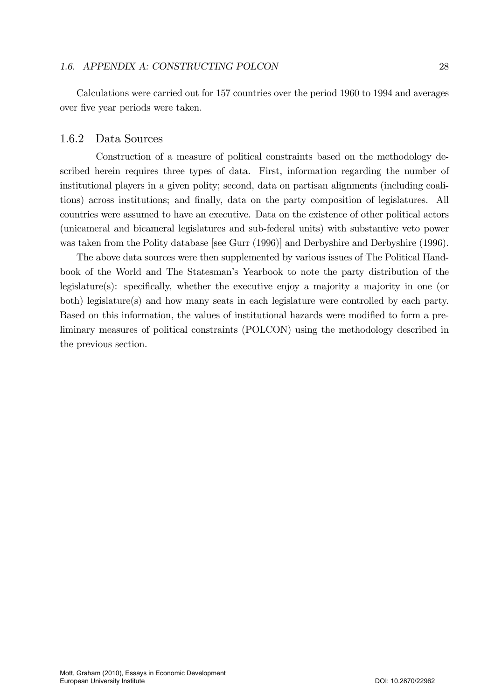#### 1.6. APPENDIX A: CONSTRUCTING POLCON 28

Calculations were carried out for 157 countries over the period 1960 to 1994 and averages over five year periods were taken.

## 1.6.2 Data Sources

Construction of a measure of political constraints based on the methodology described herein requires three types of data. First, information regarding the number of institutional players in a given polity; second, data on partisan alignments (including coalitions) across institutions; and finally, data on the party composition of legislatures. All countries were assumed to have an executive. Data on the existence of other political actors (unicameral and bicameral legislatures and sub-federal units) with substantive veto power was taken from the Polity database [see Gurr (1996)] and Derbyshire and Derbyshire (1996).

The above data sources were then supplemented by various issues of The Political Handbook of the World and The Statesman's Yearbook to note the party distribution of the legislature(s): specifically, whether the executive enjoy a majority a majority in one (or both) legislature(s) and how many seats in each legislature were controlled by each party. Based on this information, the values of institutional hazards were modified to form a preliminary measures of political constraints (POLCON) using the methodology described in the previous section.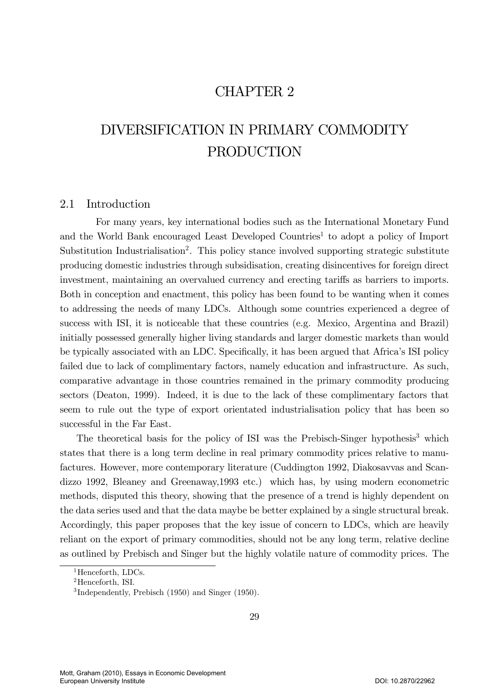## CHAPTER 2

# DIVERSIFICATION IN PRIMARY COMMODITY **PRODUCTION**

## 2.1 Introduction

For many years, key international bodies such as the International Monetary Fund and the World Bank encouraged Least Developed Countries<sup>1</sup> to adopt a policy of Import Substitution Industrialisation<sup>2</sup>. This policy stance involved supporting strategic substitute producing domestic industries through subsidisation, creating disincentives for foreign direct investment, maintaining an overvalued currency and erecting tariffs as barriers to imports. Both in conception and enactment, this policy has been found to be wanting when it comes to addressing the needs of many LDCs. Although some countries experienced a degree of success with ISI, it is noticeable that these countries (e.g. Mexico, Argentina and Brazil) initially possessed generally higher living standards and larger domestic markets than would be typically associated with an LDC. Specifically, it has been argued that Africa's ISI policy failed due to lack of complimentary factors, namely education and infrastructure. As such, comparative advantage in those countries remained in the primary commodity producing sectors (Deaton, 1999). Indeed, it is due to the lack of these complimentary factors that seem to rule out the type of export orientated industrialisation policy that has been so successful in the Far East.

The theoretical basis for the policy of ISI was the Prebisch-Singer hypothesis<sup>3</sup> which states that there is a long term decline in real primary commodity prices relative to manufactures. However, more contemporary literature (Cuddington 1992, Diakosavvas and Scandizzo 1992, Bleaney and Greenaway,1993 etc.) which has, by using modern econometric methods, disputed this theory, showing that the presence of a trend is highly dependent on the data series used and that the data maybe be better explained by a single structural break. Accordingly, this paper proposes that the key issue of concern to LDCs, which are heavily reliant on the export of primary commodities, should not be any long term, relative decline as outlined by Prebisch and Singer but the highly volatile nature of commodity prices. The

<sup>&</sup>lt;sup>1</sup>Henceforth, LDCs.

<sup>&</sup>lt;sup>2</sup>Henceforth, ISI.

<sup>3</sup> Independently, Prebisch (1950) and Singer (1950).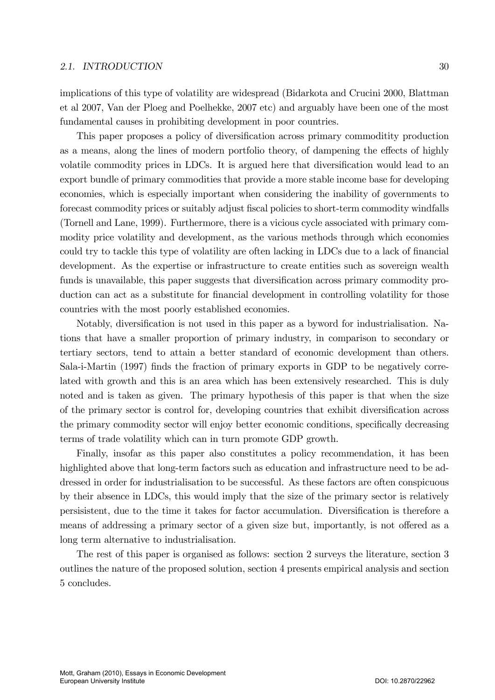#### 2.1. INTRODUCTION 30

implications of this type of volatility are widespread (Bidarkota and Crucini 2000, Blattman et al 2007, Van der Ploeg and Poelhekke, 2007 etc) and arguably have been one of the most fundamental causes in prohibiting development in poor countries.

This paper proposes a policy of diversification across primary commoditity production as a means, along the lines of modern portfolio theory, of dampening the effects of highly volatile commodity prices in LDCs. It is argued here that diversification would lead to an export bundle of primary commodities that provide a more stable income base for developing economies, which is especially important when considering the inability of governments to forecast commodity prices or suitably adjust Öscal policies to short-term commodity windfalls (Tornell and Lane, 1999). Furthermore, there is a vicious cycle associated with primary commodity price volatility and development, as the various methods through which economies could try to tackle this type of volatility are often lacking in LDCs due to a lack of financial development. As the expertise or infrastructure to create entities such as sovereign wealth funds is unavailable, this paper suggests that diversification across primary commodity production can act as a substitute for financial development in controlling volatility for those countries with the most poorly established economies.

Notably, diversification is not used in this paper as a byword for industrialisation. Nations that have a smaller proportion of primary industry, in comparison to secondary or tertiary sectors, tend to attain a better standard of economic development than others. Sala-i-Martin (1997) finds the fraction of primary exports in GDP to be negatively correlated with growth and this is an area which has been extensively researched. This is duly noted and is taken as given. The primary hypothesis of this paper is that when the size of the primary sector is control for, developing countries that exhibit diversification across the primary commodity sector will enjoy better economic conditions, specifically decreasing terms of trade volatility which can in turn promote GDP growth.

Finally, insofar as this paper also constitutes a policy recommendation, it has been highlighted above that long-term factors such as education and infrastructure need to be addressed in order for industrialisation to be successful. As these factors are often conspicuous by their absence in LDCs, this would imply that the size of the primary sector is relatively persisistent, due to the time it takes for factor accumulation. Diversification is therefore a means of addressing a primary sector of a given size but, importantly, is not offered as a long term alternative to industrialisation.

The rest of this paper is organised as follows: section 2 surveys the literature, section 3 outlines the nature of the proposed solution, section 4 presents empirical analysis and section 5 concludes.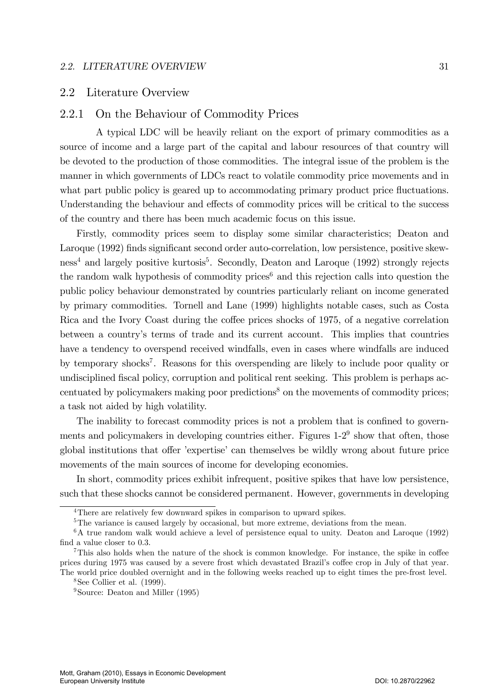#### 2.2. LITERATURE OVERVIEW 31

## 2.2 Literature Overview

### 2.2.1 On the Behaviour of Commodity Prices

A typical LDC will be heavily reliant on the export of primary commodities as a source of income and a large part of the capital and labour resources of that country will be devoted to the production of those commodities. The integral issue of the problem is the manner in which governments of LDCs react to volatile commodity price movements and in what part public policy is geared up to accommodating primary product price fluctuations. Understanding the behaviour and effects of commodity prices will be critical to the success of the country and there has been much academic focus on this issue.

Firstly, commodity prices seem to display some similar characteristics; Deaton and Laroque (1992) finds significant second order auto-correlation, low persistence, positive skewness<sup>4</sup> and largely positive kurtosis<sup>5</sup>. Secondly, Deaton and Laroque (1992) strongly rejects the random walk hypothesis of commodity prices<sup> $6$ </sup> and this rejection calls into question the public policy behaviour demonstrated by countries particularly reliant on income generated by primary commodities. Tornell and Lane (1999) highlights notable cases, such as Costa Rica and the Ivory Coast during the coffee prices shocks of 1975, of a negative correlation between a countryís terms of trade and its current account. This implies that countries have a tendency to overspend received windfalls, even in cases where windfalls are induced by temporary shocks<sup>7</sup>. Reasons for this overspending are likely to include poor quality or undisciplined fiscal policy, corruption and political rent seeking. This problem is perhaps accentuated by policymakers making poor predictions<sup>8</sup> on the movements of commodity prices; a task not aided by high volatility.

The inability to forecast commodity prices is not a problem that is confined to governments and policymakers in developing countries either. Figures 1-2<sup>9</sup> show that often, those global institutions that offer 'expertise' can themselves be wildly wrong about future price movements of the main sources of income for developing economies.

In short, commodity prices exhibit infrequent, positive spikes that have low persistence, such that these shocks cannot be considered permanent. However, governments in developing

<sup>&</sup>lt;sup>4</sup>There are relatively few downward spikes in comparison to upward spikes.

<sup>&</sup>lt;sup>5</sup>The variance is caused largely by occasional, but more extreme, deviations from the mean.

<sup>6</sup>A true random walk would achieve a level of persistence equal to unity. Deaton and Laroque (1992) find a value closer to 0.3.

 $7$ This also holds when the nature of the shock is common knowledge. For instance, the spike in coffee prices during 1975 was caused by a severe frost which devastated Brazil's coffee crop in July of that year. The world price doubled overnight and in the following weeks reached up to eight times the pre-frost level.

 $8$ See Collier et al. (1999).

<sup>9</sup>Source: Deaton and Miller (1995)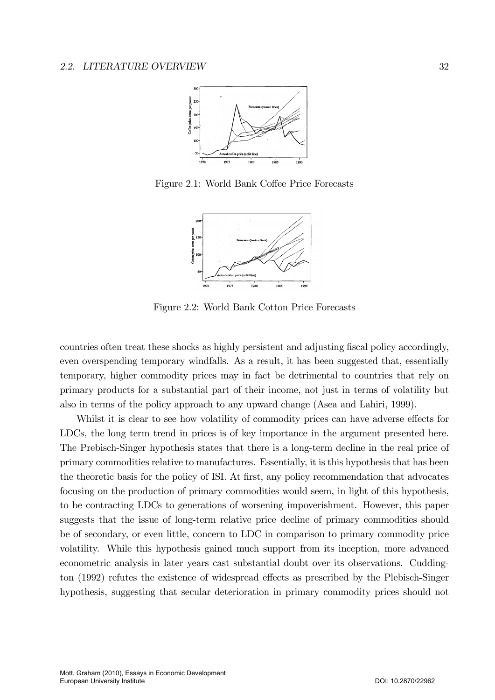

Figure 2.1: World Bank Coffee Price Forecasts



Figure 2.2: World Bank Cotton Price Forecasts

countries often treat these shocks as highly persistent and adjusting fiscal policy accordingly, even overspending temporary windfalls. As a result, it has been suggested that, essentially temporary, higher commodity prices may in fact be detrimental to countries that rely on primary products for a substantial part of their income, not just in terms of volatility but also in terms of the policy approach to any upward change (Asea and Lahiri, 1999).

Whilst it is clear to see how volatility of commodity prices can have adverse effects for LDCs, the long term trend in prices is of key importance in the argument presented here. The Prebisch-Singer hypothesis states that there is a long-term decline in the real price of primary commodities relative to manufactures. Essentially, it is this hypothesis that has been the theoretic basis for the policy of ISI. At first, any policy recommendation that advocates focusing on the production of primary commodities would seem, in light of this hypothesis, to be contracting LDCs to generations of worsening impoverishment. However, this paper suggests that the issue of long-term relative price decline of primary commodities should be of secondary, or even little, concern to LDC in comparison to primary commodity price volatility. While this hypothesis gained much support from its inception, more advanced econometric analysis in later years cast substantial doubt over its observations. Cuddington (1992) refutes the existence of widespread effects as prescribed by the Plebisch-Singer hypothesis, suggesting that secular deterioration in primary commodity prices should not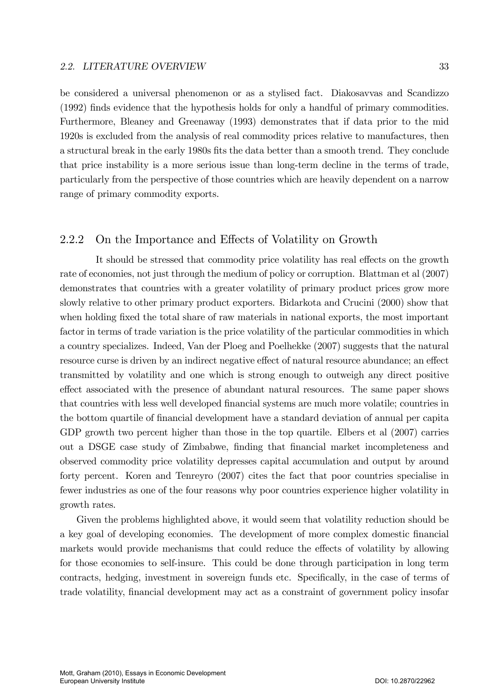#### 2.2. LITERATURE OVERVIEW 33

be considered a universal phenomenon or as a stylised fact. Diakosavvas and Scandizzo (1992) Önds evidence that the hypothesis holds for only a handful of primary commodities. Furthermore, Bleaney and Greenaway (1993) demonstrates that if data prior to the mid 1920s is excluded from the analysis of real commodity prices relative to manufactures, then a structural break in the early 1980s fits the data better than a smooth trend. They conclude that price instability is a more serious issue than long-term decline in the terms of trade, particularly from the perspective of those countries which are heavily dependent on a narrow range of primary commodity exports.

## 2.2.2 On the Importance and Effects of Volatility on Growth

It should be stressed that commodity price volatility has real effects on the growth rate of economies, not just through the medium of policy or corruption. Blattman et al (2007) demonstrates that countries with a greater volatility of primary product prices grow more slowly relative to other primary product exporters. Bidarkota and Crucini (2000) show that when holding fixed the total share of raw materials in national exports, the most important factor in terms of trade variation is the price volatility of the particular commodities in which a country specializes. Indeed, Van der Ploeg and Poelhekke (2007) suggests that the natural resource curse is driven by an indirect negative effect of natural resource abundance; an effect transmitted by volatility and one which is strong enough to outweigh any direct positive effect associated with the presence of abundant natural resources. The same paper shows that countries with less well developed financial systems are much more volatile; countries in the bottom quartile of Önancial development have a standard deviation of annual per capita GDP growth two percent higher than those in the top quartile. Elbers et al (2007) carries out a DSGE case study of Zimbabwe, finding that financial market incompleteness and observed commodity price volatility depresses capital accumulation and output by around forty percent. Koren and Tenreyro (2007) cites the fact that poor countries specialise in fewer industries as one of the four reasons why poor countries experience higher volatility in growth rates.

Given the problems highlighted above, it would seem that volatility reduction should be a key goal of developing economies. The development of more complex domestic Önancial markets would provide mechanisms that could reduce the effects of volatility by allowing for those economies to self-insure. This could be done through participation in long term contracts, hedging, investment in sovereign funds etc. Specifically, in the case of terms of trade volatility, Önancial development may act as a constraint of government policy insofar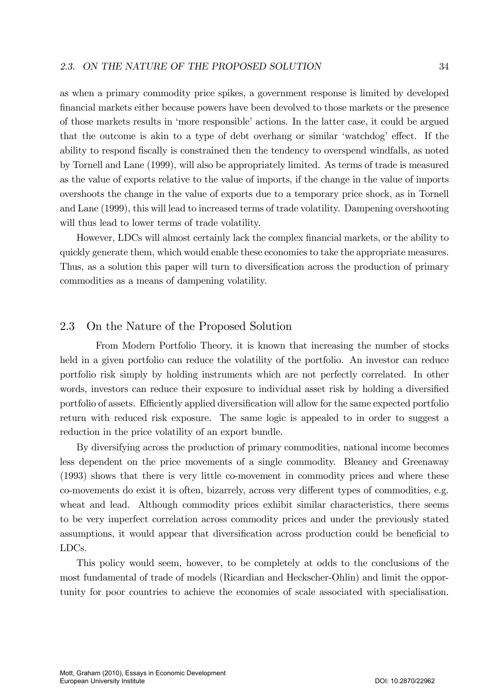as when a primary commodity price spikes, a government response is limited by developed Önancial markets either because powers have been devolved to those markets or the presence of those markets results in 'more responsible' actions. In the latter case, it could be argued that the outcome is akin to a type of debt overhang or similar 'watchdog' effect. If the ability to respond Öscally is constrained then the tendency to overspend windfalls, as noted by Tornell and Lane (1999), will also be appropriately limited. As terms of trade is measured as the value of exports relative to the value of imports, if the change in the value of imports overshoots the change in the value of exports due to a temporary price shock, as in Tornell and Lane (1999), this will lead to increased terms of trade volatility. Dampening overshooting will thus lead to lower terms of trade volatility.

However, LDCs will almost certainly lack the complex financial markets, or the ability to quickly generate them, which would enable these economies to take the appropriate measures. Thus, as a solution this paper will turn to diversification across the production of primary commodities as a means of dampening volatility.

## 2.3 On the Nature of the Proposed Solution

From Modern Portfolio Theory, it is known that increasing the number of stocks held in a given portfolio can reduce the volatility of the portfolio. An investor can reduce portfolio risk simply by holding instruments which are not perfectly correlated. In other words, investors can reduce their exposure to individual asset risk by holding a diversified portfolio of assets. Efficiently applied diversification will allow for the same expected portfolio return with reduced risk exposure. The same logic is appealed to in order to suggest a reduction in the price volatility of an export bundle.

By diversifying across the production of primary commodities, national income becomes less dependent on the price movements of a single commodity. Bleaney and Greenaway (1993) shows that there is very little co-movement in commodity prices and where these co-movements do exist it is often, bizarrely, across very different types of commodities, e.g. wheat and lead. Although commodity prices exhibit similar characteristics, there seems to be very imperfect correlation across commodity prices and under the previously stated assumptions, it would appear that diversification across production could be beneficial to LDCs.

This policy would seem, however, to be completely at odds to the conclusions of the most fundamental of trade of models (Ricardian and Heckscher-Ohlin) and limit the opportunity for poor countries to achieve the economies of scale associated with specialisation.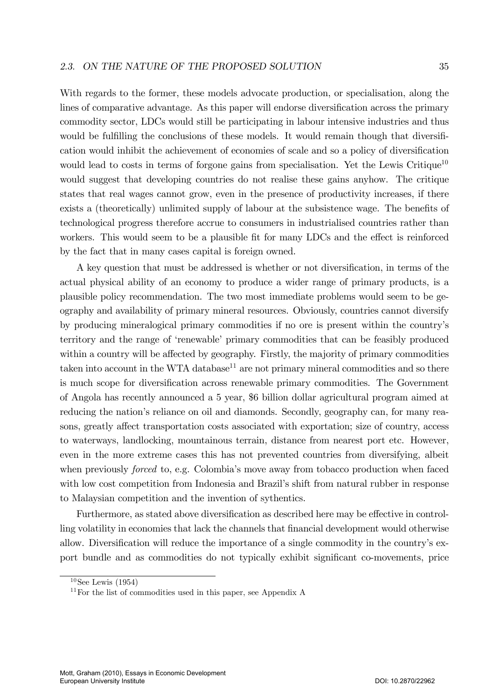With regards to the former, these models advocate production, or specialisation, along the lines of comparative advantage. As this paper will endorse diversification across the primary commodity sector, LDCs would still be participating in labour intensive industries and thus would be fulfilling the conclusions of these models. It would remain though that diversification would inhibit the achievement of economies of scale and so a policy of diversification would lead to costs in terms of forgone gains from specialisation. Yet the Lewis Critique<sup>10</sup> would suggest that developing countries do not realise these gains anyhow. The critique states that real wages cannot grow, even in the presence of productivity increases, if there exists a (theoretically) unlimited supply of labour at the subsistence wage. The benefits of technological progress therefore accrue to consumers in industrialised countries rather than workers. This would seem to be a plausible fit for many LDCs and the effect is reinforced by the fact that in many cases capital is foreign owned.

A key question that must be addressed is whether or not diversification, in terms of the actual physical ability of an economy to produce a wider range of primary products, is a plausible policy recommendation. The two most immediate problems would seem to be geography and availability of primary mineral resources. Obviously, countries cannot diversify by producing mineralogical primary commodities if no ore is present within the countryís territory and the range of 'renewable' primary commodities that can be feasibly produced within a country will be affected by geography. Firstly, the majority of primary commodities taken into account in the WTA database $11$  are not primary mineral commodities and so there is much scope for diversification across renewable primary commodities. The Government of Angola has recently announced a 5 year, \$6 billion dollar agricultural program aimed at reducing the nation's reliance on oil and diamonds. Secondly, geography can, for many reasons, greatly affect transportation costs associated with exportation; size of country, access to waterways, landlocking, mountainous terrain, distance from nearest port etc. However, even in the more extreme cases this has not prevented countries from diversifying, albeit when previously *forced* to, e.g. Colombia's move away from tobacco production when faced with low cost competition from Indonesia and Brazil's shift from natural rubber in response to Malaysian competition and the invention of sythentics.

Furthermore, as stated above diversification as described here may be effective in controlling volatility in economies that lack the channels that financial development would otherwise allow. Diversification will reduce the importance of a single commodity in the country's export bundle and as commodities do not typically exhibit significant co-movements, price

 $10$ See Lewis (1954)

<sup>11</sup>For the list of commodities used in this paper, see Appendix A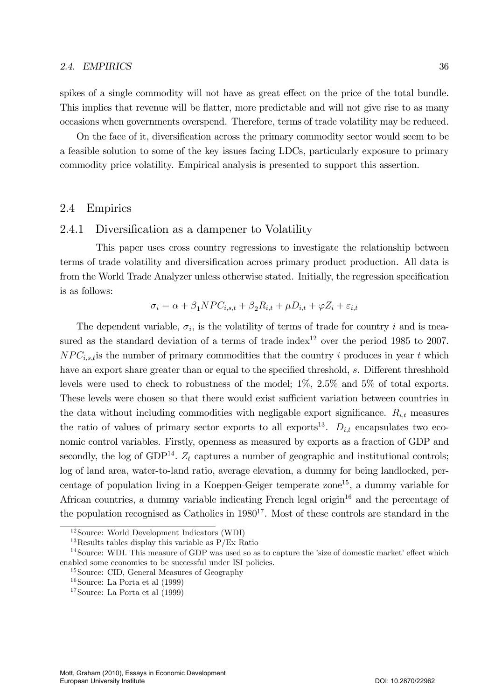spikes of a single commodity will not have as great effect on the price of the total bundle. This implies that revenue will be flatter, more predictable and will not give rise to as many occasions when governments overspend. Therefore, terms of trade volatility may be reduced.

On the face of it, diversification across the primary commodity sector would seem to be a feasible solution to some of the key issues facing LDCs, particularly exposure to primary commodity price volatility. Empirical analysis is presented to support this assertion.

## 2.4 Empirics

#### 2.4.1 Diversification as a dampener to Volatility

This paper uses cross country regressions to investigate the relationship between terms of trade volatility and diversification across primary product production. All data is from the World Trade Analyzer unless otherwise stated. Initially, the regression specification is as follows:

$$
\sigma_i = \alpha + \beta_1 NPC_{i,s,t} + \beta_2 R_{i,t} + \mu D_{i,t} + \varphi Z_i + \varepsilon_{i,t}
$$

The dependent variable,  $\sigma_i$ , is the volatility of terms of trade for country i and is measured as the standard deviation of a terms of trade index<sup>12</sup> over the period 1985 to 2007.  $NPC_{i,s,t}$  is the number of primary commodities that the country i produces in year t which have an export share greater than or equal to the specified threshold,  $s$ . Different threshold levels were used to check to robustness of the model; 1%, 2.5% and 5% of total exports. These levels were chosen so that there would exist sufficient variation between countries in the data without including commodities with negligable export significance.  $R_{i,t}$  measures the ratio of values of primary sector exports to all exports<sup>13</sup>.  $D_{i,t}$  encapsulates two economic control variables. Firstly, openness as measured by exports as a fraction of GDP and secondly, the log of GDP<sup>14</sup>.  $Z_t$  captures a number of geographic and institutional controls; log of land area, water-to-land ratio, average elevation, a dummy for being landlocked, percentage of population living in a Koeppen-Geiger temperate zone<sup>15</sup>, a dummy variable for African countries, a dummy variable indicating French legal origin<sup>16</sup> and the percentage of the population recognised as Catholics in  $1980^{17}$ . Most of these controls are standard in the

<sup>12</sup>Source: World Development Indicators (WDI)

<sup>&</sup>lt;sup>13</sup>Results tables display this variable as  $P/Ex$  Ratio

<sup>&</sup>lt;sup>14</sup>Source: WDI. This measure of GDP was used so as to capture the 'size of domestic market' effect which enabled some economies to be successful under ISI policies.

<sup>15</sup>Source: CID, General Measures of Geography

<sup>&</sup>lt;sup>16</sup>Source: La Porta et al  $(1999)$ 

<sup>&</sup>lt;sup>17</sup>Source: La Porta et al  $(1999)$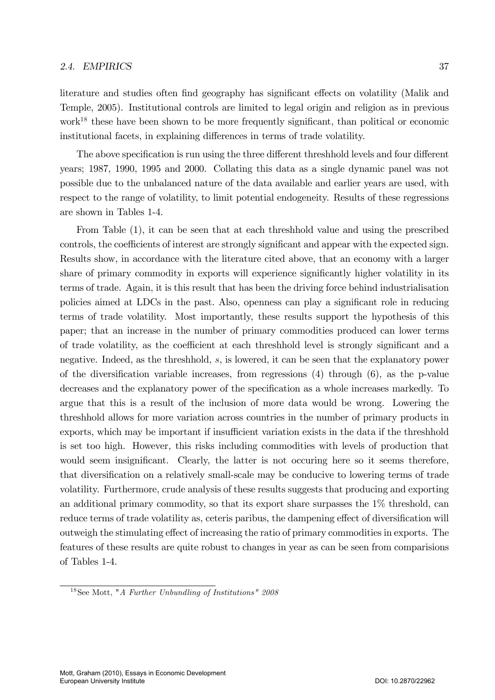literature and studies often find geography has significant effects on volatility (Malik and Temple, 2005). Institutional controls are limited to legal origin and religion as in previous work<sup>18</sup> these have been shown to be more frequently significant, than political or economic institutional facets, in explaining differences in terms of trade volatility.

The above specification is run using the three different threshhold levels and four different years; 1987, 1990, 1995 and 2000. Collating this data as a single dynamic panel was not possible due to the unbalanced nature of the data available and earlier years are used, with respect to the range of volatility, to limit potential endogeneity. Results of these regressions are shown in Tables 1-4.

From Table (1), it can be seen that at each threshhold value and using the prescribed controls, the coefficients of interest are strongly significant and appear with the expected sign. Results show, in accordance with the literature cited above, that an economy with a larger share of primary commodity in exports will experience significantly higher volatility in its terms of trade. Again, it is this result that has been the driving force behind industrialisation policies aimed at LDCs in the past. Also, openness can play a significant role in reducing terms of trade volatility. Most importantly, these results support the hypothesis of this paper; that an increase in the number of primary commodities produced can lower terms of trade volatility, as the coefficient at each threshhold level is strongly significant and a negative. Indeed, as the threshhold, s, is lowered, it can be seen that the explanatory power of the diversification variable increases, from regressions  $(4)$  through  $(6)$ , as the p-value decreases and the explanatory power of the specification as a whole increases markedly. To argue that this is a result of the inclusion of more data would be wrong. Lowering the threshhold allows for more variation across countries in the number of primary products in exports, which may be important if insufficient variation exists in the data if the threshhold is set too high. However, this risks including commodities with levels of production that would seem insignificant. Clearly, the latter is not occuring here so it seems therefore, that diversification on a relatively small-scale may be conducive to lowering terms of trade volatility. Furthermore, crude analysis of these results suggests that producing and exporting an additional primary commodity, so that its export share surpasses the 1% threshold, can reduce terms of trade volatility as, ceteris paribus, the dampening effect of diversification will outweigh the stimulating effect of increasing the ratio of primary commodities in exports. The features of these results are quite robust to changes in year as can be seen from comparisions of Tables 1-4.

<sup>18</sup>See Mott, "A Further Unbundling of Institutions" 2008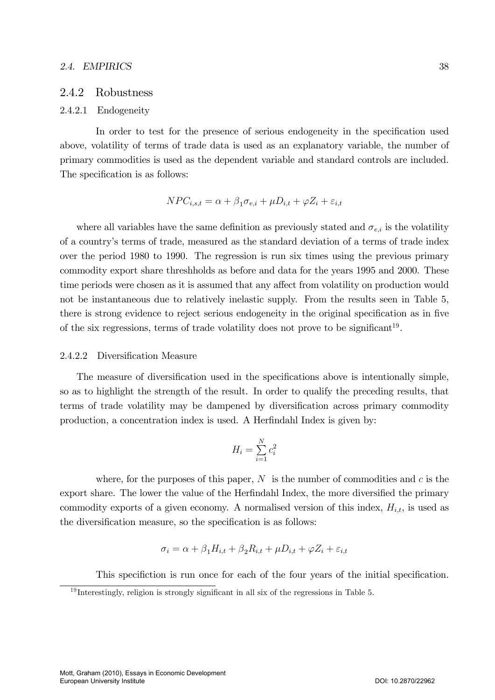### 2.4.2 Robustness

### 2.4.2.1 Endogeneity

In order to test for the presence of serious endogeneity in the specification used above, volatility of terms of trade data is used as an explanatory variable, the number of primary commodities is used as the dependent variable and standard controls are included. The specification is as follows:

$$
NPC_{i,s,t} = \alpha + \beta_1 \sigma_{e,i} + \mu D_{i,t} + \varphi Z_i + \varepsilon_{i,t}
$$

where all variables have the same definition as previously stated and  $\sigma_{e,i}$  is the volatility of a countryís terms of trade, measured as the standard deviation of a terms of trade index over the period 1980 to 1990. The regression is run six times using the previous primary commodity export share threshholds as before and data for the years 1995 and 2000. These time periods were chosen as it is assumed that any affect from volatility on production would not be instantaneous due to relatively inelastic supply. From the results seen in Table 5, there is strong evidence to reject serious endogeneity in the original specification as in five of the six regressions, terms of trade volatility does not prove to be significant<sup>19</sup>.

#### 2.4.2.2 Diversification Measure

The measure of diversification used in the specifications above is intentionally simple, so as to highlight the strength of the result. In order to qualify the preceding results, that terms of trade volatility may be dampened by diversification across primary commodity production, a concentration index is used. A Herfindahl Index is given by:

$$
H_i = \sum_{i=1}^{N} c_i^2
$$

where, for the purposes of this paper,  $N$  is the number of commodities and c is the export share. The lower the value of the Herfindahl Index, the more diversified the primary commodity exports of a given economy. A normalised version of this index,  $H_{i,t}$ , is used as the diversification measure, so the specification is as follows:

$$
\sigma_i = \alpha + \beta_1 H_{i,t} + \beta_2 R_{i,t} + \mu D_{i,t} + \varphi Z_i + \varepsilon_{i,t}
$$

This specifiction is run once for each of the four years of the initial specification.

 $19$  Interestingly, religion is strongly significant in all six of the regressions in Table 5.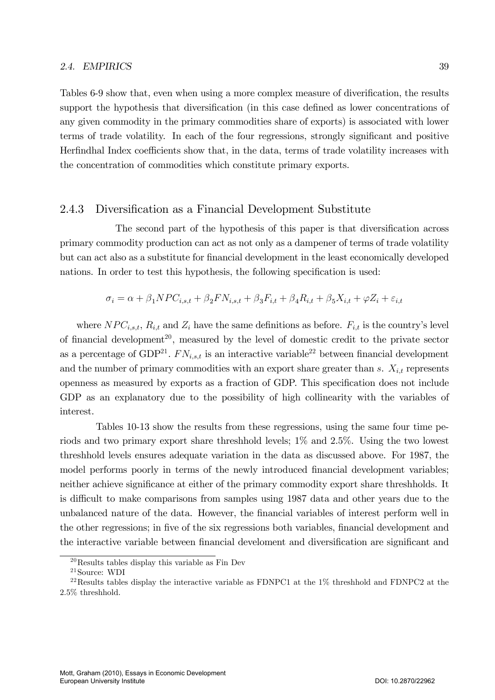Tables 6-9 show that, even when using a more complex measure of diverification, the results support the hypothesis that diversification (in this case defined as lower concentrations of any given commodity in the primary commodities share of exports) is associated with lower terms of trade volatility. In each of the four regressions, strongly significant and positive Herfindhal Index coefficients show that, in the data, terms of trade volatility increases with the concentration of commodities which constitute primary exports.

## 2.4.3 Diversification as a Financial Development Substitute

The second part of the hypothesis of this paper is that diversification across primary commodity production can act as not only as a dampener of terms of trade volatility but can act also as a substitute for Önancial development in the least economically developed nations. In order to test this hypothesis, the following specification is used:

$$
\sigma_i = \alpha + \beta_1 NPC_{i,s,t} + \beta_2 FN_{i,s,t} + \beta_3 F_{i,t} + \beta_4 R_{i,t} + \beta_5 X_{i,t} + \varphi Z_i + \varepsilon_{i,t}
$$

where  $NPC_{i,s,t}$ ,  $R_{i,t}$  and  $Z_i$  have the same definitions as before.  $F_{i,t}$  is the country's level of financial development<sup>20</sup>, measured by the level of domestic credit to the private sector as a percentage of GDP<sup>21</sup>.  $FN_{i,s,t}$  is an interactive variable<sup>22</sup> between financial development and the number of primary commodities with an export share greater than s.  $X_{i,t}$  represents openness as measured by exports as a fraction of GDP. This specification does not include GDP as an explanatory due to the possibility of high collinearity with the variables of interest.

Tables 10-13 show the results from these regressions, using the same four time periods and two primary export share threshhold levels; 1% and 2.5%. Using the two lowest threshhold levels ensures adequate variation in the data as discussed above. For 1987, the model performs poorly in terms of the newly introduced financial development variables; neither achieve significance at either of the primary commodity export share threshholds. It is difficult to make comparisons from samples using 1987 data and other years due to the unbalanced nature of the data. However, the financial variables of interest perform well in the other regressions; in five of the six regressions both variables, financial development and the interactive variable between financial develoment and diversification are significant and

 $20$ Results tables display this variable as Fin Dev

<sup>21</sup>Source: WDI

<sup>&</sup>lt;sup>22</sup>Results tables display the interactive variable as FDNPC1 at the  $1\%$  threshhold and FDNPC2 at the 2.5% threshhold.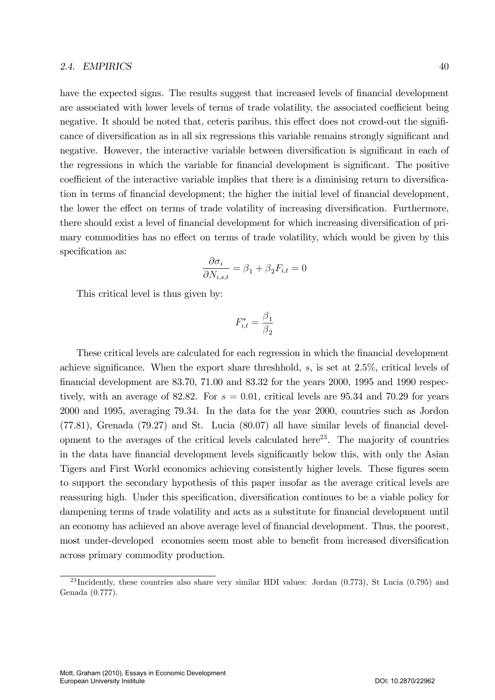have the expected signs. The results suggest that increased levels of financial development are associated with lower levels of terms of trade volatility, the associated coefficient being negative. It should be noted that, ceteris paribus, this effect does not crowd-out the significance of diversification as in all six regressions this variable remains strongly significant and negative. However, the interactive variable between diversification is significant in each of the regressions in which the variable for financial development is significant. The positive coefficient of the interactive variable implies that there is a diminising return to diversification in terms of financial development; the higher the initial level of financial development, the lower the effect on terms of trade volatility of increasing diversification. Furthermore, there should exist a level of financial development for which increasing diversification of primary commodities has no effect on terms of trade volatility, which would be given by this specification as:

$$
\frac{\partial \sigma_i}{\partial N_{i,s,t}} = \beta_1 + \beta_2 F_{i,t} = 0
$$

This critical level is thus given by:

$$
F_{i,t}^*=\frac{\beta_1}{\beta_2}
$$

These critical levels are calculated for each regression in which the financial development achieve significance. When the export share threshhold,  $s$ , is set at 2.5%, critical levels of financial development are  $83.70$ ,  $71.00$  and  $83.32$  for the years  $2000$ ,  $1995$  and  $1990$  respectively, with an average of 82.82. For  $s = 0.01$ , critical levels are 95.34 and 70.29 for years 2000 and 1995, averaging 79.34. In the data for the year 2000, countries such as Jordon  $(77.81)$ , Grenada  $(79.27)$  and St. Lucia  $(80.07)$  all have similar levels of financial development to the averages of the critical levels calculated here<sup>23</sup>. The majority of countries in the data have financial development levels significantly below this, with only the Asian Tigers and First World economics achieving consistently higher levels. These figures seem to support the secondary hypothesis of this paper insofar as the average critical levels are reassuring high. Under this specification, diversification continues to be a viable policy for dampening terms of trade volatility and acts as a substitute for financial development until an economy has achieved an above average level of financial development. Thus, the poorest, most under-developed economies seem most able to benefit from increased diversification across primary commodity production.

<sup>&</sup>lt;sup>23</sup>Incidently, these countries also share very similar HDI values: Jordan  $(0.773)$ , St Lucia  $(0.795)$  and Genada (0.777).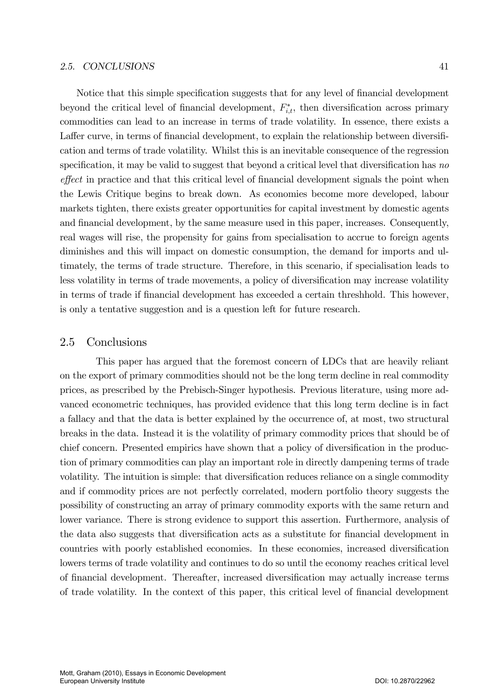#### 2.5. CONCLUSIONS 41

Notice that this simple specification suggests that for any level of financial development beyond the critical level of financial development,  $F_{i,t}^*$ , then diversification across primary commodities can lead to an increase in terms of trade volatility. In essence, there exists a Laffer curve, in terms of financial development, to explain the relationship between diversification and terms of trade volatility. Whilst this is an inevitable consequence of the regression specification, it may be valid to suggest that beyond a critical level that diversification has no effect in practice and that this critical level of financial development signals the point when the Lewis Critique begins to break down. As economies become more developed, labour markets tighten, there exists greater opportunities for capital investment by domestic agents and financial development, by the same measure used in this paper, increases. Consequently, real wages will rise, the propensity for gains from specialisation to accrue to foreign agents diminishes and this will impact on domestic consumption, the demand for imports and ultimately, the terms of trade structure. Therefore, in this scenario, if specialisation leads to less volatility in terms of trade movements, a policy of diversification may increase volatility in terms of trade if financial development has exceeded a certain threshhold. This however, is only a tentative suggestion and is a question left for future research.

## 2.5 Conclusions

This paper has argued that the foremost concern of LDCs that are heavily reliant on the export of primary commodities should not be the long term decline in real commodity prices, as prescribed by the Prebisch-Singer hypothesis. Previous literature, using more advanced econometric techniques, has provided evidence that this long term decline is in fact a fallacy and that the data is better explained by the occurrence of, at most, two structural breaks in the data. Instead it is the volatility of primary commodity prices that should be of chief concern. Presented empirics have shown that a policy of diversification in the production of primary commodities can play an important role in directly dampening terms of trade volatility. The intuition is simple: that diversification reduces reliance on a single commodity and if commodity prices are not perfectly correlated, modern portfolio theory suggests the possibility of constructing an array of primary commodity exports with the same return and lower variance. There is strong evidence to support this assertion. Furthermore, analysis of the data also suggests that diversification acts as a substitute for financial development in countries with poorly established economies. In these economies, increased diversification lowers terms of trade volatility and continues to do so until the economy reaches critical level of financial development. Thereafter, increased diversification may actually increase terms of trade volatility. In the context of this paper, this critical level of Önancial development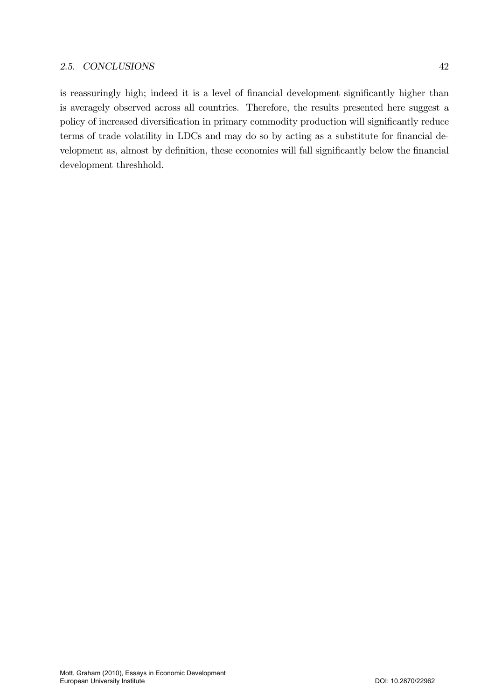is reassuringly high; indeed it is a level of financial development significantly higher than is averagely observed across all countries. Therefore, the results presented here suggest a policy of increased diversification in primary commodity production will significantly reduce terms of trade volatility in LDCs and may do so by acting as a substitute for financial development as, almost by definition, these economies will fall significantly below the financial development threshhold.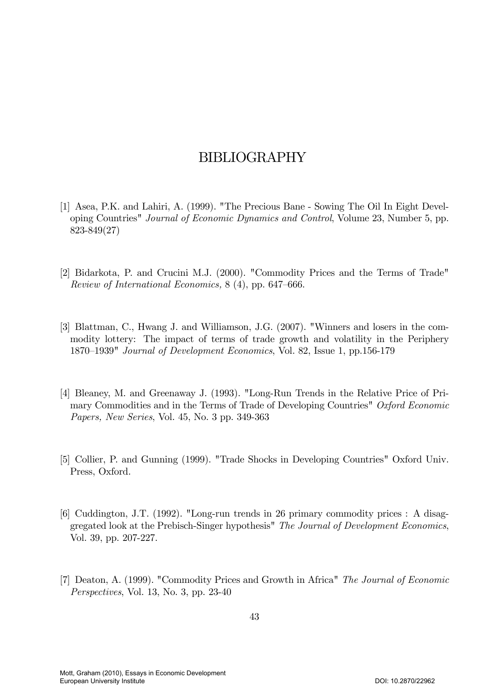## BIBLIOGRAPHY

- [1] Asea, P.K. and Lahiri, A. (1999). "The Precious Bane Sowing The Oil In Eight Developing Countries" Journal of Economic Dynamics and Control, Volume 23, Number 5, pp. 823-849(27)
- [2] Bidarkota, P. and Crucini M.J. (2000). "Commodity Prices and the Terms of Trade" Review of International Economics,  $8(4)$ , pp. 647–666.
- [3] Blattman, C., Hwang J. and Williamson, J.G. (2007). "Winners and losers in the commodity lottery: The impact of terms of trade growth and volatility in the Periphery 1870–1939" Journal of Development Economics, Vol. 82, Issue 1, pp.156-179
- [4] Bleaney, M. and Greenaway J. (1993). "Long-Run Trends in the Relative Price of Primary Commodities and in the Terms of Trade of Developing Countries" Oxford Economic Papers, New Series, Vol. 45, No. 3 pp. 349-363
- [5] Collier, P. and Gunning (1999). "Trade Shocks in Developing Countries" Oxford Univ. Press, Oxford.
- [6] Cuddington, J.T. (1992). "Long-run trends in 26 primary commodity prices : A disaggregated look at the Prebisch-Singer hypothesis" The Journal of Development Economics, Vol. 39, pp. 207-227.
- [7] Deaton, A. (1999). "Commodity Prices and Growth in Africa" The Journal of Economic Perspectives, Vol. 13, No. 3, pp. 23-40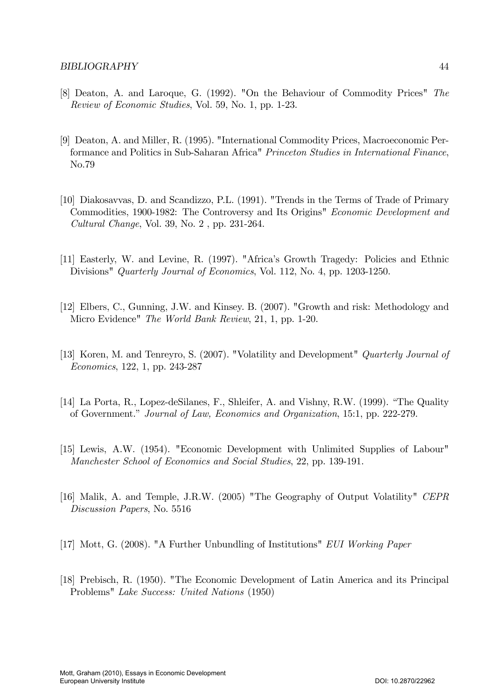- [8] Deaton, A. and Laroque, G. (1992). "On the Behaviour of Commodity Prices" The Review of Economic Studies, Vol. 59, No. 1, pp. 1-23.
- [9] Deaton, A. and Miller, R. (1995). "International Commodity Prices, Macroeconomic Performance and Politics in Sub-Saharan Africa" Princeton Studies in International Finance, No.79
- [10] Diakosavvas, D. and Scandizzo, P.L. (1991). "Trends in the Terms of Trade of Primary Commodities, 1900-1982: The Controversy and Its Origins" Economic Development and Cultural Change, Vol. 39, No. 2 , pp. 231-264.
- [11] Easterly, W. and Levine, R. (1997). "Africaís Growth Tragedy: Policies and Ethnic Divisions" Quarterly Journal of Economics, Vol. 112, No. 4, pp. 1203-1250.
- [12] Elbers, C., Gunning, J.W. and Kinsey. B. (2007). "Growth and risk: Methodology and Micro Evidence" The World Bank Review, 21, 1, pp. 1-20.
- [13] Koren, M. and Tenreyro, S. (2007). "Volatility and Development" Quarterly Journal of Economics, 122, 1, pp. 243-287
- [14] La Porta, R., Lopez-deSilanes, F., Shleifer, A. and Vishny, R.W. (1999). "The Quality of Government." Journal of Law, Economics and Organization, 15:1, pp. 222-279.
- [15] Lewis, A.W. (1954). "Economic Development with Unlimited Supplies of Labour" Manchester School of Economics and Social Studies, 22, pp. 139-191.
- [16] Malik, A. and Temple, J.R.W. (2005) "The Geography of Output Volatility" CEPR Discussion Papers, No. 5516
- [17] Mott, G. (2008). "A Further Unbundling of Institutions" EUI Working Paper
- [18] Prebisch, R. (1950). "The Economic Development of Latin America and its Principal Problems" Lake Success: United Nations (1950)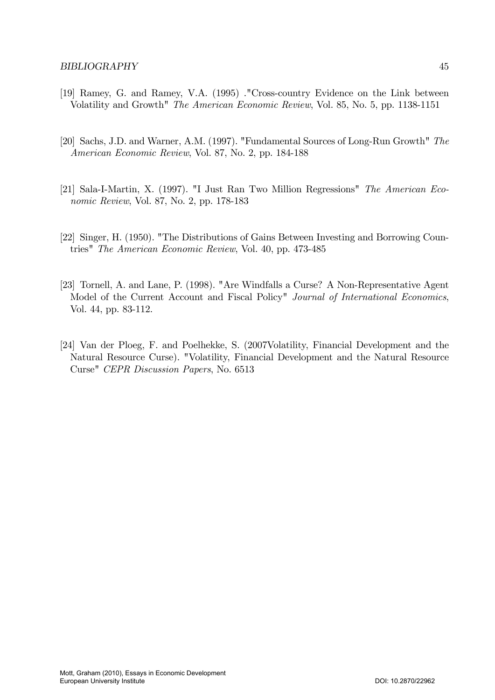- [19] Ramey, G. and Ramey, V.A. (1995) ."Cross-country Evidence on the Link between Volatility and Growth" The American Economic Review, Vol. 85, No. 5, pp. 1138-1151
- [20] Sachs, J.D. and Warner, A.M. (1997). "Fundamental Sources of Long-Run Growth" The American Economic Review, Vol. 87, No. 2, pp. 184-188
- [21] Sala-I-Martin, X. (1997). "I Just Ran Two Million Regressions" The American Economic Review, Vol. 87, No. 2, pp. 178-183
- [22] Singer, H. (1950). "The Distributions of Gains Between Investing and Borrowing Countries" The American Economic Review, Vol. 40, pp. 473-485
- [23] Tornell, A. and Lane, P. (1998). "Are Windfalls a Curse? A Non-Representative Agent Model of the Current Account and Fiscal Policy" Journal of International Economics, Vol. 44, pp. 83-112.
- [24] Van der Ploeg, F. and Poelhekke, S. (2007Volatility, Financial Development and the Natural Resource Curse). "Volatility, Financial Development and the Natural Resource Curse" CEPR Discussion Papers, No. 6513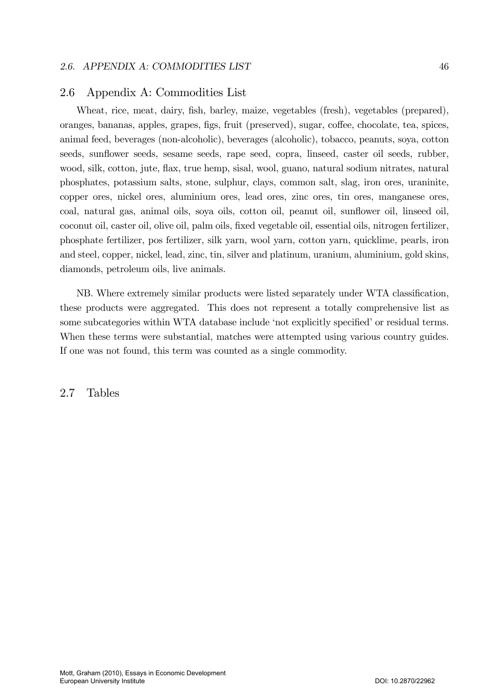## 2.6 Appendix A: Commodities List

Wheat, rice, meat, dairy, fish, barley, maize, vegetables (fresh), vegetables (prepared), oranges, bananas, apples, grapes, figs, fruit (preserved), sugar, coffee, chocolate, tea, spices, animal feed, beverages (non-alcoholic), beverages (alcoholic), tobacco, peanuts, soya, cotton seeds, sunflower seeds, sesame seeds, rape seed, copra, linseed, caster oil seeds, rubber, wood, silk, cotton, jute, áax, true hemp, sisal, wool, guano, natural sodium nitrates, natural phosphates, potassium salts, stone, sulphur, clays, common salt, slag, iron ores, uraninite, copper ores, nickel ores, aluminium ores, lead ores, zinc ores, tin ores, manganese ores, coal, natural gas, animal oils, soya oils, cotton oil, peanut oil, sunflower oil, linseed oil, coconut oil, caster oil, olive oil, palm oils, fixed vegetable oil, essential oils, nitrogen fertilizer, phosphate fertilizer, pos fertilizer, silk yarn, wool yarn, cotton yarn, quicklime, pearls, iron and steel, copper, nickel, lead, zinc, tin, silver and platinum, uranium, aluminium, gold skins, diamonds, petroleum oils, live animals.

NB. Where extremely similar products were listed separately under WTA classification, these products were aggregated. This does not represent a totally comprehensive list as some subcategories within WTA database include 'not explicitly specified' or residual terms. When these terms were substantial, matches were attempted using various country guides. If one was not found, this term was counted as a single commodity.

2.7 Tables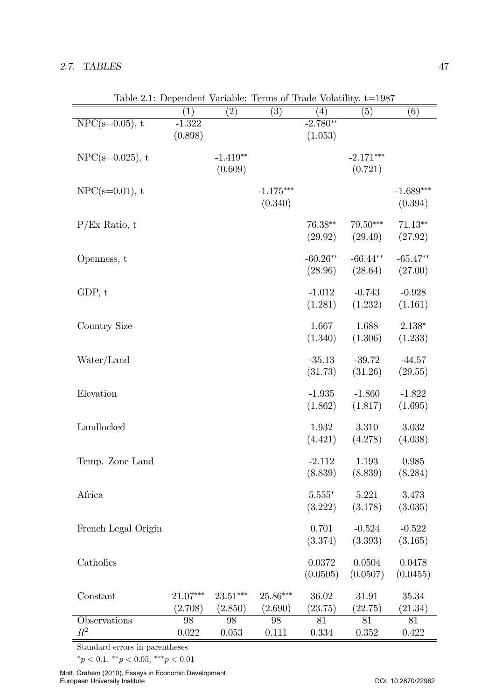|                     |                  |            |             | карге 2.1. Беренасно танарге. тенир от тнаас топалнот, |             |             |
|---------------------|------------------|------------|-------------|--------------------------------------------------------|-------------|-------------|
|                     | $\left(1\right)$ | (2)        | (3)         | $\left(4\right)$                                       | (5)         | (6)         |
| $NPC(s=0.05), t$    | $-1.322$         |            |             | $-2.780**$                                             |             |             |
|                     | (0.898)          |            |             | (1.053)                                                |             |             |
|                     |                  |            |             |                                                        |             |             |
| $NPC(s=0.025)$ , t  |                  | $-1.419**$ |             |                                                        | $-2.171***$ |             |
|                     |                  | (0.609)    |             |                                                        | (0.721)     |             |
|                     |                  |            |             |                                                        |             |             |
| $NPC(s=0.01), t$    |                  |            | $-1.175***$ |                                                        |             | $-1.689***$ |
|                     |                  |            | (0.340)     |                                                        |             | (0.394)     |
|                     |                  |            |             |                                                        |             |             |
| $P/Ex$ Ratio, t     |                  |            |             | 76.38**                                                | $79.50***$  | $71.13**$   |
|                     |                  |            |             | (29.92)                                                |             |             |
|                     |                  |            |             |                                                        | (29.49)     | (27.92)     |
|                     |                  |            |             | $-60.26**$                                             | $-66.44**$  | $-65.47**$  |
| Openness, t         |                  |            |             |                                                        |             |             |
|                     |                  |            |             | (28.96)                                                | (28.64)     | (27.00)     |
|                     |                  |            |             |                                                        |             |             |
| GDP, t              |                  |            |             | $-1.012$                                               | $-0.743$    | $-0.928$    |
|                     |                  |            |             | (1.281)                                                | (1.232)     | (1.161)     |
|                     |                  |            |             |                                                        |             |             |
| Country Size        |                  |            |             | 1.667                                                  | 1.688       | $2.138*$    |
|                     |                  |            |             | (1.340)                                                | (1.306)     | (1.233)     |
|                     |                  |            |             |                                                        |             |             |
| Water/Land          |                  |            |             | $-35.13$                                               | $-39.72$    | $-44.57$    |
|                     |                  |            |             | (31.73)                                                | (31.26)     | (29.55)     |
|                     |                  |            |             |                                                        |             |             |
| Elevation           |                  |            |             | $-1.935$                                               | $-1.860$    | $-1.822$    |
|                     |                  |            |             |                                                        |             |             |
|                     |                  |            |             | (1.862)                                                | (1.817)     | (1.695)     |
|                     |                  |            |             |                                                        |             |             |
| Landlocked          |                  |            |             | 1.932                                                  | 3.310       | $3.032\,$   |
|                     |                  |            |             | (4.421)                                                | (4.278)     | (4.038)     |
|                     |                  |            |             |                                                        |             |             |
| Temp. Zone Land     |                  |            |             | $-2.112$                                               | 1.193       | 0.985       |
|                     |                  |            |             | (8.839)                                                | (8.839)     | (8.284)     |
|                     |                  |            |             |                                                        |             |             |
| Africa              |                  |            |             | $5.555*$                                               | 5.221       | 3.473       |
|                     |                  |            |             | (3.222)                                                | (3.178)     | (3.035)     |
|                     |                  |            |             |                                                        |             |             |
| French Legal Origin |                  |            |             | 0.701                                                  | $-0.524$    | $-0.522$    |
|                     |                  |            |             | (3.374)                                                | (3.393)     | (3.165)     |
|                     |                  |            |             |                                                        |             |             |
| Catholics           |                  |            |             | 0.0372                                                 | 0.0504      | 0.0478      |
|                     |                  |            |             |                                                        |             |             |
|                     |                  |            |             | (0.0505)                                               | (0.0507)    | (0.0455)    |
|                     |                  |            |             |                                                        |             |             |
| Constant            | 21.07***         | $23.51***$ | 25.86***    | 36.02                                                  | 31.91       | 35.34       |
|                     | (2.708)          | (2.850)    | (2.690)     | (23.75)                                                | (22.75)     | (21.34)     |
| Observations        | 98               | 98         | 98          | 81                                                     | 81          | 81          |
| $R^2$               | 0.022            | $0.053\,$  | 0.111       | 0.334                                                  | 0.352       | 0.422       |

Table 2.1: Dependent Variable: Terms of Trade Volatility, t=1987

 $*_{p} < 0.1, **_{p} < 0.05, **_{p} < 0.01$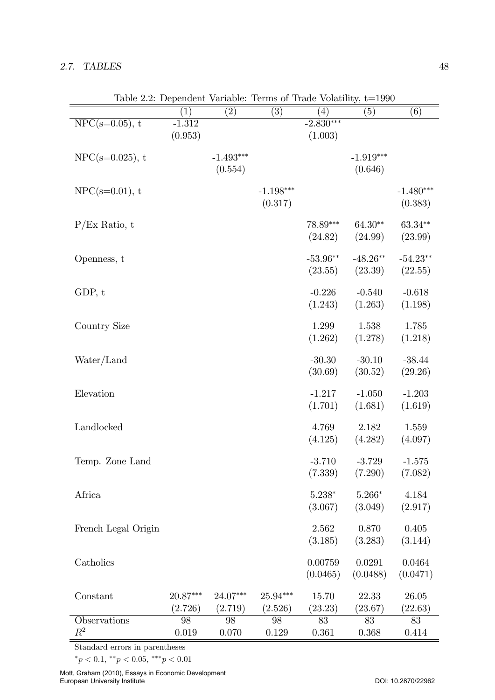|                       | $\left( 1\right)$ | $\left( 2\right)$ | (3)         | $\left( 4\right)$ | (5)                | (6)         |
|-----------------------|-------------------|-------------------|-------------|-------------------|--------------------|-------------|
| $NPC(s=0.05), t$      | $-1.312$          |                   |             | $-2.830***$       |                    |             |
|                       | (0.953)           |                   |             | (1.003)           |                    |             |
|                       |                   |                   |             |                   |                    |             |
| NPC( $s=0.025$ ), t   |                   | $-1.493***$       |             |                   | $-1.919***$        |             |
|                       |                   | (0.554)           |             |                   | (0.646)            |             |
| $NPC(s=0.01), t$      |                   |                   | $-1.198***$ |                   |                    | $-1.480***$ |
|                       |                   |                   | (0.317)     |                   |                    | (0.383)     |
|                       |                   |                   |             |                   |                    |             |
| $P/Ex$ Ratio, t       |                   |                   |             | 78.89***          | $64.30**$          | $63.34**$   |
|                       |                   |                   |             | (24.82)           | (24.99)            | (23.99)     |
| Openness, t           |                   |                   |             | $-53.96**$        | $-48.26**$         | $-54.23**$  |
|                       |                   |                   |             | (23.55)           | (23.39)            | (22.55)     |
|                       |                   |                   |             |                   |                    |             |
| GDP, t                |                   |                   |             | $-0.226$          | $-0.540$           | $-0.618$    |
|                       |                   |                   |             | (1.243)           | (1.263)<br>(1.198) |             |
| Country Size          |                   |                   |             | $1.299\,$         | 1.538              | 1.785       |
|                       |                   |                   |             | (1.262)           | (1.278)            | (1.218)     |
|                       |                   |                   |             |                   |                    |             |
| Water/Land            |                   |                   |             | $-30.30$          | $-30.10$           | $-38.44$    |
|                       |                   |                   |             | (30.69)           | (30.52)            | (29.26)     |
| Elevation             |                   |                   |             | $-1.217$          | $-1.050$           | $-1.203$    |
|                       |                   |                   |             | (1.701)           | (1.681)            | (1.619)     |
|                       |                   |                   |             |                   |                    |             |
| Landlocked            |                   |                   |             | 4.769             | 2.182              | 1.559       |
|                       |                   |                   |             | (4.125)           | (4.282)            | (4.097)     |
| Temp. Zone Land       |                   |                   |             | $-3.710$          | $-3.729$           | $-1.575$    |
|                       |                   |                   |             | (7.339)           | (7.290)            | (7.082)     |
|                       |                   |                   |             |                   |                    |             |
| Africa                |                   |                   |             | $5.238*$          | $5.266*$           | 4.184       |
|                       |                   |                   |             | (3.067)           | (3.049)            | (2.917)     |
|                       |                   |                   |             |                   |                    | 0.405       |
| French Legal Origin   |                   |                   |             | 2.562<br>(3.185)  | 0.870<br>(3.283)   |             |
|                       |                   |                   |             |                   |                    | (3.144)     |
| Catholics             |                   |                   |             | 0.00759           | 0.0291             | 0.0464      |
|                       |                   |                   |             | (0.0465)          | (0.0488)           | (0.0471)    |
|                       |                   |                   |             |                   |                    |             |
| Constant              | $20.87***$        | $24.07***$        | 25.94***    | 15.70             | 22.33              | 26.05       |
|                       | (2.726)           | (2.719)           | (2.526)     | (23.23)           | (23.67)            | (22.63)     |
| Observations<br>$R^2$ | 98                | 98                | 98          | 83                | 83                 | 83          |
|                       | 0.019             | 0.070             | 0.129       | 0.361             | 0.368              | 0.414       |

Table 2.2: Dependent Variable: Terms of Trade Volatility, t=1990

Standard errors in parentheses

 $*_{p} < 0.1, **_{p} < 0.05, **_{p} < 0.01$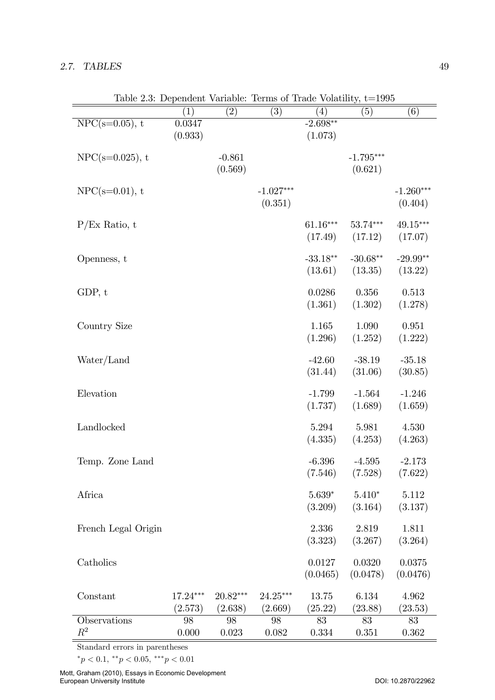|                     | (1)       | (2)        | (3)         | (4)        | (5)         | (6)         |
|---------------------|-----------|------------|-------------|------------|-------------|-------------|
| $NPC(s=0.05), t$    | 0.0347    |            |             | $-2.698**$ |             |             |
|                     | (0.933)   |            |             | (1.073)    |             |             |
|                     |           |            |             |            |             |             |
| $NPC(s=0.025)$ , t  |           | $-0.861$   |             |            | $-1.795***$ |             |
|                     |           | (0.569)    |             |            | (0.621)     |             |
|                     |           |            |             |            |             |             |
| $NPC(s=0.01)$ , t   |           |            | $-1.027***$ |            |             | $-1.260***$ |
|                     |           |            | (0.351)     |            |             | (0.404)     |
|                     |           |            |             |            |             |             |
| $P/Ex$ Ratio, t     |           |            |             | $61.16***$ | $53.74***$  | $49.15***$  |
|                     |           |            |             | (17.49)    | (17.12)     | (17.07)     |
| Openness, t         |           |            |             | $-33.18**$ | $-30.68**$  | $-29.99**$  |
|                     |           |            |             | (13.61)    | (13.35)     |             |
|                     |           |            |             |            |             | (13.22)     |
| GDP, t              |           |            |             | 0.0286     | 0.356       | 0.513       |
|                     |           |            |             | (1.361)    | (1.302)     | (1.278)     |
|                     |           |            |             |            |             |             |
| Country Size        |           |            |             | 1.165      | 1.090       | 0.951       |
|                     |           |            |             | (1.296)    | (1.252)     | (1.222)     |
|                     |           |            |             |            |             |             |
| Water/Land          |           |            |             | $-42.60$   | $-38.19$    | $-35.18$    |
|                     |           |            |             | (31.44)    | (31.06)     | (30.85)     |
|                     |           |            |             |            |             |             |
| Elevation           |           |            |             | $-1.799$   | $-1.564$    | $-1.246$    |
|                     |           |            |             | (1.737)    | (1.689)     | (1.659)     |
|                     |           |            |             |            |             |             |
| Landlocked          |           |            |             | 5.294      | 5.981       | 4.530       |
|                     |           |            |             | (4.335)    | (4.253)     | (4.263)     |
| Temp. Zone Land     |           |            |             | $-6.396$   | $-4.595$    | $-2.173$    |
|                     |           |            |             |            |             |             |
|                     |           |            |             | (7.546)    | (7.528)     | (7.622)     |
| Africa              |           |            |             | $5.639*$   | $5.410*$    | 5.112       |
|                     |           |            |             | (3.209)    | (3.164)     | (3.137)     |
|                     |           |            |             |            |             |             |
| French Legal Origin |           |            |             | 2.336      | 2.819       | 1.811       |
|                     |           |            |             | (3.323)    | (3.267)     | (3.264)     |
|                     |           |            |             |            |             |             |
| Catholics           |           |            |             | 0.0127     | 0.0320      | 0.0375      |
|                     |           |            |             | (0.0465)   | (0.0478)    | (0.0476)    |
|                     |           |            |             |            |             |             |
| Constant            | 17.24***  | $20.82***$ | 24.25***    | 13.75      | 6.134       | 4.962       |
|                     | (2.573)   | (2.638)    | (2.669)     | (25.22)    | (23.88)     | (23.53)     |
| Observations        | 98        | 98         | 98          | 83         | 83          | 83          |
| $R^2$               | $0.000\,$ | 0.023      | 0.082       | 0.334      | 0.351       | 0.362       |

Table 2.3: Dependent Variable: Terms of Trade Volatility, t=1995

 $*_{p} < 0.1, **_{p} < 0.05, **_{p} < 0.01$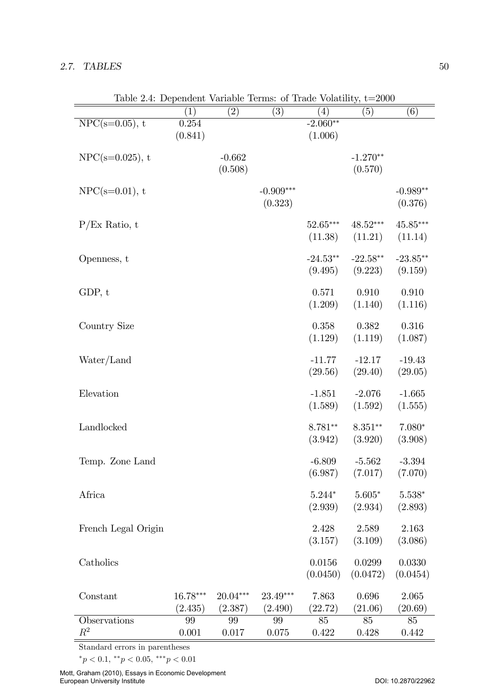| (6)<br>$\left( 1\right)$<br>(2)<br>(3)<br>$\left( 4\right)$<br>(5)<br>$-2.060**$<br>$NPC(s=0.05), t$<br>0.254<br>(0.841)<br>(1.006)<br>$NPC(s=0.025), t$<br>$-0.662$<br>$-1.270**$<br>(0.508)<br>(0.570)<br>$NPC(s=0.01), t$<br>$-0.909***$<br>$-0.989**$<br>(0.323)<br>(0.376)<br>$48.52***$<br>$45.85***$<br>$52.65***$<br>$P/Ex$ Ratio, t<br>(11.38)<br>(11.21)<br>(11.14)<br>$-24.53**$<br>$-22.58**$<br>$-23.85**$<br>Openness, t<br>(9.495)<br>(9.223)<br>(9.159)<br>0.910<br>0.910<br>GDP, t<br>0.571<br>(1.209)<br>(1.140)<br>(1.116)<br>0.382<br>$0.316\,$<br>Country Size<br>0.358<br>(1.129)<br>(1.119)<br>(1.087)<br>$-12.17$<br>$-19.43$<br>Water/Land<br>$-11.77$<br>(29.56)<br>(29.40)<br>(29.05)<br>Elevation<br>$-1.851$<br>$-2.076$<br>$-1.665$<br>(1.589)<br>(1.592)<br>(1.555)<br>8.781**<br>$7.080*$<br>Landlocked<br>$8.351**$<br>(3.942)<br>(3.920)<br>(3.908)<br>$-6.809$<br>$-5.562$<br>Temp. Zone Land<br>$-3.394$<br>(6.987)<br>(7.070)<br>(7.017)<br>Africa<br>$5.244*$<br>$5.605*$<br>$5.538*$<br>(2.934)<br>(2.939)<br>(2.893)<br>French Legal Origin<br>2.428<br>2.589<br>2.163<br>(3.157)<br>(3.109)<br>(3.086)<br>Catholics<br>0.0156<br>0.0299<br>0.0330<br>(0.0450)<br>(0.0472)<br>(0.0454)<br>16.78***<br>$20.04***$<br>23.49***<br>7.863<br>0.696<br>2.065<br>Constant<br>(21.06)<br>(2.435)<br>(2.387)<br>(2.490)<br>(22.72)<br>(20.69)<br>Observations<br>85<br>99<br>99<br>99<br>85<br>85<br>$R^2$<br>0.001<br>0.017<br>$0.075\,$<br>0.422<br>0.428<br>0.442 |  |  |  |  |
|------------------------------------------------------------------------------------------------------------------------------------------------------------------------------------------------------------------------------------------------------------------------------------------------------------------------------------------------------------------------------------------------------------------------------------------------------------------------------------------------------------------------------------------------------------------------------------------------------------------------------------------------------------------------------------------------------------------------------------------------------------------------------------------------------------------------------------------------------------------------------------------------------------------------------------------------------------------------------------------------------------------------------------------------------------------------------------------------------------------------------------------------------------------------------------------------------------------------------------------------------------------------------------------------------------------------------------------------------------------------------------------------------------------------------------------------------------------------------------------------------|--|--|--|--|
|                                                                                                                                                                                                                                                                                                                                                                                                                                                                                                                                                                                                                                                                                                                                                                                                                                                                                                                                                                                                                                                                                                                                                                                                                                                                                                                                                                                                                                                                                                      |  |  |  |  |
|                                                                                                                                                                                                                                                                                                                                                                                                                                                                                                                                                                                                                                                                                                                                                                                                                                                                                                                                                                                                                                                                                                                                                                                                                                                                                                                                                                                                                                                                                                      |  |  |  |  |
|                                                                                                                                                                                                                                                                                                                                                                                                                                                                                                                                                                                                                                                                                                                                                                                                                                                                                                                                                                                                                                                                                                                                                                                                                                                                                                                                                                                                                                                                                                      |  |  |  |  |
|                                                                                                                                                                                                                                                                                                                                                                                                                                                                                                                                                                                                                                                                                                                                                                                                                                                                                                                                                                                                                                                                                                                                                                                                                                                                                                                                                                                                                                                                                                      |  |  |  |  |
|                                                                                                                                                                                                                                                                                                                                                                                                                                                                                                                                                                                                                                                                                                                                                                                                                                                                                                                                                                                                                                                                                                                                                                                                                                                                                                                                                                                                                                                                                                      |  |  |  |  |
|                                                                                                                                                                                                                                                                                                                                                                                                                                                                                                                                                                                                                                                                                                                                                                                                                                                                                                                                                                                                                                                                                                                                                                                                                                                                                                                                                                                                                                                                                                      |  |  |  |  |
|                                                                                                                                                                                                                                                                                                                                                                                                                                                                                                                                                                                                                                                                                                                                                                                                                                                                                                                                                                                                                                                                                                                                                                                                                                                                                                                                                                                                                                                                                                      |  |  |  |  |
|                                                                                                                                                                                                                                                                                                                                                                                                                                                                                                                                                                                                                                                                                                                                                                                                                                                                                                                                                                                                                                                                                                                                                                                                                                                                                                                                                                                                                                                                                                      |  |  |  |  |
|                                                                                                                                                                                                                                                                                                                                                                                                                                                                                                                                                                                                                                                                                                                                                                                                                                                                                                                                                                                                                                                                                                                                                                                                                                                                                                                                                                                                                                                                                                      |  |  |  |  |
|                                                                                                                                                                                                                                                                                                                                                                                                                                                                                                                                                                                                                                                                                                                                                                                                                                                                                                                                                                                                                                                                                                                                                                                                                                                                                                                                                                                                                                                                                                      |  |  |  |  |
|                                                                                                                                                                                                                                                                                                                                                                                                                                                                                                                                                                                                                                                                                                                                                                                                                                                                                                                                                                                                                                                                                                                                                                                                                                                                                                                                                                                                                                                                                                      |  |  |  |  |
|                                                                                                                                                                                                                                                                                                                                                                                                                                                                                                                                                                                                                                                                                                                                                                                                                                                                                                                                                                                                                                                                                                                                                                                                                                                                                                                                                                                                                                                                                                      |  |  |  |  |
|                                                                                                                                                                                                                                                                                                                                                                                                                                                                                                                                                                                                                                                                                                                                                                                                                                                                                                                                                                                                                                                                                                                                                                                                                                                                                                                                                                                                                                                                                                      |  |  |  |  |
|                                                                                                                                                                                                                                                                                                                                                                                                                                                                                                                                                                                                                                                                                                                                                                                                                                                                                                                                                                                                                                                                                                                                                                                                                                                                                                                                                                                                                                                                                                      |  |  |  |  |
|                                                                                                                                                                                                                                                                                                                                                                                                                                                                                                                                                                                                                                                                                                                                                                                                                                                                                                                                                                                                                                                                                                                                                                                                                                                                                                                                                                                                                                                                                                      |  |  |  |  |
|                                                                                                                                                                                                                                                                                                                                                                                                                                                                                                                                                                                                                                                                                                                                                                                                                                                                                                                                                                                                                                                                                                                                                                                                                                                                                                                                                                                                                                                                                                      |  |  |  |  |
|                                                                                                                                                                                                                                                                                                                                                                                                                                                                                                                                                                                                                                                                                                                                                                                                                                                                                                                                                                                                                                                                                                                                                                                                                                                                                                                                                                                                                                                                                                      |  |  |  |  |
|                                                                                                                                                                                                                                                                                                                                                                                                                                                                                                                                                                                                                                                                                                                                                                                                                                                                                                                                                                                                                                                                                                                                                                                                                                                                                                                                                                                                                                                                                                      |  |  |  |  |
|                                                                                                                                                                                                                                                                                                                                                                                                                                                                                                                                                                                                                                                                                                                                                                                                                                                                                                                                                                                                                                                                                                                                                                                                                                                                                                                                                                                                                                                                                                      |  |  |  |  |
|                                                                                                                                                                                                                                                                                                                                                                                                                                                                                                                                                                                                                                                                                                                                                                                                                                                                                                                                                                                                                                                                                                                                                                                                                                                                                                                                                                                                                                                                                                      |  |  |  |  |
|                                                                                                                                                                                                                                                                                                                                                                                                                                                                                                                                                                                                                                                                                                                                                                                                                                                                                                                                                                                                                                                                                                                                                                                                                                                                                                                                                                                                                                                                                                      |  |  |  |  |
|                                                                                                                                                                                                                                                                                                                                                                                                                                                                                                                                                                                                                                                                                                                                                                                                                                                                                                                                                                                                                                                                                                                                                                                                                                                                                                                                                                                                                                                                                                      |  |  |  |  |
|                                                                                                                                                                                                                                                                                                                                                                                                                                                                                                                                                                                                                                                                                                                                                                                                                                                                                                                                                                                                                                                                                                                                                                                                                                                                                                                                                                                                                                                                                                      |  |  |  |  |
|                                                                                                                                                                                                                                                                                                                                                                                                                                                                                                                                                                                                                                                                                                                                                                                                                                                                                                                                                                                                                                                                                                                                                                                                                                                                                                                                                                                                                                                                                                      |  |  |  |  |
|                                                                                                                                                                                                                                                                                                                                                                                                                                                                                                                                                                                                                                                                                                                                                                                                                                                                                                                                                                                                                                                                                                                                                                                                                                                                                                                                                                                                                                                                                                      |  |  |  |  |
|                                                                                                                                                                                                                                                                                                                                                                                                                                                                                                                                                                                                                                                                                                                                                                                                                                                                                                                                                                                                                                                                                                                                                                                                                                                                                                                                                                                                                                                                                                      |  |  |  |  |
|                                                                                                                                                                                                                                                                                                                                                                                                                                                                                                                                                                                                                                                                                                                                                                                                                                                                                                                                                                                                                                                                                                                                                                                                                                                                                                                                                                                                                                                                                                      |  |  |  |  |
|                                                                                                                                                                                                                                                                                                                                                                                                                                                                                                                                                                                                                                                                                                                                                                                                                                                                                                                                                                                                                                                                                                                                                                                                                                                                                                                                                                                                                                                                                                      |  |  |  |  |
|                                                                                                                                                                                                                                                                                                                                                                                                                                                                                                                                                                                                                                                                                                                                                                                                                                                                                                                                                                                                                                                                                                                                                                                                                                                                                                                                                                                                                                                                                                      |  |  |  |  |
|                                                                                                                                                                                                                                                                                                                                                                                                                                                                                                                                                                                                                                                                                                                                                                                                                                                                                                                                                                                                                                                                                                                                                                                                                                                                                                                                                                                                                                                                                                      |  |  |  |  |
|                                                                                                                                                                                                                                                                                                                                                                                                                                                                                                                                                                                                                                                                                                                                                                                                                                                                                                                                                                                                                                                                                                                                                                                                                                                                                                                                                                                                                                                                                                      |  |  |  |  |
|                                                                                                                                                                                                                                                                                                                                                                                                                                                                                                                                                                                                                                                                                                                                                                                                                                                                                                                                                                                                                                                                                                                                                                                                                                                                                                                                                                                                                                                                                                      |  |  |  |  |
|                                                                                                                                                                                                                                                                                                                                                                                                                                                                                                                                                                                                                                                                                                                                                                                                                                                                                                                                                                                                                                                                                                                                                                                                                                                                                                                                                                                                                                                                                                      |  |  |  |  |
|                                                                                                                                                                                                                                                                                                                                                                                                                                                                                                                                                                                                                                                                                                                                                                                                                                                                                                                                                                                                                                                                                                                                                                                                                                                                                                                                                                                                                                                                                                      |  |  |  |  |
|                                                                                                                                                                                                                                                                                                                                                                                                                                                                                                                                                                                                                                                                                                                                                                                                                                                                                                                                                                                                                                                                                                                                                                                                                                                                                                                                                                                                                                                                                                      |  |  |  |  |
|                                                                                                                                                                                                                                                                                                                                                                                                                                                                                                                                                                                                                                                                                                                                                                                                                                                                                                                                                                                                                                                                                                                                                                                                                                                                                                                                                                                                                                                                                                      |  |  |  |  |
|                                                                                                                                                                                                                                                                                                                                                                                                                                                                                                                                                                                                                                                                                                                                                                                                                                                                                                                                                                                                                                                                                                                                                                                                                                                                                                                                                                                                                                                                                                      |  |  |  |  |
|                                                                                                                                                                                                                                                                                                                                                                                                                                                                                                                                                                                                                                                                                                                                                                                                                                                                                                                                                                                                                                                                                                                                                                                                                                                                                                                                                                                                                                                                                                      |  |  |  |  |
|                                                                                                                                                                                                                                                                                                                                                                                                                                                                                                                                                                                                                                                                                                                                                                                                                                                                                                                                                                                                                                                                                                                                                                                                                                                                                                                                                                                                                                                                                                      |  |  |  |  |
|                                                                                                                                                                                                                                                                                                                                                                                                                                                                                                                                                                                                                                                                                                                                                                                                                                                                                                                                                                                                                                                                                                                                                                                                                                                                                                                                                                                                                                                                                                      |  |  |  |  |
|                                                                                                                                                                                                                                                                                                                                                                                                                                                                                                                                                                                                                                                                                                                                                                                                                                                                                                                                                                                                                                                                                                                                                                                                                                                                                                                                                                                                                                                                                                      |  |  |  |  |
|                                                                                                                                                                                                                                                                                                                                                                                                                                                                                                                                                                                                                                                                                                                                                                                                                                                                                                                                                                                                                                                                                                                                                                                                                                                                                                                                                                                                                                                                                                      |  |  |  |  |
|                                                                                                                                                                                                                                                                                                                                                                                                                                                                                                                                                                                                                                                                                                                                                                                                                                                                                                                                                                                                                                                                                                                                                                                                                                                                                                                                                                                                                                                                                                      |  |  |  |  |
|                                                                                                                                                                                                                                                                                                                                                                                                                                                                                                                                                                                                                                                                                                                                                                                                                                                                                                                                                                                                                                                                                                                                                                                                                                                                                                                                                                                                                                                                                                      |  |  |  |  |
|                                                                                                                                                                                                                                                                                                                                                                                                                                                                                                                                                                                                                                                                                                                                                                                                                                                                                                                                                                                                                                                                                                                                                                                                                                                                                                                                                                                                                                                                                                      |  |  |  |  |

Table 2.4: Dependent Variable Terms: of Trade Volatility, t=2000

 $*_{p} < 0.1, **_{p} < 0.05, **_{p} < 0.01$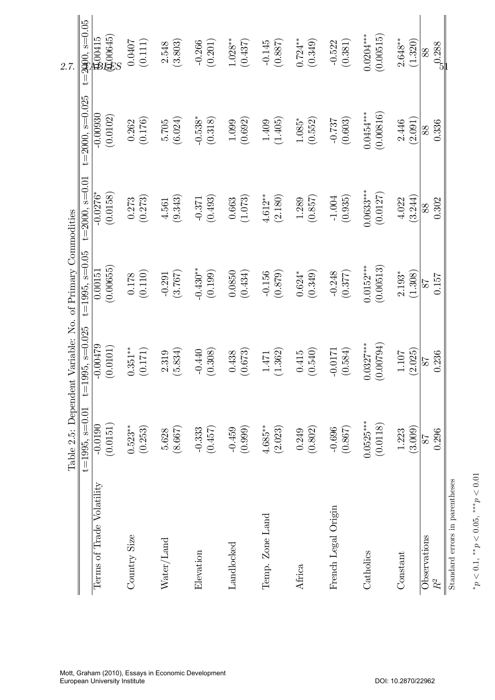|                                |                     | Table 2.5: Dependent Variable: No. of Primary Commodities |                      |                        |                          | 2.7.                            |
|--------------------------------|---------------------|-----------------------------------------------------------|----------------------|------------------------|--------------------------|---------------------------------|
|                                | $t = 1995$ , s=0.01 | $t = 1995$ , $s = 0.025$                                  | $t = 1995, s = 0.05$ | $t = 2000$ , s=0.01    | $t = 2000$ , $s = 0.025$ | $t = 2000$ , s=0.05             |
| Terms of Trade Volatility      | $-0.0190$           | $-0.00179$                                                | 0.00151              | $-0.0276$ <sup>*</sup> | $-0.00930$               |                                 |
|                                | (0.0151)            | (0.0101)                                                  | (0.00655)            | (0.0158)               | (0.0102)                 | 協00045)<br>(500645)<br>(500645) |
| Country Size                   | $0.523**$           | $0.351***$                                                | $0.178\,$            | 0.273                  | 0.262                    | 0.0407                          |
|                                | (0.253)             | (0.171)                                                   | (0.110)              | (0.273)                | (0.176)                  | (0.111)                         |
| Water/Land                     | 5.628               | 2.319                                                     | $-0.291$             | 4.561                  | $5.705$                  | 2.548                           |
|                                | (8.667)             | (5.834)                                                   | (3.767)              | (9.343)                | (6.024)                  | (3.803)                         |
| Elevation                      | $-0.333$            | $-0.440$                                                  | $-0.430**$           | $-0.371$               | $-0.538*$                | $-0.266$                        |
|                                | (0.457)             | (0.308)                                                   | (0.199)              | (0.493)                | (0.318)                  | (0.201)                         |
| Landlocked                     | $-0.459$            | 0.438                                                     | 0.0850               | 0.663                  | $1.099\,$                | $1.028**$                       |
|                                | (0.999)             | (0.673)                                                   | (0.434)              | (1.073)                | (0.692)                  | (0.437)                         |
| Temp. Zone Land                | $4.685***$          | 1.471                                                     | $-0.156$             | $4.612***$             | 1.409                    | $-0.145$                        |
|                                | (2.023)             | (1.362)                                                   | (0.879)              | (2.180)                | (1.405)                  | (0.887)                         |
| Africa                         | 0.249               | $0.415\,$                                                 | $0.624*$             | 1.289                  | $1.085^*$                | $0.724**$                       |
|                                | (0.802)             | (0.540)                                                   | (0.349)              | (0.857)                | (0.552)                  | (0.349)                         |
| French Legal Origin            | $-0.696$            | $-0.0171$                                                 | $-0.248$             | $-1.004$               | $-0.737$                 | $-0.522$                        |
|                                | (0.867)             | (0.584)                                                   | (0.377)              | (0.935)                | (0.603)                  | (0.381)                         |
| Catholics                      | $0.0525***$         | $0.0327***$                                               | $0.0152***$          | $0.0633***$            | $0.0454***$              | $0.0204***$                     |
|                                | (0.0118)            | (0.00794)                                                 | (0.00513)            | (0.0127)               | (0.00816)                | (0.00515)                       |
| Constant                       | 1.223               | $1.107\,$                                                 | $2.193*$             | 4.022                  | 2.446                    | $2.648**$                       |
|                                | (3.009)             | (2.025)                                                   | (1.308)              | (3.244)                | (2.091)                  | (1.320)                         |
| Observations                   | 78                  | 18                                                        | 78                   | 88                     | 88                       | 88                              |
| $R^2$                          | 0.296               | 0.236                                                     | 0.157                | 0.302                  | 0.336                    | $\frac{10.288}{1}$              |
| Standard errors in parentheses |                     |                                                           |                      |                        |                          |                                 |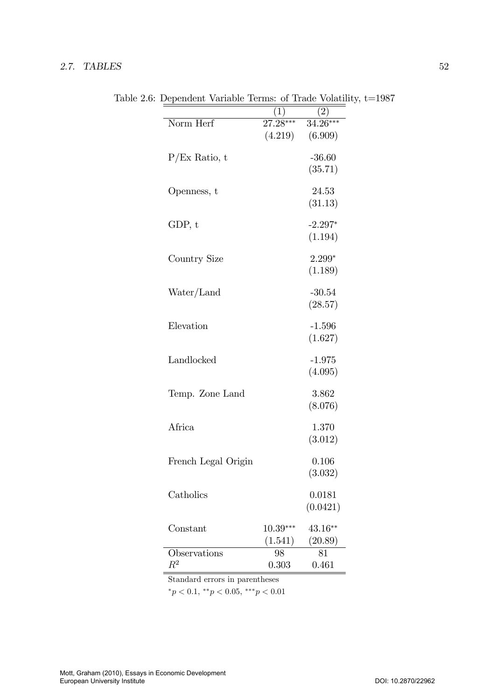|                     | $\left(1\right)$ | $\overline{2}$ |
|---------------------|------------------|----------------|
| Norm Herf           | $27.28***$       | $34.26***$     |
|                     | (4.219)          | (6.909)        |
| $P/Ex$ Ratio, t     |                  | $-36.60$       |
|                     |                  | (35.71)        |
| Openness, t         |                  | 24.53          |
|                     |                  | (31.13)        |
| GDP, t              |                  | $-2.297*$      |
|                     |                  | (1.194)        |
| Country Size        |                  | $2.299*$       |
|                     |                  | (1.189)        |
| Water/Land          |                  | $-30.54$       |
|                     |                  | (28.57)        |
| Elevation           |                  | $-1.596$       |
|                     |                  | (1.627)        |
| Landlocked          |                  | $-1.975$       |
|                     |                  | (4.095)        |
| Temp. Zone Land     |                  | 3.862          |
|                     |                  | (8.076)        |
| Africa              |                  | 1.370          |
|                     |                  | (3.012)        |
| French Legal Origin |                  | 0.106          |
|                     |                  | (3.032)        |
| Catholics           |                  | 0.0181         |
|                     |                  | (0.0421)       |
| Constant            | $10.39***$       | 43.16**        |
|                     | (1.541)          | (20.89)        |
| Observations        | 98               | 81             |
| $R^2$               | 0.303            | 0.461          |

Table 2.6: Dependent Variable Terms: of Trade Volatility, t=1987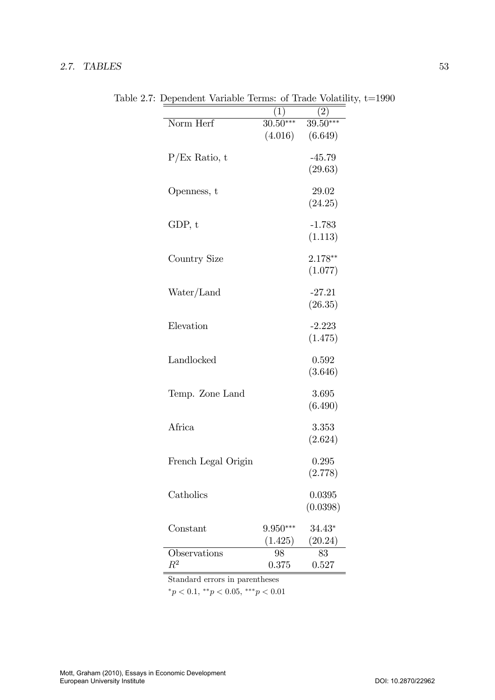|                       | $^{'}1)$   | $^{^{\prime}2}$ |
|-----------------------|------------|-----------------|
| Norm Herf             | $30.50***$ | 39.50***        |
|                       | (4.016)    | (6.649)         |
| $P/Ex$ Ratio, t       |            | $-45.79$        |
|                       |            | (29.63)         |
| Openness, t           |            | 29.02           |
|                       |            | (24.25)         |
| GDP, t                |            | $-1.783$        |
|                       |            | (1.113)         |
| Country Size          |            | $2.178**$       |
|                       |            | (1.077)         |
| Water/Land            |            | $-27.21$        |
|                       |            | (26.35)         |
| Elevation             |            | $-2.223$        |
|                       |            | (1.475)         |
| Landlocked            |            | 0.592           |
|                       |            | (3.646)         |
| Temp. Zone Land       |            | 3.695           |
|                       |            | (6.490)         |
| Africa                |            | 3.353           |
|                       |            | (2.624)         |
| French Legal Origin   |            | 0.295           |
|                       |            | (2.778)         |
| Catholics             |            | 0.0395          |
|                       |            | (0.0398)        |
| Constant              | $9.950***$ | $34.43*$        |
|                       | (1.425)    | (20.24)         |
| Observations<br>$R^2$ | 98         | 83              |
|                       | 0.375      | 0.527           |

Table 2.7: Dependent Variable Terms: of Trade Volatility, t=1990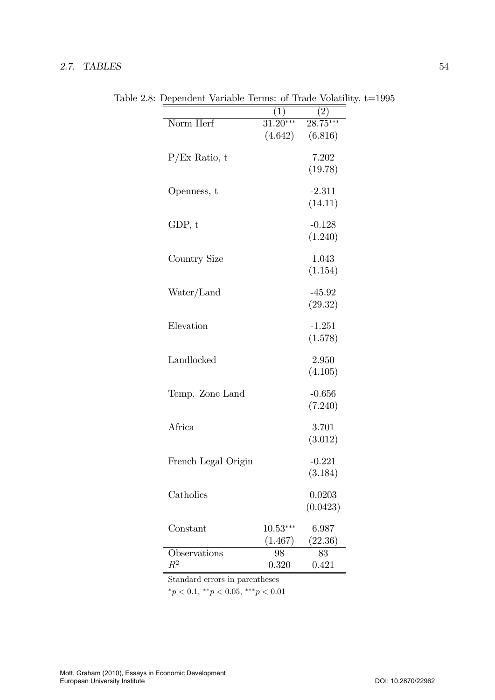|                     | $^{'}1)$   | (2)        |
|---------------------|------------|------------|
| Norm Herf           | $31.20***$ | $28.75***$ |
|                     | (4.642)    | (6.816)    |
| $P/Ex$ Ratio, t     |            | 7.202      |
|                     |            | (19.78)    |
| Openness, t         |            | $-2.311$   |
|                     |            | (14.11)    |
| GDP, t              |            | $-0.128$   |
|                     |            | (1.240)    |
|                     |            |            |
| Country Size        |            | 1.043      |
|                     |            | (1.154)    |
| Water/Land          |            | $-45.92$   |
|                     |            | (29.32)    |
| Elevation           |            | $-1.251$   |
|                     |            | (1.578)    |
| Landlocked          |            | 2.950      |
|                     |            | (4.105)    |
|                     |            |            |
| Temp. Zone Land     |            | $-0.656$   |
|                     |            | (7.240)    |
| Africa              |            | 3.701      |
|                     |            | (3.012)    |
| French Legal Origin |            | $-0.221$   |
|                     |            | (3.184)    |
| Catholics           |            | 0.0203     |
|                     |            | (0.0423)   |
| Constant            | $10.53***$ | 6.987      |
|                     | (1.467)    | (22.36)    |
| Observations        | 98         | 83         |
| $R^2$               | 0.320      | 0.421      |

Table 2.8: Dependent Variable Terms: of Trade Volatility, t=1995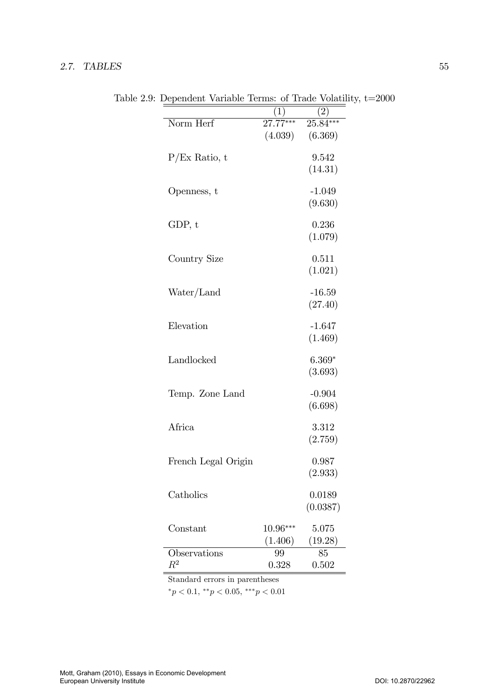|                     | 1          | 2)         |
|---------------------|------------|------------|
| Norm Herf           | $27.77***$ | $25.84***$ |
|                     | (4.039)    | (6.369)    |
| $P/Ex$ Ratio, t     |            | 9.542      |
|                     |            | (14.31)    |
| Openness, t         |            | $-1.049$   |
|                     |            | (9.630)    |
| GDP, t              |            | 0.236      |
|                     |            | (1.079)    |
| Country Size        |            | 0.511      |
|                     |            | (1.021)    |
| Water/Land          |            | $-16.59$   |
|                     |            | (27.40)    |
| Elevation           |            | $-1.647$   |
|                     |            | (1.469)    |
| Landlocked          |            | $6.369*$   |
|                     |            | (3.693)    |
| Temp. Zone Land     |            | $-0.904$   |
|                     |            | (6.698)    |
| Africa              |            | 3.312      |
|                     |            | (2.759)    |
| French Legal Origin |            | 0.987      |
|                     |            | (2.933)    |
| Catholics           |            | 0.0189     |
|                     |            | (0.0387)   |
| Constant            | $10.96***$ | 5.075      |
|                     | (1.406)    | (19.28)    |
| Observations        | 99         | 85         |
| $R^2$               | 0.328      | 0.502      |

Table 2.9: Dependent Variable Terms: of Trade Volatility, t=2000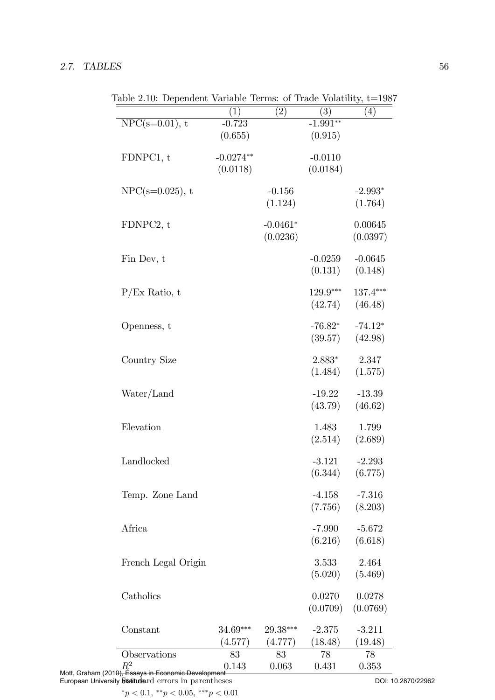$(1)$   $(2)$   $(3)$   $(4)$  $NPC(s=0.01)$ , t  $-0.723$   $-1.991**$  $(0.655)$   $(0.915)$ FDNPC1, t  $-0.0274**$   $-0.0110$  $(0.0118)$   $(0.0184)$  $NPC(s=0.025), t$  -0.156 -2.993\*  $(1.124)$   $(1.764)$ FDNPC2, t  $-0.0461^*$   $0.00645$  $(0.0236)$   $(0.0397)$ Fin Dev, t  $-0.0259$   $-0.0645$  $(0.131)$   $(0.148)$  $P/Ex$  Ratio, t 129.9<sup>\*\*\*</sup> 137.4<sup>\*\*\*</sup> (42.74) (46.48) Openness,  $t$  -76.82 $*$  $-74.12*$  $(39.57)$   $(42.98)$ Country Size 2.883\* 2.347  $(1.484)$   $(1.575)$ Water/Land -19.22 -13.39 (43.79) (46.62) Elevation 1.483 1.799  $(2.514)$   $(2.689)$ Landlocked -3.121 -2.293 (6.344) (6.775) Temp. Zone Land -4.158 -7.316 (7.756) (8.203) Africa -7.990 -5.672 (6.216) (6.618) French Legal Origin 3.533 2.464  $(5.020)$   $(5.469)$ Catholics 0.0270 0.0278  $(0.0709)$   $(0.0769)$ Constant 34.69\*\*\* 29.38\*\*\* -2.375 -3.211 (4.577) (4.777) (18.48) (19.48) Observations 83 83 78 78

Table 2.10: Dependent Variable Terms: of Trade Volatility, t=1987

Mott, Graham (201<del>0), Essays in Economic Development</del><br>Mott, Graham (201<del>0), Essays in Economic Development</del><br>
and the Seven Control of the Seven Control of the Seven Control of the Seven Control of the Seven Control of the European University Sitstitute and errors in parentheses **European Control**ius Colicitude and DOI: 10.2870/22962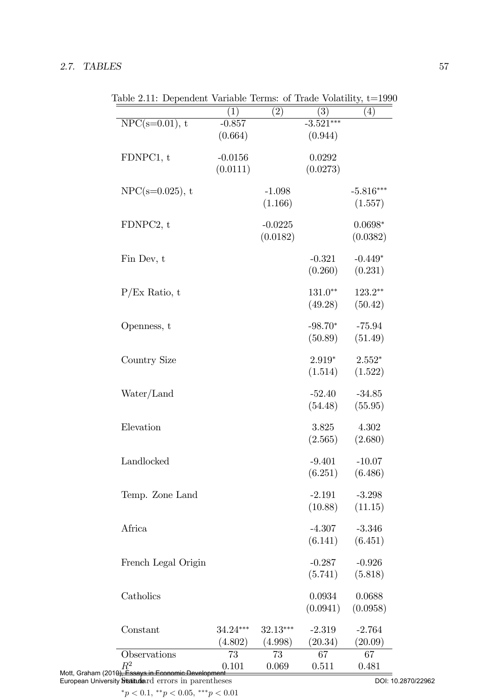$(1)$   $(2)$   $(3)$   $(4)$  $NPC(s=0.01)$ , t  $-0.857$   $-3.521***$  $(0.664)$   $(0.944)$ FDNPC1, t  $-0.0156$  0.0292  $(0.0111)$   $(0.0273)$  $NPC(s=0.025)$ , t  $-1.098$   $-5.816***$  $(1.166)$   $(1.557)$ FDNPC2, t  $-0.0225$   $0.0698*$  $(0.0182)$   $(0.0382)$ Fin Dev, t  $-0.321 -0.449*$ (0.260) (0.231)  $P/Ex$  Ratio, t 131.0<sup>\*\*</sup> 123.2<sup>\*\*</sup> (49.28) (50.42) Openness, t  $-98.70*$ -75.94  $(50.89)$   $(51.49)$ Country Size  $2.919*$   $2.552*$  $(1.514)$   $(1.522)$ Water/Land -52.40 -34.85 (54.48) (55.95) Elevation 3.825 4.302  $(2.565)$   $(2.680)$ Landlocked -9.401 -10.07 (6.251) (6.486) Temp. Zone Land -2.191 -3.298 (10.88) (11.15) Africa -4.307 -3.346 (6.141) (6.451) French Legal Origin -0.287 -0.926  $(5.741)$   $(5.818)$ Catholics 0.0934 0.0688  $(0.0941)$   $(0.0958)$ Constant 34.24\*\*\* 32.13\*\*\* -2.319 -2.764 (4.802) (4.998) (20.34) (20.09) Observations 73 73 67 67

Table 2.11: Dependent Variable Terms: of Trade Volatility, t=1990

Mott, Graham (201<del>0), Essays in Economic Development</del><br>Mott, Graham (201<del>0), Essays in Economic Development</del><br>
and the Seven of Development<br>  $\frac{0.101}{0.069}$  0.511 0.481 European University Statitute and errors in parentheses **European Control**ius Colicitude and DOI: 10.2870/22962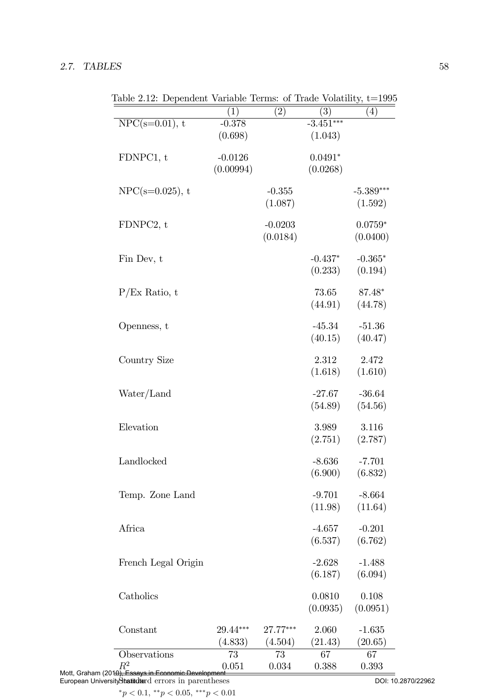$(1)$   $(2)$   $(3)$   $(4)$  $NPC(s=0.01)$ , t  $-0.378$   $-3.451***$  $(0.698)$   $(1.043)$ FDNPC1, t  $-0.0126$   $0.0491*$  $(0.00994)$   $(0.0268)$  $NPC(s=0.025), t$  -0.355 -5.389\*\*\*  $(1.087)$   $(1.592)$ FDNPC2, t  $-0.0203$   $0.0759*$  $(0.0184)$   $(0.0400)$ Fin Dev, t  $-0.437^*$  $-0.365*$  $(0.233)$   $(0.194)$  $P/Ex$  Ratio, t 73.65 87.48\* (44.91) (44.78) Openness, t -45.34 -51.36  $(40.15)$   $(40.47)$ Country Size 2.312 2.472  $(1.618)$   $(1.610)$ Water/Land -27.67 -36.64 (54.89) (54.56) Elevation 3.989 3.116  $(2.751)$   $(2.787)$ Landlocked -8.636 -7.701 (6.900) (6.832) Temp. Zone Land -9.701 -8.664 (11.98) (11.64) Africa -4.657 -0.201 (6.537) (6.762) French Legal Origin -2.628 -1.488 (6.187) (6.094) Catholics 0.0810 0.108  $(0.0935)$   $(0.0951)$ Constant 29.44\*\*\* 27.77\*\*\* 2.060 -1.635 (4.833) (4.504) (21.43) (20.65) Observations 73 73 67 67

Table 2.12: Dependent Variable Terms: of Trade Volatility, t=1995

Mott, Graham (2010), Essays in Economic Development<br>Mott, Graham (2010), Essays in Economic Development<br>  $\frac{0.051}{0.034}$  0.034 0.388 0.393 European University **Shatitdter**d errors in parentheses **European Control entity Control**er and the DOI: 10.2870/22962

 ${}^*p < 0.1, {}^{**}p < 0.05, {}^{***}p < 0.01$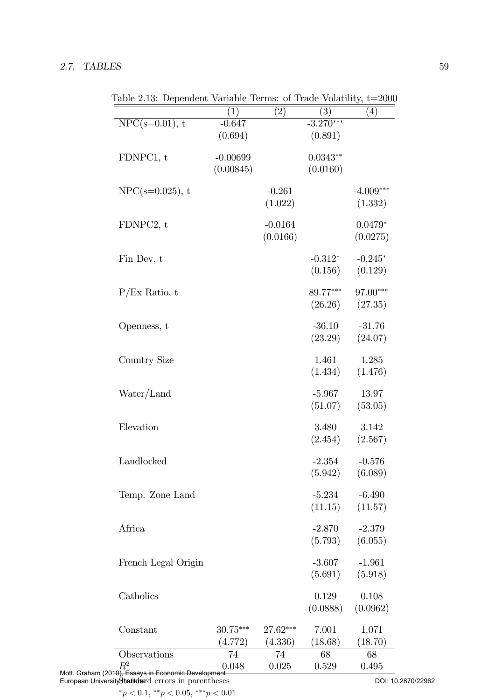$(1)$   $(2)$   $(3)$   $(4)$  $NPC(s=0.01)$ , t  $-0.647$   $-3.270***$  $(0.694)$   $(0.891)$ FDNPC1, t  $-0.00699$   $0.0343**$  $(0.00845)$   $(0.0160)$  $NPC(s=0.025), t$  -0.261 -4.009\*\*\*  $(1.022)$   $(1.332)$ FDNPC2, t  $-0.0164$   $0.0479*$  $(0.0166)$   $(0.0275)$ Fin Dev, t  $-0.312^*$  $-0.245*$  $(0.156)$   $(0.129)$  $P/Ex$  Ratio, t 89.77\*\*\* 97.00\*\*\*  $(26.26)$   $(27.35)$ Openness, t -36.10 -31.76  $(23.29)$   $(24.07)$ Country Size 1.461 1.285 (1.434) (1.476) Water/Land -5.967 13.97  $(51.07)$   $(53.05)$ Elevation 3.480 3.142  $(2.454)$   $(2.567)$ Landlocked -2.354 -0.576  $(5.942)$   $(6.089)$ Temp. Zone Land -5.234 -6.490  $(11.15)$   $(11.57)$ Africa -2.870 -2.379 (5.793) (6.055) French Legal Origin -3.607 -1.961 (5.691) (5.918) Catholics 0.129 0.108  $(0.0888)$   $(0.0962)$ Constant  $30.75***$   $27.62***$   $7.001$   $1.071$ (4.772) (4.336) (18.68) (18.70) Observations 74 74 68 68

Table 2.13: Dependent Variable Terms: of Trade Volatility, t=2000

Mott, Graham (2010), Essays in Economic Development<br>Mott, Graham (2010), Essays in Economic Development<br>  $\frac{0.048}{0.025}$  0.025 0.529 0.495

European University **Shatitdter**d errors in parentheses **European Control entity Control**er and the DOI: 10.2870/22962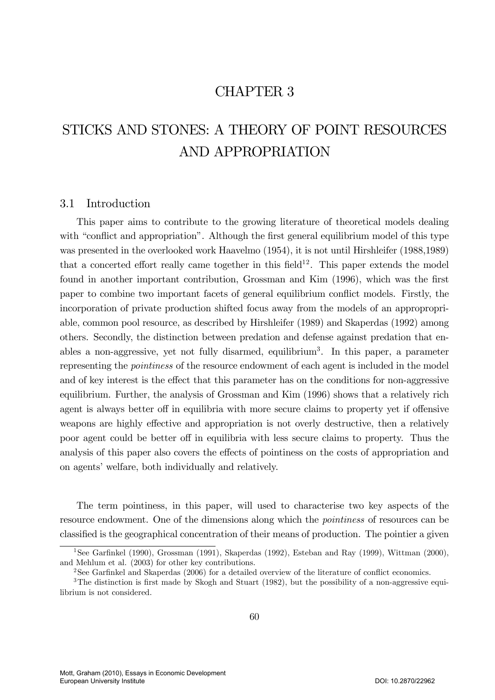## CHAPTER 3

# STICKS AND STONES: A THEORY OF POINT RESOURCES AND APPROPRIATION

## 3.1 Introduction

This paper aims to contribute to the growing literature of theoretical models dealing with "conflict and appropriation". Although the first general equilibrium model of this type was presented in the overlooked work Haavelmo (1954), it is not until Hirshleifer (1988,1989) that a concerted effort really came together in this field<sup>12</sup>. This paper extends the model found in another important contribution, Grossman and Kim (1996), which was the first paper to combine two important facets of general equilibrium conáict models. Firstly, the incorporation of private production shifted focus away from the models of an appropropriable, common pool resource, as described by Hirshleifer (1989) and Skaperdas (1992) among others. Secondly, the distinction between predation and defense against predation that enables a non-aggressive, yet not fully disarmed, equilibrium<sup>3</sup>. In this paper, a parameter representing the pointiness of the resource endowment of each agent is included in the model and of key interest is the effect that this parameter has on the conditions for non-aggressive equilibrium. Further, the analysis of Grossman and Kim (1996) shows that a relatively rich agent is always better off in equilibria with more secure claims to property yet if offensive we apons are highly effective and appropriation is not overly destructive, then a relatively poor agent could be better of in equilibria with less secure claims to property. Thus the analysis of this paper also covers the effects of pointiness on the costs of appropriation and on agents' welfare, both individually and relatively.

The term pointiness, in this paper, will used to characterise two key aspects of the resource endowment. One of the dimensions along which the *pointiness* of resources can be classified is the geographical concentration of their means of production. The pointier a given

<sup>&</sup>lt;sup>1</sup>See Garfinkel (1990), Grossman (1991), Skaperdas (1992), Esteban and Ray (1999), Wittman (2000), and Mehlum et al. (2003) for other key contributions.

<sup>&</sup>lt;sup>2</sup>See Garfinkel and Skaperdas (2006) for a detailed overview of the literature of conflict economics.

 $3$ The distinction is first made by Skogh and Stuart (1982), but the possibility of a non-aggressive equilibrium is not considered.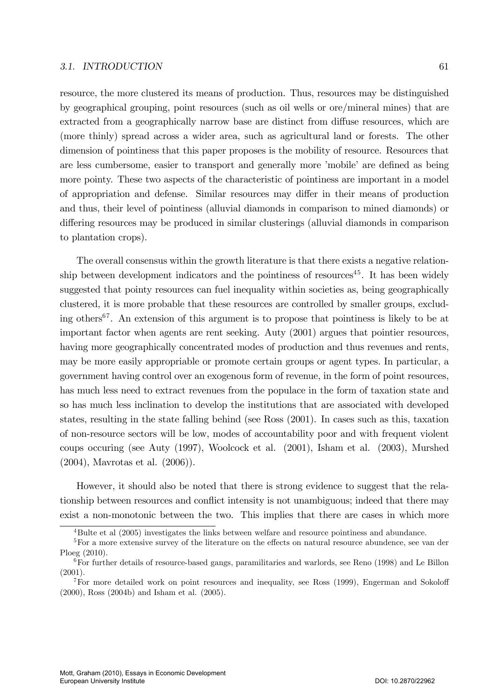resource, the more clustered its means of production. Thus, resources may be distinguished by geographical grouping, point resources (such as oil wells or ore/mineral mines) that are extracted from a geographically narrow base are distinct from diffuse resources, which are (more thinly) spread across a wider area, such as agricultural land or forests. The other dimension of pointiness that this paper proposes is the mobility of resource. Resources that are less cumbersome, easier to transport and generally more 'mobile' are defined as being more pointy. These two aspects of the characteristic of pointiness are important in a model of appropriation and defense. Similar resources may differ in their means of production and thus, their level of pointiness (alluvial diamonds in comparison to mined diamonds) or differing resources may be produced in similar clusterings (alluvial diamonds in comparison to plantation crops).

The overall consensus within the growth literature is that there exists a negative relationship between development indicators and the pointiness of resources<sup>45</sup>. It has been widely suggested that pointy resources can fuel inequality within societies as, being geographically clustered, it is more probable that these resources are controlled by smaller groups, excluding others<sup>67</sup>. An extension of this argument is to propose that pointiness is likely to be at important factor when agents are rent seeking. Auty (2001) argues that pointier resources, having more geographically concentrated modes of production and thus revenues and rents, may be more easily appropriable or promote certain groups or agent types. In particular, a government having control over an exogenous form of revenue, in the form of point resources, has much less need to extract revenues from the populace in the form of taxation state and so has much less inclination to develop the institutions that are associated with developed states, resulting in the state falling behind (see Ross (2001). In cases such as this, taxation of non-resource sectors will be low, modes of accountability poor and with frequent violent coups occuring (see Auty (1997), Woolcock et al. (2001), Isham et al. (2003), Murshed (2004), Mavrotas et al. (2006)).

However, it should also be noted that there is strong evidence to suggest that the relationship between resources and conflict intensity is not unambiguous; indeed that there may exist a non-monotonic between the two. This implies that there are cases in which more

<sup>4</sup>Bulte et al (2005) investigates the links between welfare and resource pointiness and abundance.

<sup>&</sup>lt;sup>5</sup>For a more extensive survey of the literature on the effects on natural resource abundence, see van der Ploeg (2010).

<sup>6</sup>For further details of resource-based gangs, paramilitaries and warlords, see Reno (1998) and Le Billon (2001).

<sup>&</sup>lt;sup>7</sup>For more detailed work on point resources and inequality, see Ross (1999), Engerman and Sokoloff (2000), Ross (2004b) and Isham et al. (2005).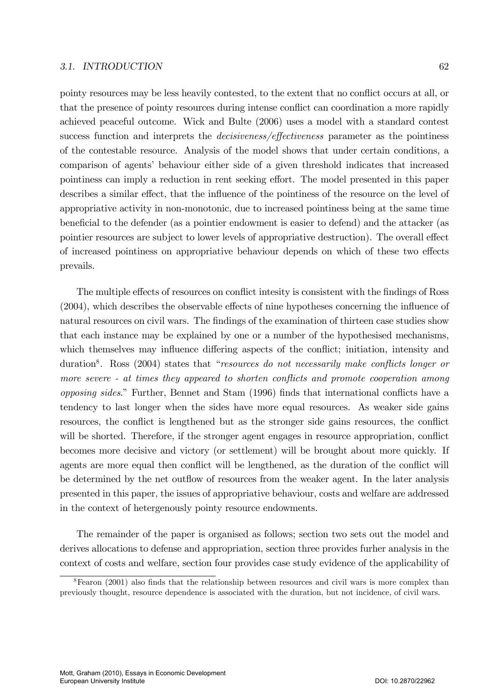#### 3.1. INTRODUCTION 62

pointy resources may be less heavily contested, to the extent that no conflict occurs at all, or that the presence of pointy resources during intense conflict can coordination a more rapidly achieved peaceful outcome. Wick and Bulte (2006) uses a model with a standard contest success function and interprets the *decisiveness/effectiveness* parameter as the pointiness of the contestable resource. Analysis of the model shows that under certain conditions, a comparison of agents' behaviour either side of a given threshold indicates that increased pointiness can imply a reduction in rent seeking effort. The model presented in this paper describes a similar effect, that the influence of the pointiness of the resource on the level of appropriative activity in non-monotonic, due to increased pointiness being at the same time beneficial to the defender (as a pointier endowment is easier to defend) and the attacker (as pointier resources are subject to lower levels of appropriative destruction). The overall effect of increased pointiness on appropriative behaviour depends on which of these two effects prevails.

The multiple effects of resources on conflict intesity is consistent with the findings of Ross  $(2004)$ , which describes the observable effects of nine hypotheses concerning the influence of natural resources on civil wars. The findings of the examination of thirteen case studies show that each instance may be explained by one or a number of the hypothesised mechanisms, which themselves may influence differing aspects of the conflict; initiation, intensity and duration<sup>8</sup>. Ross (2004) states that "resources do not necessarily make conflicts longer or more severe  $-$  at times they appeared to shorten conflicts and promote cooperation among opposing sides." Further, Bennet and Stam (1996) finds that international conflicts have a tendency to last longer when the sides have more equal resources. As weaker side gains resources, the conflict is lengthened but as the stronger side gains resources, the conflict will be shorted. Therefore, if the stronger agent engages in resource appropriation, conflict becomes more decisive and victory (or settlement) will be brought about more quickly. If agents are more equal then conflict will be lengthened, as the duration of the conflict will be determined by the net outflow of resources from the weaker agent. In the later analysis presented in this paper, the issues of appropriative behaviour, costs and welfare are addressed in the context of hetergenously pointy resource endowments.

The remainder of the paper is organised as follows; section two sets out the model and derives allocations to defense and appropriation, section three provides furher analysis in the context of costs and welfare, section four provides case study evidence of the applicability of

 $8$ Fearon (2001) also finds that the relationship between resources and civil wars is more complex than previously thought, resource dependence is associated with the duration, but not incidence, of civil wars.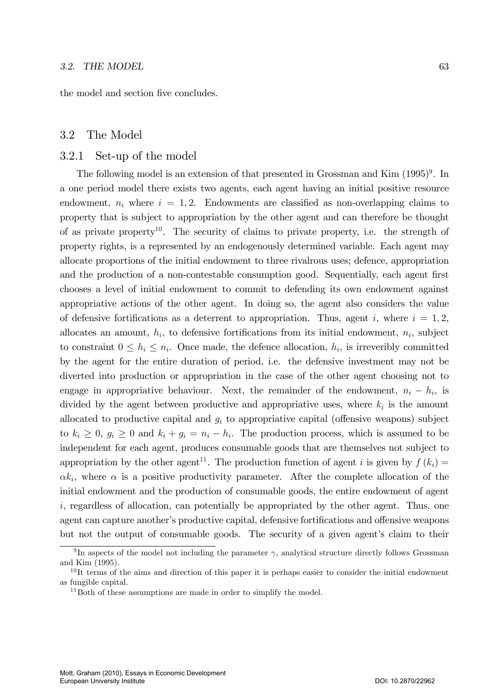the model and section five concludes.

## 3.2 The Model

### 3.2.1 Set-up of the model

The following model is an extension of that presented in Grossman and Kim  $(1995)^9$ . In a one period model there exists two agents, each agent having an initial positive resource endowment,  $n_i$  where  $i = 1, 2$ . Endowments are classified as non-overlapping claims to property that is subject to appropriation by the other agent and can therefore be thought of as private property<sup>10</sup>. The security of claims to private property, i.e. the strength of property rights, is a represented by an endogenously determined variable. Each agent may allocate proportions of the initial endowment to three rivalrous uses; defence, appropriation and the production of a non-contestable consumption good. Sequentially, each agent first chooses a level of initial endowment to commit to defending its own endowment against appropriative actions of the other agent. In doing so, the agent also considers the value of defensive fortifications as a deterrent to appropriation. Thus, agent i, where  $i = 1, 2$ , allocates an amount,  $h_i$ , to defensive fortifications from its initial endowment,  $n_i$ , subject to constraint  $0 \leq h_i \leq n_i$ . Once made, the defence allocation,  $h_i$ , is irreveribly committed by the agent for the entire duration of period, i.e. the defensive investment may not be diverted into production or appropriation in the case of the other agent choosing not to engage in appropriative behaviour. Next, the remainder of the endowment,  $n_i - h_i$ , is divided by the agent between productive and appropriative uses, where  $k_i$  is the amount allocated to productive capital and  $g_i$  to appropriative capital (offensive weapons) subject to  $k_i \geq 0$ ,  $g_i \geq 0$  and  $k_i + g_i = n_i - h_i$ . The production process, which is assumed to be independent for each agent, produces consumable goods that are themselves not subject to appropriation by the other agent<sup>11</sup>. The production function of agent i is given by  $f(k_i) =$  $\alpha k_i$ , where  $\alpha$  is a positive productivity parameter. After the complete allocation of the initial endowment and the production of consumable goods, the entire endowment of agent i, regardless of allocation, can potentially be appropriated by the other agent. Thus, one agent can capture another's productive capital, defensive fortifications and offensive weapons but not the output of consumable goods. The security of a given agent's claim to their

<sup>&</sup>lt;sup>9</sup>In aspects of the model not including the parameter  $\gamma$ , analytical structure directly follows Grossman and Kim (1995).

 $10$ It terms of the aims and direction of this paper it is perhaps easier to consider the initial endowment as fungible capital.

 $11$ Both of these assumptions are made in order to simplify the model.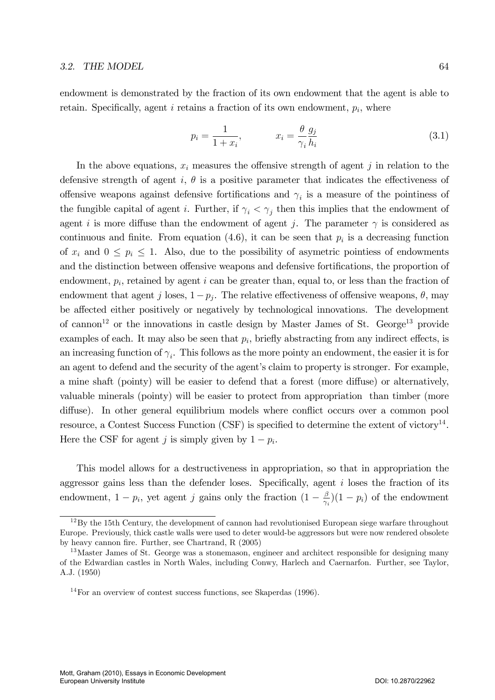endowment is demonstrated by the fraction of its own endowment that the agent is able to retain. Specifically, agent  $i$  retains a fraction of its own endowment,  $p_i$ , where

$$
p_i = \frac{1}{1 + x_i}, \qquad x_i = \frac{\theta}{\gamma_i} \frac{g_j}{h_i}
$$
\n
$$
(3.1)
$$

In the above equations,  $x_i$  measures the offensive strength of agent j in relation to the defensive strength of agent i,  $\theta$  is a positive parameter that indicates the effectiveness of offensive weapons against defensive fortifications and  $\gamma_i$  is a measure of the pointiness of the fungible capital of agent *i*. Further, if  $\gamma_i < \gamma_j$  then this implies that the endowment of agent i is more diffuse than the endowment of agent j. The parameter  $\gamma$  is considered as continuous and finite. From equation  $(4.6)$ , it can be seen that  $p_i$  is a decreasing function of  $x_i$  and  $0 \leq p_i \leq 1$ . Also, due to the possibility of asymetric pointiess of endowments and the distinction between offensive weapons and defensive fortifications, the proportion of endowment,  $p_i$ , retained by agent i can be greater than, equal to, or less than the fraction of endowment that agent j loses,  $1-p_j$ . The relative effectiveness of offensive weapons,  $\theta$ , may be affected either positively or negatively by technological innovations. The development of cannon<sup>12</sup> or the innovations in castle design by Master James of St. George<sup>13</sup> provide examples of each. It may also be seen that  $p_i$ , briefly abstracting from any indirect effects, is an increasing function of  $\gamma_i$ . This follows as the more pointy an endowment, the easier it is for an agent to defend and the security of the agent's claim to property is stronger. For example, a mine shaft (pointy) will be easier to defend that a forest (more diffuse) or alternatively, valuable minerals (pointy) will be easier to protect from appropriation than timber (more diffuse). In other general equilibrium models where conflict occurs over a common pool resource, a Contest Success Function (CSF) is specified to determine the extent of victory<sup>14</sup>. Here the CSF for agent j is simply given by  $1 - p_i$ .

This model allows for a destructiveness in appropriation, so that in appropriation the aggressor gains less than the defender loses. Specifically, agent  $i$  loses the fraction of its endowment,  $1 - p_i$ , yet agent j gains only the fraction  $\left(1 - \frac{\beta}{\gamma_i}\right)$  $\frac{\beta}{\gamma_i}(1-p_i)$  of the endowment

 $12\,\text{By}$  the 15th Century, the development of cannon had revolutionised European siege warfare throughout Europe. Previously, thick castle walls were used to deter would-be aggressors but were now rendered obsolete by heavy cannon fire. Further, see Chartrand, R (2005)

<sup>&</sup>lt;sup>13</sup>Master James of St. George was a stonemason, engineer and architect responsible for designing many of the Edwardian castles in North Wales, including Conwy, Harlech and Caernarfon. Further, see Taylor, A.J. (1950)

<sup>14</sup>For an overview of contest success functions, see Skaperdas (1996).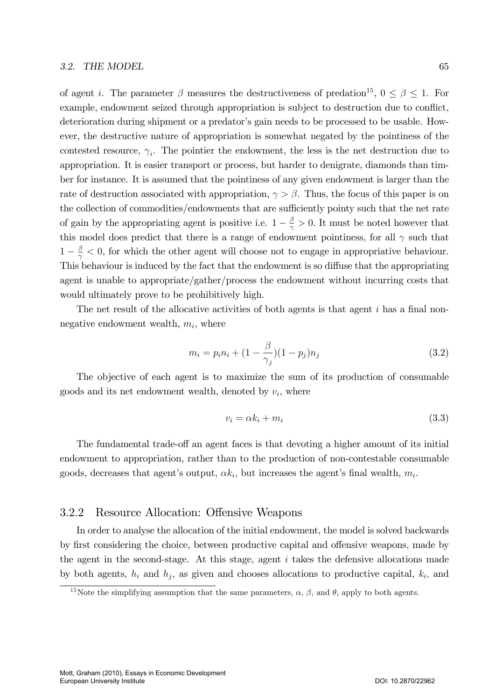of agent *i*. The parameter  $\beta$  measures the destructiveness of predation<sup>15</sup>,  $0 \leq \beta \leq 1$ . For example, endowment seized through appropriation is subject to destruction due to conflict, deterioration during shipment or a predator's gain needs to be processed to be usable. However, the destructive nature of appropriation is somewhat negated by the pointiness of the contested resource,  $\gamma_i$ . The pointier the endowment, the less is the net destruction due to appropriation. It is easier transport or process, but harder to denigrate, diamonds than timber for instance. It is assumed that the pointiness of any given endowment is larger than the rate of destruction associated with appropriation,  $\gamma > \beta$ . Thus, the focus of this paper is on the collection of commodities/endowments that are sufficiently pointy such that the net rate of gain by the appropriating agent is positive i.e.  $1 - \frac{\beta}{\gamma}$  $\frac{\beta}{\gamma} > 0$ . It must be noted however that this model does predict that there is a range of endowment pointiness, for all  $\gamma$  such that  $1-\frac{\beta}{\gamma}$  $\frac{\beta}{\gamma}$  < 0, for which the other agent will choose not to engage in appropriative behaviour. This behaviour is induced by the fact that the endowment is so diffuse that the appropriating agent is unable to appropriate/gather/process the endowment without incurring costs that would ultimately prove to be prohibitively high.

The net result of the allocative activities of both agents is that agent  $i$  has a final nonnegative endowment wealth,  $m_i$ , where

$$
m_i = p_i n_i + (1 - \frac{\beta}{\gamma_j})(1 - p_j)n_j
$$
\n(3.2)

The objective of each agent is to maximize the sum of its production of consumable goods and its net endowment wealth, denoted by  $v_i$ , where

$$
v_i = \alpha k_i + m_i \tag{3.3}
$$

The fundamental trade-off an agent faces is that devoting a higher amount of its initial endowment to appropriation, rather than to the production of non-contestable consumable goods, decreases that agent's output,  $\alpha k_i$ , but increases the agent's final wealth,  $m_i$ .

## 3.2.2 Resource Allocation: Offensive Weapons

In order to analyse the allocation of the initial endowment, the model is solved backwards by first considering the choice, between productive capital and offensive weapons, made by the agent in the second-stage. At this stage, agent  $i$  takes the defensive allocations made by both agents,  $h_i$  and  $h_j$ , as given and chooses allocations to productive capital,  $k_i$ , and

<sup>&</sup>lt;sup>15</sup>Note the simplifying assumption that the same parameters,  $\alpha$ ,  $\beta$ , and  $\theta$ , apply to both agents.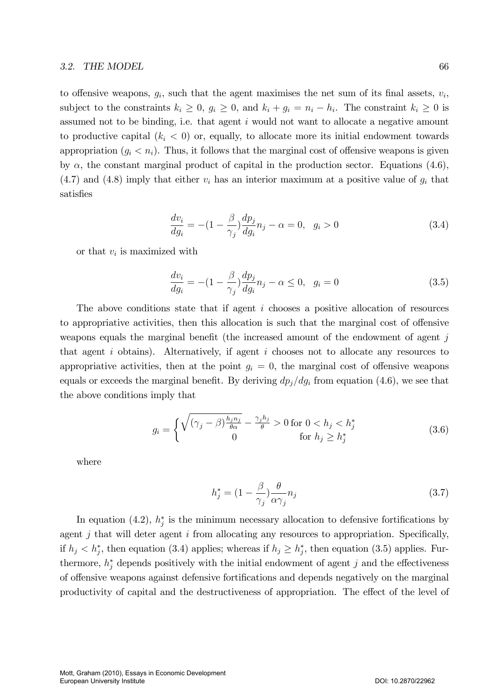to offensive weapons,  $g_i$ , such that the agent maximises the net sum of its final assets,  $v_i$ , subject to the constraints  $k_i \geq 0$ ,  $g_i \geq 0$ , and  $k_i + g_i = n_i - h_i$ . The constraint  $k_i \geq 0$  is assumed not to be binding, i.e. that agent i would not want to allocate a negative amount to productive capital  $(k<sub>i</sub> < 0)$  or, equally, to allocate more its initial endowment towards appropriation  $(g_i < n_i)$ . Thus, it follows that the marginal cost of offensive weapons is given by  $\alpha$ , the constant marginal product of capital in the production sector. Equations (4.6),  $(4.7)$  and  $(4.8)$  imply that either  $v_i$  has an interior maximum at a positive value of  $g_i$  that satisfies

$$
\frac{dv_i}{dg_i} = -(1 - \frac{\beta}{\gamma_j}) \frac{dp_j}{dg_i} n_j - \alpha = 0, \quad g_i > 0
$$
\n(3.4)

or that  $v_i$  is maximized with

$$
\frac{dv_i}{dg_i} = -(1 - \frac{\beta}{\gamma_j}) \frac{dp_j}{dg_i} n_j - \alpha \le 0, \ \ g_i = 0 \tag{3.5}
$$

The above conditions state that if agent  $i$  chooses a positive allocation of resources to appropriative activities, then this allocation is such that the marginal cost of offensive we apons equals the marginal benefit (the increased amount of the endowment of agent  $j$ that agent i obtains). Alternatively, if agent i chooses not to allocate any resources to appropriative activities, then at the point  $g_i = 0$ , the marginal cost of offensive weapons equals or exceeds the marginal benefit. By deriving  $dp_j/dg_i$  from equation (4.6), we see that the above conditions imply that

$$
g_i = \begin{cases} \sqrt{(\gamma_j - \beta) \frac{h_j n_j}{\theta \alpha}} - \frac{\gamma_j h_j}{\theta} > 0 \text{ for } 0 < h_j < h_j^*\\ 0 & \text{for } h_j \ge h_j^* \end{cases}
$$
 (3.6)

where

$$
h_j^* = \left(1 - \frac{\beta}{\gamma_j}\right) \frac{\theta}{\alpha \gamma_j} n_j \tag{3.7}
$$

In equation (4.2),  $h_j^*$  is the minimum necessary allocation to defensive fortifications by agent  $j$  that will deter agent  $i$  from allocating any resources to appropriation. Specifically, if  $h_j < h_j^*$ , then equation (3.4) applies; whereas if  $h_j \geq h_j^*$ , then equation (3.5) applies. Furthermore,  $h_j^*$  depends positively with the initial endowment of agent j and the effectiveness of offensive weapons against defensive fortifications and depends negatively on the marginal productivity of capital and the destructiveness of appropriation. The effect of the level of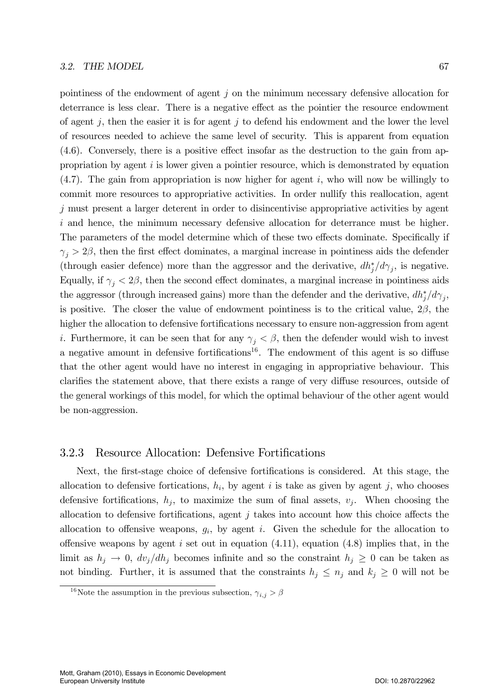pointiness of the endowment of agent  $j$  on the minimum necessary defensive allocation for deterrance is less clear. There is a negative effect as the pointier the resource endowment of agent j, then the easier it is for agent j to defend his endowment and the lower the level of resources needed to achieve the same level of security. This is apparent from equation  $(4.6)$ . Conversely, there is a positive effect insofar as the destruction to the gain from appropriation by agent  $i$  is lower given a pointier resource, which is demonstrated by equation  $(4.7)$ . The gain from appropriation is now higher for agent i, who will now be willingly to commit more resources to appropriative activities. In order nullify this reallocation, agent j must present a larger deterent in order to disincentivise appropriative activities by agent  $i$  and hence, the minimum necessary defensive allocation for deterrance must be higher. The parameters of the model determine which of these two effects dominate. Specifically if  $\gamma_i > 2\beta$ , then the first effect dominates, a marginal increase in pointiness aids the defender (through easier defence) more than the aggressor and the derivative,  $dh_j^*/d\gamma_j$ , is negative. Equally, if  $\gamma_j < 2\beta$ , then the second effect dominates, a marginal increase in pointiness aids the aggressor (through increased gains) more than the defender and the derivative,  $dh_j^*/d\gamma_j$ , is positive. The closer the value of endowment pointiness is to the critical value,  $2\beta$ , the higher the allocation to defensive fortifications necessary to ensure non-aggression from agent *i*. Furthermore, it can be seen that for any  $\gamma_j < \beta$ , then the defender would wish to invest a negative amount in defensive fortifications<sup>16</sup>. The endowment of this agent is so diffuse that the other agent would have no interest in engaging in appropriative behaviour. This clarifies the statement above, that there exists a range of very diffuse resources, outside of the general workings of this model, for which the optimal behaviour of the other agent would be non-aggression.

## 3.2.3 Resource Allocation: Defensive Fortifications

Next, the first-stage choice of defensive fortifications is considered. At this stage, the allocation to defensive fortications,  $h_i$ , by agent i is take as given by agent j, who chooses defensive fortifications,  $h_j$ , to maximize the sum of final assets,  $v_j$ . When choosing the allocation to defensive fortifications, agent  $j$  takes into account how this choice affects the allocation to offensive weapons,  $g_i$ , by agent i. Given the schedule for the allocation to offensive weapons by agent i set out in equation  $(4.11)$ , equation  $(4.8)$  implies that, in the limit as  $h_j \to 0$ ,  $dv_j/dh_j$  becomes infinite and so the constraint  $h_j \geq 0$  can be taken as not binding. Further, it is assumed that the constraints  $h_j \leq n_j$  and  $k_j \geq 0$  will not be

 $^{16}{\rm Note}$  the assumption in the previous subsection,  $\gamma_{i,j}>\beta$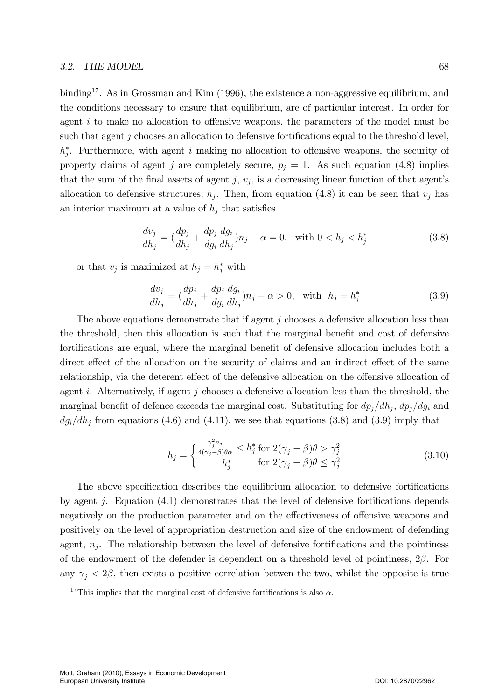binding<sup>17</sup>. As in Grossman and Kim  $(1996)$ , the existence a non-aggressive equilibrium, and the conditions necessary to ensure that equilibrium, are of particular interest. In order for agent  $i$  to make no allocation to offensive weapons, the parameters of the model must be such that agent  $j$  chooses an allocation to defensive fortifications equal to the threshold level,  $h_j^*$ . Furthermore, with agent i making no allocation to offensive weapons, the security of property claims of agent j are completely secure,  $p_j = 1$ . As such equation (4.8) implies that the sum of the final assets of agent j,  $v_j$ , is a decreasing linear function of that agent's allocation to defensive structures,  $h_j$ . Then, from equation (4.8) it can be seen that  $v_j$  has an interior maximum at a value of  $h_j$  that satisfies

$$
\frac{dv_j}{dh_j} = \left(\frac{dp_j}{dh_j} + \frac{dp_j}{dg_i}\frac{dg_i}{dh_j}\right) n_j - \alpha = 0, \quad \text{with } 0 < h_j < h_j^* \tag{3.8}
$$

or that  $v_j$  is maximized at  $h_j = h_j^*$  with

$$
\frac{dv_j}{dh_j} = \left(\frac{dp_j}{dh_j} + \frac{dp_j}{dg_i}\frac{dg_i}{dh_j}\right)n_j - \alpha > 0, \text{ with } h_j = h_j^*
$$
\n(3.9)

The above equations demonstrate that if agent j chooses a defensive allocation less than the threshold, then this allocation is such that the marginal benefit and cost of defensive fortifications are equal, where the marginal benefit of defensive allocation includes both a direct effect of the allocation on the security of claims and an indirect effect of the same relationship, via the deterent effect of the defensive allocation on the offensive allocation of agent i. Alternatively, if agent j chooses a defensive allocation less than the threshold, the marginal benefit of defence exceeds the marginal cost. Substituting for  $dp_j/dh_j$ ,  $dp_j/dg_i$  and  $dg_i/dh_j$  from equations (4.6) and (4.11), we see that equations (3.8) and (3.9) imply that

$$
h_j = \begin{cases} \frac{\gamma_j^2 n_j}{4(\gamma_j - \beta)\theta \alpha} < h_j^* \text{ for } 2(\gamma_j - \beta)\theta > \gamma_j^2\\ h_j^* & \text{for } 2(\gamma_j - \beta)\theta \le \gamma_j^2 \end{cases} \tag{3.10}
$$

The above specification describes the equilibrium allocation to defensive fortifications by agent j. Equation  $(4.1)$  demonstrates that the level of defensive fortifications depends negatively on the production parameter and on the effectiveness of offensive weapons and positively on the level of appropriation destruction and size of the endowment of defending agent,  $n_j$ . The relationship between the level of defensive fortifications and the pointiness of the endowment of the defender is dependent on a threshold level of pointiness,  $2\beta$ . For any  $\gamma_j < 2\beta$ , then exists a positive correlation betwen the two, whilst the opposite is true

<sup>&</sup>lt;sup>17</sup>This implies that the marginal cost of defensive fortifications is also  $\alpha$ .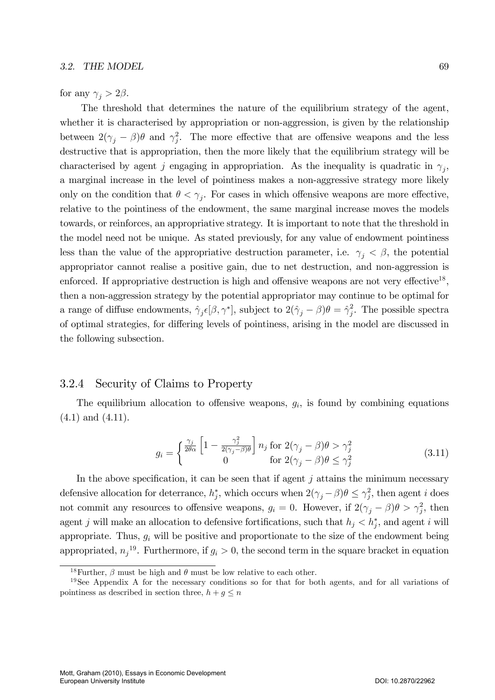for any  $\gamma_i > 2\beta$ .

The threshold that determines the nature of the equilibrium strategy of the agent, whether it is characterised by appropriation or non-aggression, is given by the relationship between  $2(\gamma_j - \beta)\theta$  and  $\gamma_j^2$ . The more effective that are offensive weapons and the less destructive that is appropriation, then the more likely that the equilibrium strategy will be characterised by agent j engaging in appropriation. As the inequality is quadratic in  $\gamma_j$ , a marginal increase in the level of pointiness makes a non-aggressive strategy more likely only on the condition that  $\theta < \gamma_j$ . For cases in which offensive weapons are more effective, relative to the pointiness of the endowment, the same marginal increase moves the models towards, or reinforces, an appropriative strategy. It is important to note that the threshold in the model need not be unique. As stated previously, for any value of endowment pointiness less than the value of the appropriative destruction parameter, i.e.  $\gamma_i < \beta$ , the potential appropriator cannot realise a positive gain, due to net destruction, and non-aggression is enforced. If appropriative destruction is high and offensive weapons are not very effective<sup>18</sup>, then a non-aggression strategy by the potential appropriator may continue to be optimal for a range of diffuse endowments,  $\hat{\gamma}_j \in [\beta, \gamma^*]$ , subject to  $2(\hat{\gamma}_j - \beta)\theta = \hat{\gamma}_j^2$  $j<sup>2</sup>$ . The possible spectra of optimal strategies, for differing levels of pointiness, arising in the model are discussed in the following subsection.

## 3.2.4 Security of Claims to Property

The equilibrium allocation to offensive weapons,  $g_i$ , is found by combining equations (4.1) and (4.11).

$$
g_i = \begin{cases} \frac{\gamma_j}{2\theta\alpha} \left[ 1 - \frac{\gamma_j^2}{2(\gamma_j - \beta)\theta} \right] n_j \text{ for } 2(\gamma_j - \beta)\theta > \gamma_j^2\\ 0 \qquad \text{for } 2(\gamma_j - \beta)\theta \le \gamma_j^2 \end{cases}
$$
(3.11)

In the above specification, it can be seen that if agent  $j$  attains the minimum necessary defensive allocation for deterrance,  $h_j^*$ , which occurs when  $2(\gamma_j - \beta)\theta \leq \gamma_j^2$ , then agent *i* does not commit any resources to offensive weapons,  $g_i = 0$ . However, if  $2(\gamma_j - \beta)\theta > \gamma_j^2$ , then agent j will make an allocation to defensive fortifications, such that  $h_j < h_j^*$ , and agent i will appropriate. Thus,  $g_i$  will be positive and proportionate to the size of the endowment being appropriated,  $n_j$ <sup>19</sup>. Furthermore, if  $g_i > 0$ , the second term in the square bracket in equation

<sup>&</sup>lt;sup>18</sup>Further,  $\beta$  must be high and  $\theta$  must be low relative to each other.

<sup>&</sup>lt;sup>19</sup>See Appendix A for the necessary conditions so for that for both agents, and for all variations of pointiness as described in section three,  $h + g \leq n$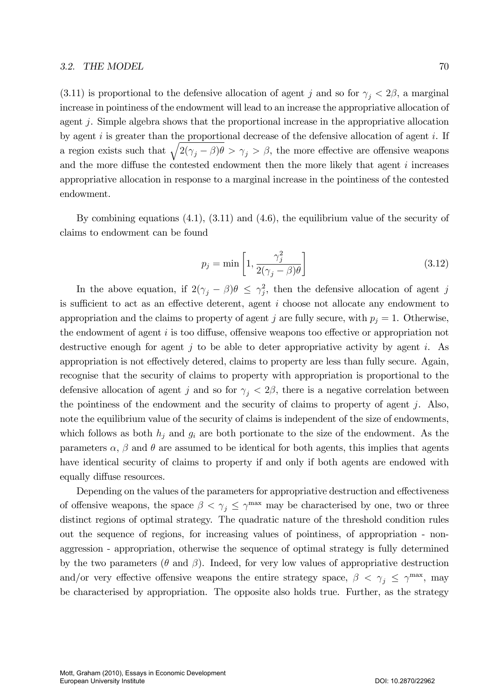$(3.11)$  is proportional to the defensive allocation of agent j and so for  $\gamma_i < 2\beta$ , a marginal increase in pointiness of the endowment will lead to an increase the appropriative allocation of agent j. Simple algebra shows that the proportional increase in the appropriative allocation by agent  $i$  is greater than the proportional decrease of the defensive allocation of agent  $i$ . If a region exists such that  $\sqrt{2(\gamma_j - \beta)\theta} > \gamma_j > \beta$ , the more effective are offensive weapons and the more diffuse the contested endowment then the more likely that agent  $i$  increases appropriative allocation in response to a marginal increase in the pointiness of the contested endowment.

By combining equations  $(4.1)$ ,  $(3.11)$  and  $(4.6)$ , the equilibrium value of the security of claims to endowment can be found

$$
p_j = \min\left[1, \frac{\gamma_j^2}{2(\gamma_j - \beta)\theta}\right]
$$
\n(3.12)

In the above equation, if  $2(\gamma_j - \beta)\theta \leq \gamma_j^2$ , then the defensive allocation of agent j is sufficient to act as an effective deterent, agent  $i$  choose not allocate any endowment to appropriation and the claims to property of agent j are fully secure, with  $p_i = 1$ . Otherwise, the endowment of agent  $i$  is too diffuse, offensive weapons too effective or appropriation not destructive enough for agent j to be able to deter appropriative activity by agent i. As appropriation is not effectively detered, claims to property are less than fully secure. Again, recognise that the security of claims to property with appropriation is proportional to the defensive allocation of agent j and so for  $\gamma_j < 2\beta$ , there is a negative correlation between the pointiness of the endowment and the security of claims to property of agent j. Also, note the equilibrium value of the security of claims is independent of the size of endowments, which follows as both  $h_j$  and  $g_i$  are both portionate to the size of the endowment. As the parameters  $\alpha$ ,  $\beta$  and  $\theta$  are assumed to be identical for both agents, this implies that agents have identical security of claims to property if and only if both agents are endowed with equally diffuse resources.

Depending on the values of the parameters for appropriative destruction and effectiveness of offensive weapons, the space  $\beta < \gamma_j \leq \gamma^{\text{max}}$  may be characterised by one, two or three distinct regions of optimal strategy. The quadratic nature of the threshold condition rules out the sequence of regions, for increasing values of pointiness, of appropriation - nonaggression - appropriation, otherwise the sequence of optimal strategy is fully determined by the two parameters ( $\theta$  and  $\beta$ ). Indeed, for very low values of appropriative destruction and/or very effective offensive weapons the entire strategy space,  $\beta < \gamma_j \leq \gamma^{\max}$ , may be characterised by appropriation. The opposite also holds true. Further, as the strategy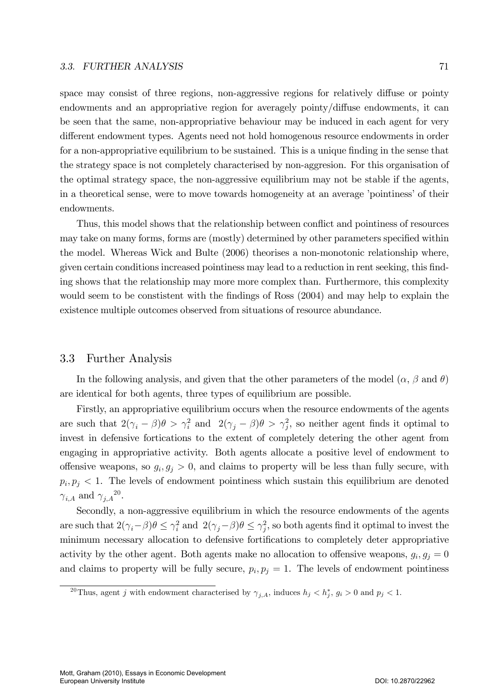#### 3.3. FURTHER ANALYSIS 71

space may consist of three regions, non-aggressive regions for relatively diffuse or pointy endowments and an appropriative region for averagely pointy/diffuse endowments, it can be seen that the same, non-appropriative behaviour may be induced in each agent for very different endowment types. Agents need not hold homogenous resource endowments in order for a non-appropriative equilibrium to be sustained. This is a unique finding in the sense that the strategy space is not completely characterised by non-aggresion. For this organisation of the optimal strategy space, the non-aggressive equilibrium may not be stable if the agents, in a theoretical sense, were to move towards homogeneity at an average 'pointiness' of their endowments.

Thus, this model shows that the relationship between conflict and pointiness of resources may take on many forms, forms are (mostly) determined by other parameters specified within the model. Whereas Wick and Bulte (2006) theorises a non-monotonic relationship where, given certain conditions increased pointiness may lead to a reduction in rent seeking, this finding shows that the relationship may more more complex than. Furthermore, this complexity would seem to be constitutent with the findings of Ross (2004) and may help to explain the existence multiple outcomes observed from situations of resource abundance.

## 3.3 Further Analysis

In the following analysis, and given that the other parameters of the model  $(\alpha, \beta \text{ and } \theta)$ are identical for both agents, three types of equilibrium are possible.

Firstly, an appropriative equilibrium occurs when the resource endowments of the agents are such that  $2(\gamma_i - \beta)\theta > \gamma_i^2$  and  $2(\gamma_j - \beta)\theta > \gamma_j^2$ , so neither agent finds it optimal to invest in defensive fortications to the extent of completely detering the other agent from engaging in appropriative activity. Both agents allocate a positive level of endowment to offensive weapons, so  $g_i, g_j > 0$ , and claims to property will be less than fully secure, with  $p_i, p_j < 1$ . The levels of endowment pointiness which sustain this equilibrium are denoted  $\gamma_{i,A}$  and  $\gamma_{j,A}^{20}$ .

Secondly, a non-aggressive equilibrium in which the resource endowments of the agents are such that  $2(\gamma_i - \beta)\theta \leq \gamma_i^2$  and  $2(\gamma_j - \beta)\theta \leq \gamma_j^2$ , so both agents find it optimal to invest the minimum necessary allocation to defensive fortifications to completely deter appropriative activity by the other agent. Both agents make no allocation to offensive weapons,  $g_i, g_j = 0$ and claims to property will be fully secure,  $p_i, p_j = 1$ . The levels of endowment pointiness

<sup>&</sup>lt;sup>20</sup>Thus, agent j with endowment characterised by  $\gamma_{j,A}$ , induces  $h_j < h_j^*$ ,  $g_i > 0$  and  $p_j < 1$ .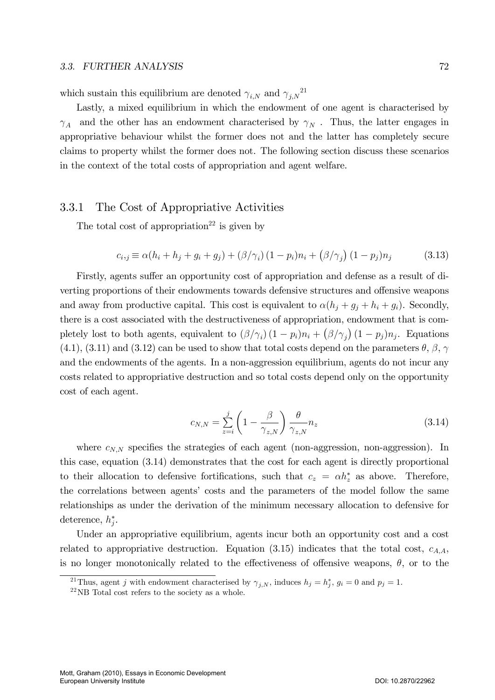which sustain this equilibrium are denoted  $\gamma_{i,N}$  and  $\gamma_{j,N}^{21}$ 

Lastly, a mixed equilibrium in which the endowment of one agent is characterised by  $\gamma_A$  and the other has an endowment characterised by  $\gamma_N$ . Thus, the latter engages in appropriative behaviour whilst the former does not and the latter has completely secure claims to property whilst the former does not. The following section discuss these scenarios in the context of the total costs of appropriation and agent welfare.

## 3.3.1 The Cost of Appropriative Activities

The total cost of appropriation<sup>22</sup> is given by

$$
c_{i,j} \equiv \alpha(h_i + h_j + g_i + g_j) + (\beta/\gamma_i)(1 - p_i)n_i + (\beta/\gamma_j)(1 - p_j)n_j \tag{3.13}
$$

Firstly, agents suffer an opportunity cost of appropriation and defense as a result of diverting proportions of their endowments towards defensive structures and offensive weapons and away from productive capital. This cost is equivalent to  $\alpha(h_j + g_j + h_i + g_i)$ . Secondly, there is a cost associated with the destructiveness of appropriation, endowment that is completely lost to both agents, equivalent to  $(\beta/\gamma_i)(1-p_i)n_i + (\beta/\gamma_j)(1-p_j)n_j$ . Equations  $(4.1), (3.11)$  and  $(3.12)$  can be used to show that total costs depend on the parameters  $\theta, \beta, \gamma$ and the endowments of the agents. In a non-aggression equilibrium, agents do not incur any costs related to appropriative destruction and so total costs depend only on the opportunity cost of each agent.

$$
c_{N,N} = \sum_{z=i}^{j} \left(1 - \frac{\beta}{\gamma_{z,N}}\right) \frac{\theta}{\gamma_{z,N}} n_z
$$
\n(3.14)

where  $c_{N,N}$  specifies the strategies of each agent (non-aggression, non-aggression). In this case, equation (3.14) demonstrates that the cost for each agent is directly proportional to their allocation to defensive fortifications, such that  $c_z = \alpha h_z^*$  as above. Therefore, the correlations between agents' costs and the parameters of the model follow the same relationships as under the derivation of the minimum necessary allocation to defensive for deterence,  $h_j^*$ .

Under an appropriative equilibrium, agents incur both an opportunity cost and a cost related to appropriative destruction. Equation (3.15) indicates that the total cost,  $c_{A,A}$ , is no longer monotonically related to the effectiveness of offensive weapons,  $\theta$ , or to the

<sup>&</sup>lt;sup>21</sup>Thus, agent j with endowment characterised by  $\gamma_{j,N}$ , induces  $h_j = h_j^*$ ,  $g_i = 0$  and  $p_j = 1$ .

 $^{22}\mathrm{NB}$  Total cost refers to the society as a whole.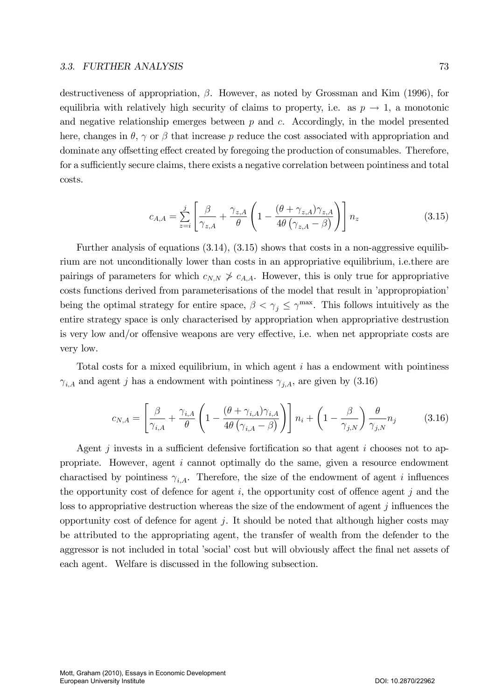destructiveness of appropriation,  $\beta$ . However, as noted by Grossman and Kim (1996), for equilibria with relatively high security of claims to property, i.e. as  $p \to 1$ , a monotonic and negative relationship emerges between  $p$  and  $c$ . Accordingly, in the model presented here, changes in  $\theta$ ,  $\gamma$  or  $\beta$  that increase p reduce the cost associated with appropriation and dominate any offsetting effect created by foregoing the production of consumables. Therefore, for a sufficiently secure claims, there exists a negative correlation between pointiness and total costs.

$$
c_{A,A} = \sum_{z=i}^{j} \left[ \frac{\beta}{\gamma_{z,A}} + \frac{\gamma_{z,A}}{\theta} \left( 1 - \frac{(\theta + \gamma_{z,A})\gamma_{z,A}}{4\theta \left( \gamma_{z,A} - \beta \right)} \right) \right] n_z \tag{3.15}
$$

Further analysis of equations (3.14), (3.15) shows that costs in a non-aggressive equilibrium are not unconditionally lower than costs in an appropriative equilibrium, i.e.there are pairings of parameters for which  $c_{N,N} \nless c_{A,A}$ . However, this is only true for appropriative costs functions derived from parameterisations of the model that result in 'appropropiation' being the optimal strategy for entire space,  $\beta < \gamma_j \leq \gamma^{\max}$ . This follows intuitively as the entire strategy space is only characterised by appropriation when appropriative destrustion is very low and/or offensive weapons are very effective, i.e. when net appropriate costs are very low.

Total costs for a mixed equilibrium, in which agent i has a endowment with pointiness  $\gamma_{i,A}$  and agent j has a endowment with pointiness  $\gamma_{j,A}$ , are given by (3.16)

$$
c_{N,A} = \left[\frac{\beta}{\gamma_{i,A}} + \frac{\gamma_{i,A}}{\theta} \left(1 - \frac{(\theta + \gamma_{i,A})\gamma_{i,A}}{4\theta \left(\gamma_{i,A} - \beta\right)}\right)\right] n_i + \left(1 - \frac{\beta}{\gamma_{j,N}}\right) \frac{\theta}{\gamma_{j,N}} n_j \tag{3.16}
$$

Agent j invests in a sufficient defensive fortification so that agent i chooses not to appropriate. However, agent  $i$  cannot optimally do the same, given a resource endowment charactised by pointiness  $\gamma_{i,A}$ . Therefore, the size of the endowment of agent i influences the opportunity cost of defence for agent  $i$ , the opportunity cost of offence agent  $j$  and the loss to appropriative destruction whereas the size of the endowment of agent  $j$  influences the opportunity cost of defence for agent j. It should be noted that although higher costs may be attributed to the appropriating agent, the transfer of wealth from the defender to the aggressor is not included in total 'social' cost but will obviously affect the final net assets of each agent. Welfare is discussed in the following subsection.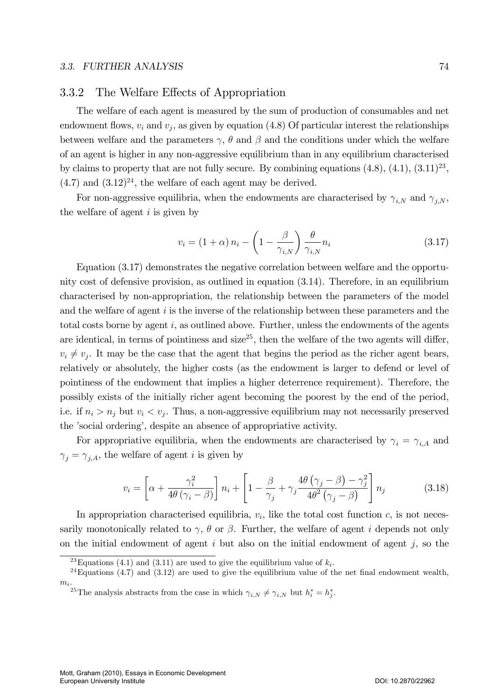## 3.3.2 The Welfare Effects of Appropriation

The welfare of each agent is measured by the sum of production of consumables and net endowment flows,  $v_i$  and  $v_j$ , as given by equation (4.8) Of particular interest the relationships between welfare and the parameters  $\gamma$ ,  $\theta$  and  $\beta$  and the conditions under which the welfare of an agent is higher in any non-aggressive equilibrium than in any equilibrium characterised by claims to property that are not fully secure. By combining equations  $(4.8)$ ,  $(4.1)$ ,  $(3.11)^{23}$ ,  $(4.7)$  and  $(3.12)^{24}$ , the welfare of each agent may be derived.

For non-aggressive equilibria, when the endowments are characterised by  $\gamma_{i,N}$  and  $\gamma_{i,N}$ , the welfare of agent  $i$  is given by

$$
v_i = (1 + \alpha) n_i - \left(1 - \frac{\beta}{\gamma_{i,N}}\right) \frac{\theta}{\gamma_{i,N}} n_i
$$
\n(3.17)

Equation (3.17) demonstrates the negative correlation between welfare and the opportunity cost of defensive provision, as outlined in equation (3.14). Therefore, in an equilibrium characterised by non-appropriation, the relationship between the parameters of the model and the welfare of agent  $i$  is the inverse of the relationship between these parameters and the total costs borne by agent  $i$ , as outlined above. Further, unless the endowments of the agents are identical, in terms of pointiness and  $size^{25}$ , then the welfare of the two agents will differ,  $v_i \neq v_j$ . It may be the case that the agent that begins the period as the richer agent bears, relatively or absolutely, the higher costs (as the endowment is larger to defend or level of pointiness of the endowment that implies a higher deterrence requirement). Therefore, the possibly exists of the initially richer agent becoming the poorest by the end of the period, i.e. if  $n_i > n_j$  but  $v_i < v_j$ . Thus, a non-aggressive equilibrium may not necessarily preserved the 'social ordering', despite an absence of appropriative activity.

For appropriative equilibria, when the endowments are characterised by  $\gamma_i = \gamma_{i,A}$  and  $\gamma_i = \gamma_{i,A}$ , the welfare of agent *i* is given by

$$
v_i = \left[\alpha + \frac{\gamma_i^2}{4\theta \left(\gamma_i - \beta\right)}\right] n_i + \left[1 - \frac{\beta}{\gamma_j} + \gamma_j \frac{4\theta \left(\gamma_j - \beta\right) - \gamma_j^2}{4\theta^2 \left(\gamma_j - \beta\right)}\right] n_j \tag{3.18}
$$

In appropriation characterised equilibria,  $v_i$ , like the total cost function  $c$ , is not necessarily monotonically related to  $\gamma$ ,  $\theta$  or  $\beta$ . Further, the welfare of agent i depends not only on the initial endowment of agent  $i$  but also on the initial endowment of agent  $j$ , so the

<sup>&</sup>lt;sup>23</sup> Equations (4.1) and (3.11) are used to give the equilibrium value of  $k_i$ .

<sup>&</sup>lt;sup>24</sup>Equations  $(4.7)$  and  $(3.12)$  are used to give the equilibrium value of the net final endowment wealth,  $m_i$ .

<sup>&</sup>lt;sup>25</sup>The analysis abstracts from the case in which  $\gamma_{i,N} \neq \gamma_{i,N}$  but  $h_i^* = h_j^*$ .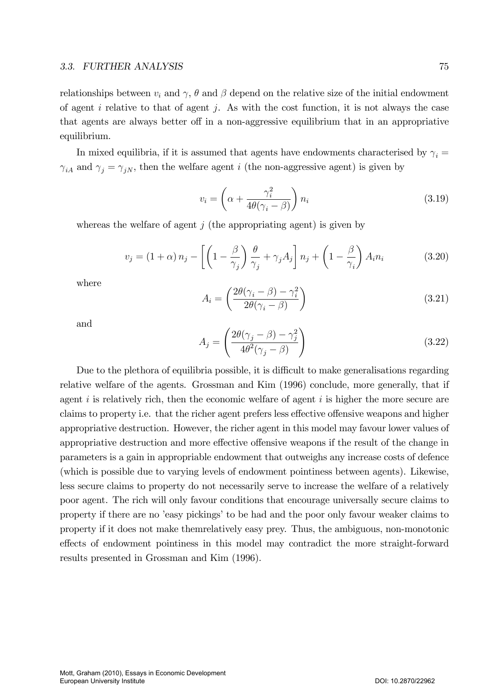relationships between  $v_i$  and  $\gamma$ ,  $\theta$  and  $\beta$  depend on the relative size of the initial endowment of agent  $i$  relative to that of agent  $j$ . As with the cost function, it is not always the case that agents are always better off in a non-aggressive equilibrium that in an appropriative equilibrium.

In mixed equilibria, if it is assumed that agents have endowments characterised by  $\gamma_i =$  $\gamma_{iA}$  and  $\gamma_i = \gamma_{iN}$ , then the welfare agent i (the non-aggressive agent) is given by

$$
v_i = \left(\alpha + \frac{\gamma_i^2}{4\theta(\gamma_i - \beta)}\right) n_i \tag{3.19}
$$

whereas the welfare of agent  $j$  (the appropriating agent) is given by

$$
v_j = (1 + \alpha) n_j - \left[ \left( 1 - \frac{\beta}{\gamma_j} \right) \frac{\theta}{\gamma_j} + \gamma_j A_j \right] n_j + \left( 1 - \frac{\beta}{\gamma_i} \right) A_i n_i \tag{3.20}
$$

where

$$
A_i = \left(\frac{2\theta(\gamma_i - \beta) - \gamma_i^2}{2\theta(\gamma_i - \beta)}\right)
$$
\n(3.21)

and

$$
A_j = \left(\frac{2\theta(\gamma_j - \beta) - \gamma_j^2}{4\theta^2(\gamma_j - \beta)}\right)
$$
\n(3.22)

Due to the plethora of equilibria possible, it is difficult to make generalisations regarding relative welfare of the agents. Grossman and Kim (1996) conclude, more generally, that if agent  $i$  is relatively rich, then the economic welfare of agent  $i$  is higher the more secure are claims to property i.e. that the richer agent prefers less effective offensive weapons and higher appropriative destruction. However, the richer agent in this model may favour lower values of appropriative destruction and more effective offensive weapons if the result of the change in parameters is a gain in appropriable endowment that outweighs any increase costs of defence (which is possible due to varying levels of endowment pointiness between agents). Likewise, less secure claims to property do not necessarily serve to increase the welfare of a relatively poor agent. The rich will only favour conditions that encourage universally secure claims to property if there are no 'easy pickings' to be had and the poor only favour weaker claims to property if it does not make themrelatively easy prey. Thus, the ambiguous, non-monotonic effects of endowment pointiness in this model may contradict the more straight-forward results presented in Grossman and Kim (1996).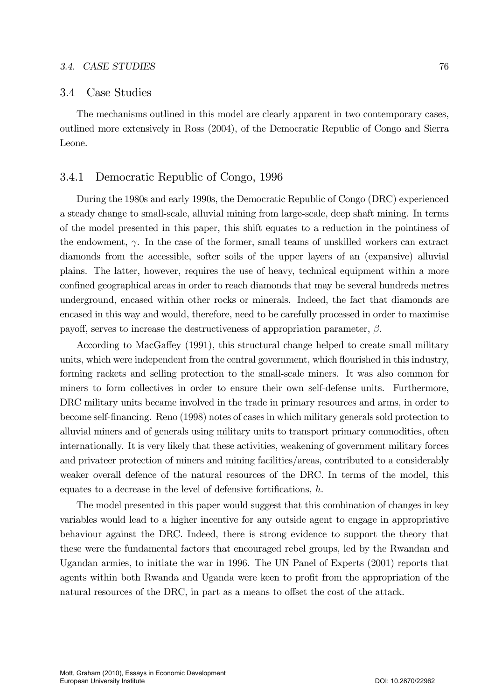## 3.4 Case Studies

The mechanisms outlined in this model are clearly apparent in two contemporary cases, outlined more extensively in Ross (2004), of the Democratic Republic of Congo and Sierra Leone.

## 3.4.1 Democratic Republic of Congo, 1996

During the 1980s and early 1990s, the Democratic Republic of Congo (DRC) experienced a steady change to small-scale, alluvial mining from large-scale, deep shaft mining. In terms of the model presented in this paper, this shift equates to a reduction in the pointiness of the endowment,  $\gamma$ . In the case of the former, small teams of unskilled workers can extract diamonds from the accessible, softer soils of the upper layers of an (expansive) alluvial plains. The latter, however, requires the use of heavy, technical equipment within a more confined geographical areas in order to reach diamonds that may be several hundreds metres underground, encased within other rocks or minerals. Indeed, the fact that diamonds are encased in this way and would, therefore, need to be carefully processed in order to maximise payoff, serves to increase the destructiveness of appropriation parameter,  $\beta$ .

According to MacGaffey (1991), this structural change helped to create small military units, which were independent from the central government, which flourished in this industry, forming rackets and selling protection to the small-scale miners. It was also common for miners to form collectives in order to ensure their own self-defense units. Furthermore, DRC military units became involved in the trade in primary resources and arms, in order to become self-Önancing. Reno (1998) notes of cases in which military generals sold protection to alluvial miners and of generals using military units to transport primary commodities, often internationally. It is very likely that these activities, weakening of government military forces and privateer protection of miners and mining facilities/areas, contributed to a considerably weaker overall defence of the natural resources of the DRC. In terms of the model, this equates to a decrease in the level of defensive fortifications,  $h$ .

The model presented in this paper would suggest that this combination of changes in key variables would lead to a higher incentive for any outside agent to engage in appropriative behaviour against the DRC. Indeed, there is strong evidence to support the theory that these were the fundamental factors that encouraged rebel groups, led by the Rwandan and Ugandan armies, to initiate the war in 1996. The UN Panel of Experts (2001) reports that agents within both Rwanda and Uganda were keen to profit from the appropriation of the natural resources of the DRC, in part as a means to offset the cost of the attack.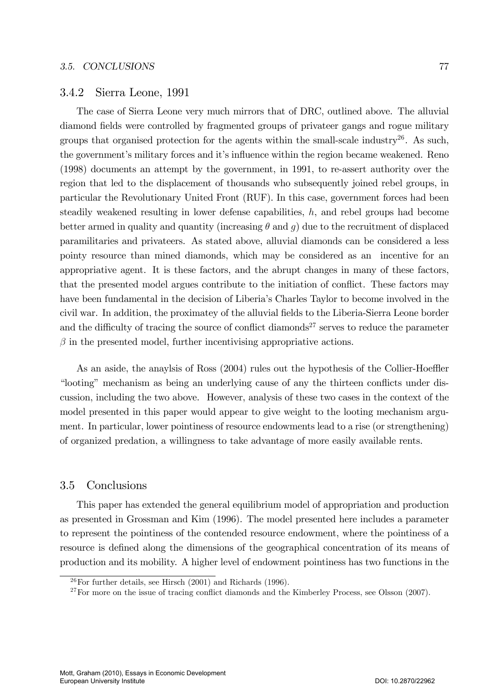## 3.4.2 Sierra Leone, 1991

The case of Sierra Leone very much mirrors that of DRC, outlined above. The alluvial diamond fields were controlled by fragmented groups of privateer gangs and rogue military groups that organised protection for the agents within the small-scale industry<sup>26</sup>. As such, the government's military forces and it's influence within the region became weakened. Reno (1998) documents an attempt by the government, in 1991, to re-assert authority over the region that led to the displacement of thousands who subsequently joined rebel groups, in particular the Revolutionary United Front (RUF). In this case, government forces had been steadily weakened resulting in lower defense capabilities, h, and rebel groups had become better armed in quality and quantity (increasing  $\theta$  and  $g$ ) due to the recruitment of displaced paramilitaries and privateers. As stated above, alluvial diamonds can be considered a less pointy resource than mined diamonds, which may be considered as an incentive for an appropriative agent. It is these factors, and the abrupt changes in many of these factors, that the presented model argues contribute to the initiation of conflict. These factors may have been fundamental in the decision of Liberia's Charles Taylor to become involved in the civil war. In addition, the proximatey of the alluvial fields to the Liberia-Sierra Leone border and the difficulty of tracing the source of conflict diamonds<sup>27</sup> serves to reduce the parameter  $\beta$  in the presented model, further incentivising appropriative actions.

As an aside, the anaylsis of Ross (2004) rules out the hypothesis of the Collier-Hoeffler "looting" mechanism as being an underlying cause of any the thirteen conflicts under discussion, including the two above. However, analysis of these two cases in the context of the model presented in this paper would appear to give weight to the looting mechanism argument. In particular, lower pointiness of resource endowments lead to a rise (or strengthening) of organized predation, a willingness to take advantage of more easily available rents.

## 3.5 Conclusions

This paper has extended the general equilibrium model of appropriation and production as presented in Grossman and Kim (1996). The model presented here includes a parameter to represent the pointiness of the contended resource endowment, where the pointiness of a resource is defined along the dimensions of the geographical concentration of its means of production and its mobility. A higher level of endowment pointiness has two functions in the

 $^{26}$ For further details, see Hirsch (2001) and Richards (1996).

 $27$  For more on the issue of tracing conflict diamonds and the Kimberley Process, see Olsson (2007).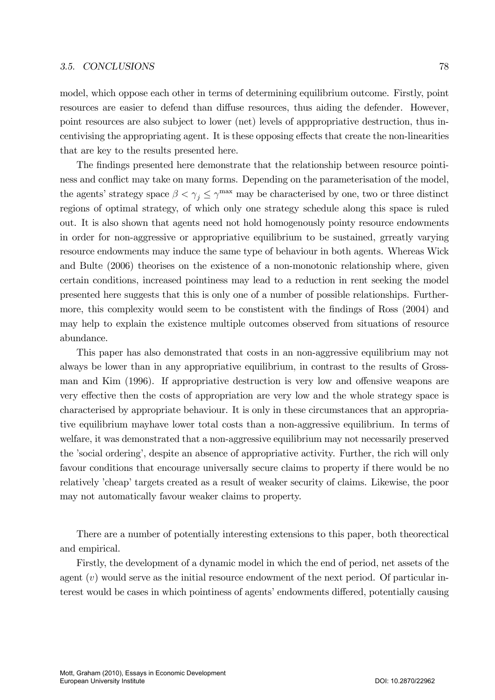#### 3.5. CONCLUSIONS 78

model, which oppose each other in terms of determining equilibrium outcome. Firstly, point resources are easier to defend than diffuse resources, thus aiding the defender. However, point resources are also subject to lower (net) levels of apppropriative destruction, thus incentivising the appropriating agent. It is these opposing effects that create the non-linearities that are key to the results presented here.

The findings presented here demonstrate that the relationship between resource pointness and conflict may take on many forms. Depending on the parameterisation of the model, the agents' strategy space  $\beta < \gamma_j \leq \gamma^{\text{max}}$  may be characterised by one, two or three distinct regions of optimal strategy, of which only one strategy schedule along this space is ruled out. It is also shown that agents need not hold homogenously pointy resource endowments in order for non-aggressive or appropriative equilibrium to be sustained, grreatly varying resource endowments may induce the same type of behaviour in both agents. Whereas Wick and Bulte (2006) theorises on the existence of a non-monotonic relationship where, given certain conditions, increased pointiness may lead to a reduction in rent seeking the model presented here suggests that this is only one of a number of possible relationships. Furthermore, this complexity would seem to be constistent with the findings of Ross (2004) and may help to explain the existence multiple outcomes observed from situations of resource abundance.

This paper has also demonstrated that costs in an non-aggressive equilibrium may not always be lower than in any appropriative equilibrium, in contrast to the results of Grossman and Kim  $(1996)$ . If appropriative destruction is very low and offensive weapons are very effective then the costs of appropriation are very low and the whole strategy space is characterised by appropriate behaviour. It is only in these circumstances that an appropriative equilibrium mayhave lower total costs than a non-aggressive equilibrium. In terms of welfare, it was demonstrated that a non-aggressive equilibrium may not necessarily preserved the 'social ordering', despite an absence of appropriative activity. Further, the rich will only favour conditions that encourage universally secure claims to property if there would be no relatively 'cheap' targets created as a result of weaker security of claims. Likewise, the poor may not automatically favour weaker claims to property.

There are a number of potentially interesting extensions to this paper, both theorectical and empirical.

Firstly, the development of a dynamic model in which the end of period, net assets of the agent  $(v)$  would serve as the initial resource endowment of the next period. Of particular interest would be cases in which pointiness of agents' endowments differed, potentially causing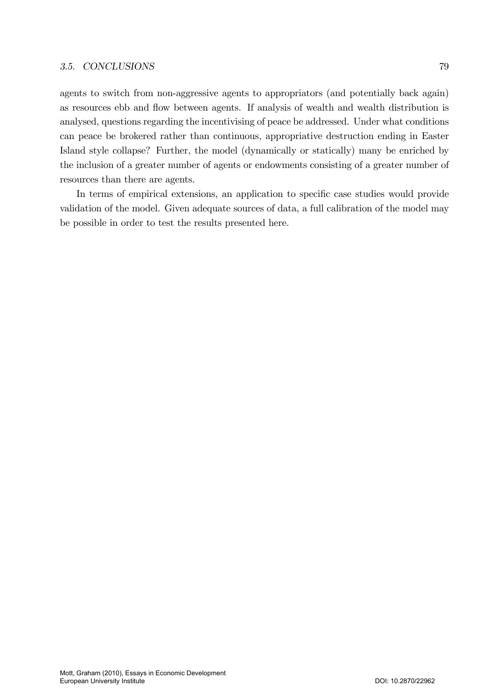### 3.5. CONCLUSIONS 79

agents to switch from non-aggressive agents to appropriators (and potentially back again) as resources ebb and flow between agents. If analysis of wealth and wealth distribution is analysed, questions regarding the incentivising of peace be addressed. Under what conditions can peace be brokered rather than continuous, appropriative destruction ending in Easter Island style collapse? Further, the model (dynamically or statically) many be enriched by the inclusion of a greater number of agents or endowments consisting of a greater number of resources than there are agents.

In terms of empirical extensions, an application to specific case studies would provide validation of the model. Given adequate sources of data, a full calibration of the model may be possible in order to test the results presented here.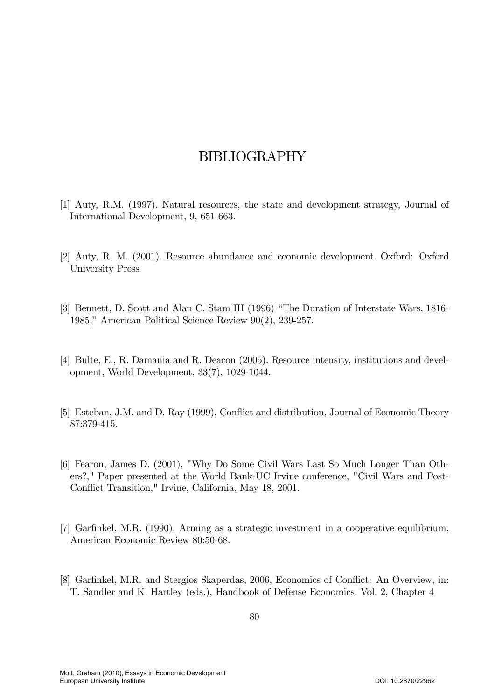# BIBLIOGRAPHY

- [1] Auty, R.M. (1997). Natural resources, the state and development strategy, Journal of International Development, 9, 651-663.
- [2] Auty, R. M. (2001). Resource abundance and economic development. Oxford: Oxford University Press
- [3] Bennett, D. Scott and Alan C. Stam III (1996) "The Duration of Interstate Wars, 1816-1985," American Political Science Review 90(2), 239-257.
- [4] Bulte, E., R. Damania and R. Deacon (2005). Resource intensity, institutions and development, World Development, 33(7), 1029-1044.
- [5] Esteban, J.M. and D. Ray (1999), Conflict and distribution, Journal of Economic Theory 87:379-415.
- [6] Fearon, James D. (2001), "Why Do Some Civil Wars Last So Much Longer Than Others?," Paper presented at the World Bank-UC Irvine conference, "Civil Wars and Post-Conflict Transition," Irvine, California, May 18, 2001.
- [7] Garfinkel, M.R. (1990), Arming as a strategic investment in a cooperative equilibrium, American Economic Review 80:50-68.
- [8] Garfinkel, M.R. and Stergios Skaperdas, 2006, Economics of Conflict: An Overview, in: T. Sandler and K. Hartley (eds.), Handbook of Defense Economics, Vol. 2, Chapter 4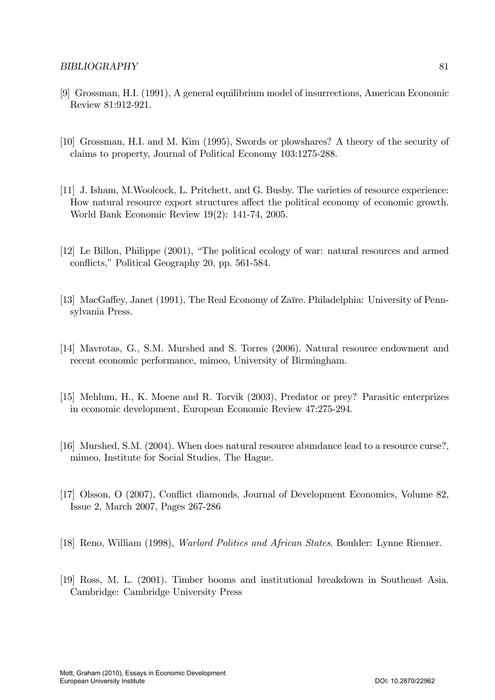- [9] Grossman, H.I. (1991), A general equilibrium model of insurrections, American Economic Review 81:912-921.
- [10] Grossman, H.I. and M. Kim (1995), Swords or plowshares? A theory of the security of claims to property, Journal of Political Economy 103:1275-288.
- [11] J. Isham, M.Woolcock, L. Pritchett, and G. Busby. The varieties of resource experience: How natural resource export structures affect the political economy of economic growth. World Bank Economic Review 19(2): 141-74, 2005.
- [12] Le Billon, Philippe (2001), "The political ecology of war: natural resources and armed conflicts," Political Geography 20, pp. 561-584.
- [13] MacGaffey, Janet (1991), The Real Economy of Zaïre. Philadelphia: University of Pennsylvania Press.
- [14] Mavrotas, G., S.M. Murshed and S. Torres (2006). Natural resource endowment and recent economic performance, mimeo, University of Birmingham.
- [15] Mehlum, H., K. Moene and R. Torvik (2003), Predator or prey? Parasitic enterprizes in economic development, European Economic Review 47:275-294.
- [16] Murshed, S.M. (2004). When does natural resource abundance lead to a resource curse?, mimeo, Institute for Social Studies, The Hague.
- [17] Olsson, O (2007), Conflict diamonds, Journal of Development Economics, Volume 82, Issue 2, March 2007, Pages 267-286
- [18] Reno, William (1998), Warlord Politics and African States. Boulder: Lynne Rienner.
- [19] Ross, M. L. (2001). Timber booms and institutional breakdown in Southeast Asia. Cambridge: Cambridge University Press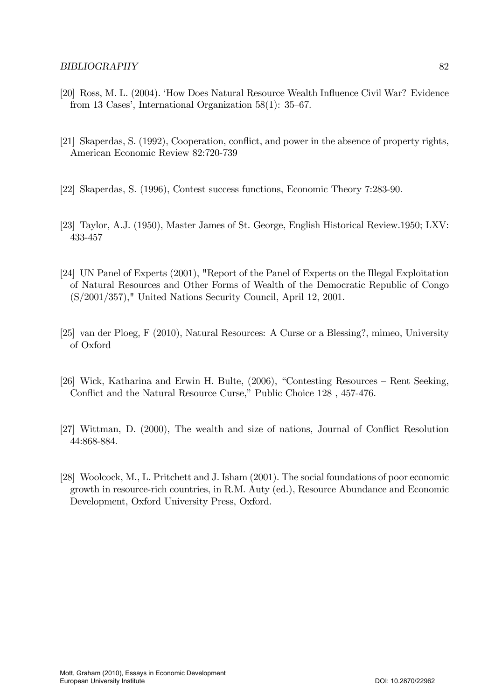- [20] Ross, M. L. (2004). ëHow Does Natural Resource Wealth Ináuence Civil War? Evidence from 13 Cases', International Organization  $58(1)$ : 35–67.
- [21] Skaperdas, S. (1992), Cooperation, conflict, and power in the absence of property rights, American Economic Review 82:720-739
- [22] Skaperdas, S. (1996), Contest success functions, Economic Theory 7:283-90.
- [23] Taylor, A.J. (1950), Master James of St. George, English Historical Review.1950; LXV: 433-457
- [24] UN Panel of Experts (2001), "Report of the Panel of Experts on the Illegal Exploitation of Natural Resources and Other Forms of Wealth of the Democratic Republic of Congo (S/2001/357)," United Nations Security Council, April 12, 2001.
- [25] van der Ploeg, F (2010), Natural Resources: A Curse or a Blessing?, mimeo, University of Oxford
- [26] Wick, Katharina and Erwin H. Bulte,  $(2006)$ , "Contesting Resources Rent Seeking, Conflict and the Natural Resource Curse," Public Choice 128, 457-476.
- [27] Wittman, D. (2000), The wealth and size of nations, Journal of Conflict Resolution 44:868-884.
- [28] Woolcock, M., L. Pritchett and J. Isham (2001). The social foundations of poor economic growth in resource-rich countries, in R.M. Auty (ed.), Resource Abundance and Economic Development, Oxford University Press, Oxford.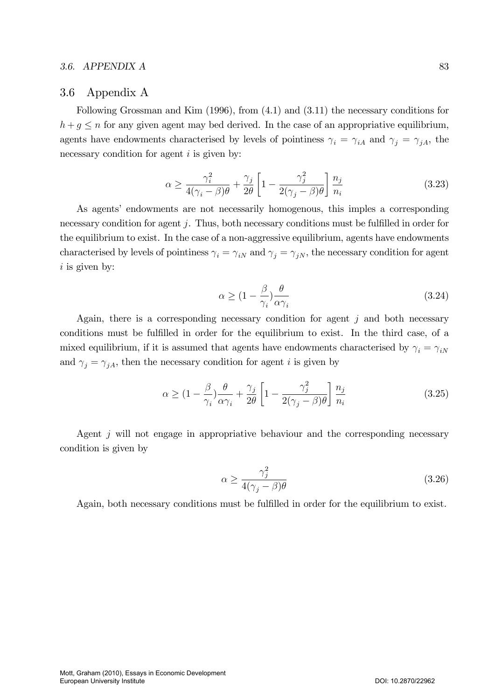## 3.6 Appendix A

Following Grossman and Kim (1996), from (4.1) and (3.11) the necessary conditions for  $h + g \leq n$  for any given agent may bed derived. In the case of an appropriative equilibrium, agents have endowments characterised by levels of pointiness  $\gamma_i = \gamma_{iA}$  and  $\gamma_i = \gamma_{iA}$ , the necessary condition for agent  $i$  is given by:

$$
\alpha \ge \frac{\gamma_i^2}{4(\gamma_i - \beta)\theta} + \frac{\gamma_j}{2\theta} \left[ 1 - \frac{\gamma_j^2}{2(\gamma_j - \beta)\theta} \right] \frac{n_j}{n_i}
$$
(3.23)

As agents' endowments are not necessarily homogenous, this imples a corresponding necessary condition for agent  $j$ . Thus, both necessary conditions must be fulfilled in order for the equilibrium to exist. In the case of a non-aggressive equilibrium, agents have endowments characterised by levels of pointiness  $\gamma_i = \gamma_{iN}$  and  $\gamma_j = \gamma_{jN}$ , the necessary condition for agent  $i$  is given by:

$$
\alpha \ge (1 - \frac{\beta}{\gamma_i}) \frac{\theta}{\alpha \gamma_i} \tag{3.24}
$$

Again, there is a corresponding necessary condition for agent  $j$  and both necessary conditions must be fulfilled in order for the equilibrium to exist. In the third case, of a mixed equilibrium, if it is assumed that agents have endowments characterised by  $\gamma_i = \gamma_{iN}$ and  $\gamma_i = \gamma_{jA}$ , then the necessary condition for agent *i* is given by

$$
\alpha \ge (1 - \frac{\beta}{\gamma_i})\frac{\theta}{\alpha \gamma_i} + \frac{\gamma_j}{2\theta} \left[ 1 - \frac{\gamma_j^2}{2(\gamma_j - \beta)\theta} \right] \frac{n_j}{n_i}
$$
(3.25)

Agent j will not engage in appropriative behaviour and the corresponding necessary condition is given by

$$
\alpha \ge \frac{\gamma_j^2}{4(\gamma_j - \beta)\theta} \tag{3.26}
$$

Again, both necessary conditions must be fulfilled in order for the equilibrium to exist.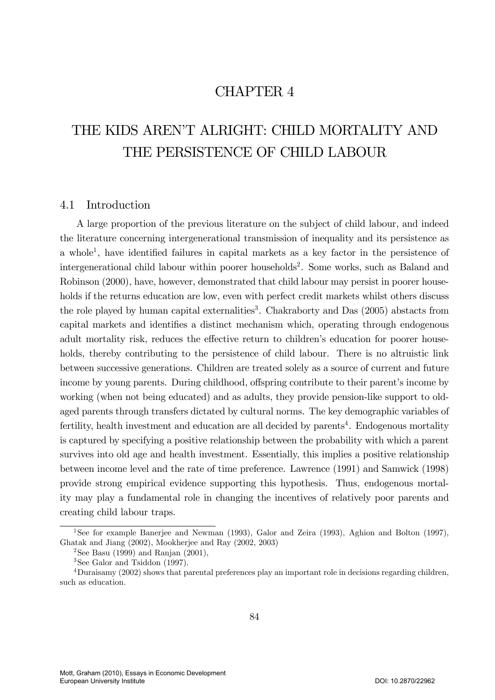## CHAPTER 4

# THE KIDS AREN'T ALRIGHT: CHILD MORTALITY AND THE PERSISTENCE OF CHILD LABOUR

## 4.1 Introduction

A large proportion of the previous literature on the subject of child labour, and indeed the literature concerning intergenerational transmission of inequality and its persistence as a whole<sup>1</sup>, have identified failures in capital markets as a key factor in the persistence of intergenerational child labour within poorer households<sup>2</sup>. Some works, such as Baland and Robinson (2000), have, however, demonstrated that child labour may persist in poorer households if the returns education are low, even with perfect credit markets whilst others discuss the role played by human capital externalities<sup>3</sup>. Chakraborty and Das (2005) abstacts from capital markets and identifies a distinct mechanism which, operating through endogenous adult mortality risk, reduces the effective return to children's education for poorer households, thereby contributing to the persistence of child labour. There is no altruistic link between successive generations. Children are treated solely as a source of current and future income by young parents. During childhood, offspring contribute to their parent's income by working (when not being educated) and as adults, they provide pension-like support to oldaged parents through transfers dictated by cultural norms. The key demographic variables of fertility, health investment and education are all decided by parents<sup>4</sup>. Endogenous mortality is captured by specifying a positive relationship between the probability with which a parent survives into old age and health investment. Essentially, this implies a positive relationship between income level and the rate of time preference. Lawrence (1991) and Samwick (1998) provide strong empirical evidence supporting this hypothesis. Thus, endogenous mortality may play a fundamental role in changing the incentives of relatively poor parents and creating child labour traps.

<sup>1</sup>See for example Banerjee and Newman (1993), Galor and Zeira (1993), Aghion and Bolton (1997), Ghatak and Jiang (2002), Mookherjee and Ray (2002, 2003)

<sup>&</sup>lt;sup>2</sup>See Basu (1999) and Ranjan (2001),

<sup>3</sup>See Galor and Tsiddon (1997).

<sup>4</sup>Duraisamy (2002) shows that parental preferences play an important role in decisions regarding children, such as education.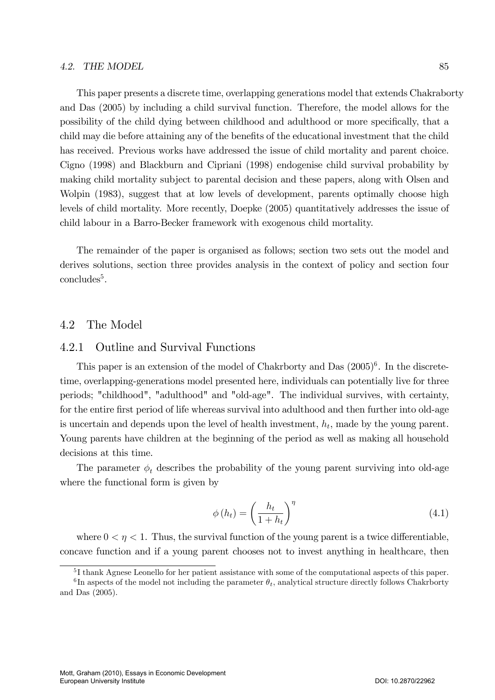This paper presents a discrete time, overlapping generations model that extends Chakraborty and Das (2005) by including a child survival function. Therefore, the model allows for the possibility of the child dying between childhood and adulthood or more specifically, that a child may die before attaining any of the benefits of the educational investment that the child has received. Previous works have addressed the issue of child mortality and parent choice. Cigno (1998) and Blackburn and Cipriani (1998) endogenise child survival probability by making child mortality subject to parental decision and these papers, along with Olsen and Wolpin (1983), suggest that at low levels of development, parents optimally choose high levels of child mortality. More recently, Doepke (2005) quantitatively addresses the issue of child labour in a Barro-Becker framework with exogenous child mortality.

The remainder of the paper is organised as follows; section two sets out the model and derives solutions, section three provides analysis in the context of policy and section four concludes<sup>5</sup>.

## 4.2 The Model

## 4.2.1 Outline and Survival Functions

This paper is an extension of the model of Chakrborty and Das  $(2005)^6$ . In the discretetime, overlapping-generations model presented here, individuals can potentially live for three periods; "childhood", "adulthood" and "old-age". The individual survives, with certainty, for the entire first period of life whereas survival into adulthood and then further into old-age is uncertain and depends upon the level of health investment,  $h_t$ , made by the young parent. Young parents have children at the beginning of the period as well as making all household decisions at this time.

The parameter  $\phi_t$  describes the probability of the young parent surviving into old-age where the functional form is given by

$$
\phi(h_t) = \left(\frac{h_t}{1+h_t}\right)^{\eta} \tag{4.1}
$$

where  $0 < \eta < 1$ . Thus, the survival function of the young parent is a twice differentiable, concave function and if a young parent chooses not to invest anything in healthcare, then

<sup>&</sup>lt;sup>5</sup>I thank Agnese Leonello for her patient assistance with some of the computational aspects of this paper. <sup>6</sup>In aspects of the model not including the parameter  $\theta_t$ , analytical structure directly follows Chakrborty and Das (2005).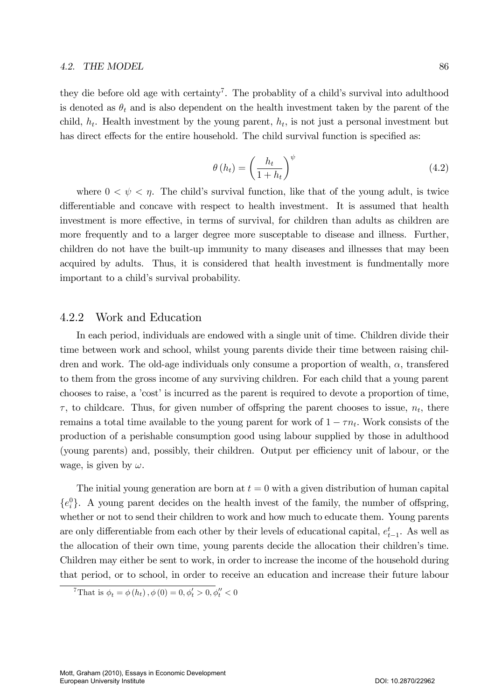they die before old age with certainty<sup>7</sup>. The probablity of a child's survival into adulthood is denoted as  $\theta_t$  and is also dependent on the health investment taken by the parent of the child,  $h_t$ . Health investment by the young parent,  $h_t$ , is not just a personal investment but has direct effects for the entire household. The child survival function is specified as:

$$
\theta(h_t) = \left(\frac{h_t}{1+h_t}\right)^{\psi} \tag{4.2}
$$

where  $0 < \psi < \eta$ . The child's survival function, like that of the young adult, is twice differentiable and concave with respect to health investment. It is assumed that health investment is more effective, in terms of survival, for children than adults as children are more frequently and to a larger degree more susceptable to disease and illness. Further, children do not have the built-up immunity to many diseases and illnesses that may been acquired by adults. Thus, it is considered that health investment is fundmentally more important to a child's survival probability.

## 4.2.2 Work and Education

In each period, individuals are endowed with a single unit of time. Children divide their time between work and school, whilst young parents divide their time between raising children and work. The old-age individuals only consume a proportion of wealth,  $\alpha$ , transferred to them from the gross income of any surviving children. For each child that a young parent chooses to raise, a 'cost' is incurred as the parent is required to devote a proportion of time,  $\tau$ , to childcare. Thus, for given number of offspring the parent chooses to issue,  $n_t$ , there remains a total time available to the young parent for work of  $1 - \tau n_t$ . Work consists of the production of a perishable consumption good using labour supplied by those in adulthood (young parents) and, possibly, their children. Output per efficiency unit of labour, or the wage, is given by  $\omega$ .

The initial young generation are born at  $t = 0$  with a given distribution of human capital  ${e_i^0}$ . A young parent decides on the health invest of the family, the number of offspring, whether or not to send their children to work and how much to educate them. Young parents are only differentiable from each other by their levels of educational capital,  $e_{t-1}^t$ . As well as the allocation of their own time, young parents decide the allocation their children's time. Children may either be sent to work, in order to increase the income of the household during that period, or to school, in order to receive an education and increase their future labour

<sup>&</sup>lt;sup>7</sup>That is  $\phi_t = \phi(h_t)$ ,  $\phi(0) = 0, \phi'_t > 0, \phi''_t < 0$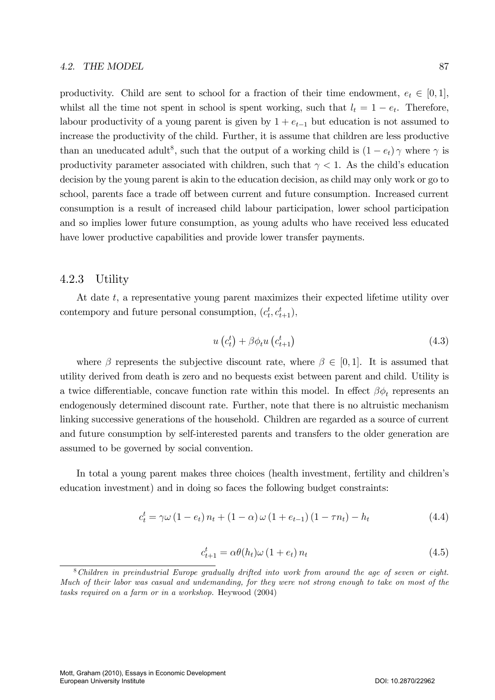productivity. Child are sent to school for a fraction of their time endowment,  $e_t \in [0, 1]$ , whilst all the time not spent in school is spent working, such that  $l_t = 1 - e_t$ . Therefore, labour productivity of a young parent is given by  $1 + e_{t-1}$  but education is not assumed to increase the productivity of the child. Further, it is assume that children are less productive than an uneducated adult<sup>8</sup>, such that the output of a working child is  $(1 - e_t) \gamma$  where  $\gamma$  is productivity parameter associated with children, such that  $\gamma < 1$ . As the child's education decision by the young parent is akin to the education decision, as child may only work or go to school, parents face a trade off between current and future consumption. Increased current consumption is a result of increased child labour participation, lower school participation and so implies lower future consumption, as young adults who have received less educated have lower productive capabilities and provide lower transfer payments.

## 4.2.3 Utility

At date  $t$ , a representative young parent maximizes their expected lifetime utility over contempory and future personal consumption,  $(c_t^t, c_{t+1}^t)$ ,

$$
u\left(c_t^t\right) + \beta \phi_t u\left(c_{t+1}^t\right) \tag{4.3}
$$

where  $\beta$  represents the subjective discount rate, where  $\beta \in [0, 1]$ . It is assumed that utility derived from death is zero and no bequests exist between parent and child. Utility is a twice differentiable, concave function rate within this model. In effect  $\beta \phi_t$  represents an endogenously determined discount rate. Further, note that there is no altruistic mechanism linking successive generations of the household. Children are regarded as a source of current and future consumption by self-interested parents and transfers to the older generation are assumed to be governed by social convention.

In total a young parent makes three choices (health investment, fertility and children's education investment) and in doing so faces the following budget constraints:

$$
c_{t}^{t} = \gamma \omega (1 - e_{t}) n_{t} + (1 - \alpha) \omega (1 + e_{t-1}) (1 - \tau n_{t}) - h_{t}
$$
\n(4.4)

$$
c_{t+1}^t = \alpha \theta(h_t) \omega \left(1 + e_t\right) n_t \tag{4.5}
$$

<sup>8</sup>Children in preindustrial Europe gradually drifted into work from around the age of seven or eight. Much of their labor was casual and undemanding, for they were not strong enough to take on most of the tasks required on a farm or in a workshop. Heywood (2004)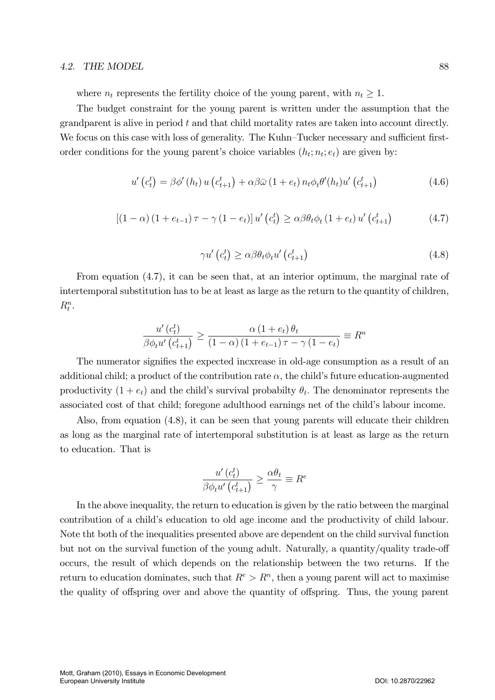where  $n_t$  represents the fertility choice of the young parent, with  $n_t \geq 1$ .

The budget constraint for the young parent is written under the assumption that the grandparent is alive in period t and that child mortality rates are taken into account directly. We focus on this case with loss of generality. The Kuhn–Tucker necessary and sufficient firstorder conditions for the young parent's choice variables  $(h_t; n_t; e_t)$  are given by:

$$
u'\left(c_t^t\right) = \beta \phi'\left(h_t\right) u\left(c_{t+1}^t\right) + \alpha \beta \bar{\omega} \left(1 + e_t\right) n_t \phi_t \theta'(h_t) u'\left(c_{t+1}^t\right) \tag{4.6}
$$

$$
\left[\left(1-\alpha\right)\left(1+e_{t-1}\right)\tau-\gamma\left(1-e_t\right)\right]u'\left(c_t^t\right)\geq\alpha\beta\theta_t\phi_t\left(1+e_t\right)u'\left(c_{t+1}^t\right)\tag{4.7}
$$

$$
\gamma u' \left( c_t^t \right) \ge \alpha \beta \theta_t \phi_t u' \left( c_{t+1}^t \right) \tag{4.8}
$$

From equation (4.7), it can be seen that, at an interior optimum, the marginal rate of intertemporal substitution has to be at least as large as the return to the quantity of children,  $R_t^n$ .

$$
\frac{u'(c_t^t)}{\beta \phi_t u'(c_{t+1}^t)} \ge \frac{\alpha (1 + e_t) \theta_t}{(1 - \alpha) (1 + e_{t-1}) \tau - \gamma (1 - e_t)} \equiv R^n
$$

The numerator signifies the expected incxrease in old-age consumption as a result of an additional child; a product of the contribution rate  $\alpha$ , the child's future education-augmented productivity  $(1 + e_t)$  and the child's survival probabilty  $\theta_t$ . The denominator represents the associated cost of that child; foregone adulthood earnings net of the child's labour income.

Also, from equation (4.8), it can be seen that young parents will educate their children as long as the marginal rate of intertemporal substitution is at least as large as the return to education. That is

$$
\frac{u'\left(c_t^t\right)}{\beta \phi_t u'\left(c_{t+1}^t\right)} \geq \frac{\alpha \theta_t}{\gamma} \equiv R^e
$$

In the above inequality, the return to education is given by the ratio between the marginal contribution of a child's education to old age income and the productivity of child labour. Note tht both of the inequalities presented above are dependent on the child survival function but not on the survival function of the young adult. Naturally, a quantity/quality trade-off occurs, the result of which depends on the relationship between the two returns. If the return to education dominates, such that  $R^e > R^n$ , then a young parent will act to maximise the quality of offspring over and above the quantity of offspring. Thus, the young parent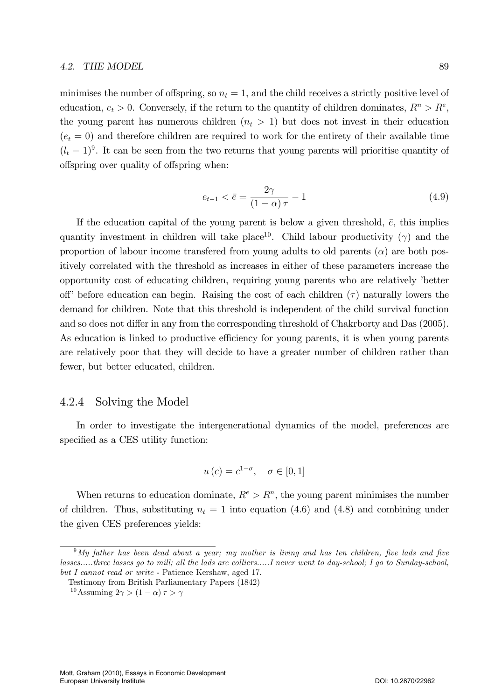minimises the number of offspring, so  $n_t = 1$ , and the child receives a strictly positive level of education,  $e_t > 0$ . Conversely, if the return to the quantity of children dominates,  $R^n > R^e$ , the young parent has numerous children  $(n_t > 1)$  but does not invest in their education  $(e_t = 0)$  and therefore children are required to work for the entirety of their available time  $(l_t = 1)^9$ . It can be seen from the two returns that young parents will prioritise quantity of offspring over quality of offspring when:

$$
e_{t-1} < \bar{e} = \frac{2\gamma}{(1-\alpha)\tau} - 1\tag{4.9}
$$

If the education capital of the young parent is below a given threshold,  $\bar{e}$ , this implies quantity investment in children will take place<sup>10</sup>. Child labour productivity ( $\gamma$ ) and the proportion of labour income transfered from young adults to old parents  $(\alpha)$  are both positively correlated with the threshold as increases in either of these parameters increase the opportunity cost of educating children, requiring young parents who are relatively íbetter off before education can begin. Raising the cost of each children  $(\tau)$  naturally lowers the demand for children. Note that this threshold is independent of the child survival function and so does not differ in any from the corresponding threshold of Chakrborty and Das (2005). As education is linked to productive efficiency for young parents, it is when young parents are relatively poor that they will decide to have a greater number of children rather than fewer, but better educated, children.

## 4.2.4 Solving the Model

In order to investigate the intergenerational dynamics of the model, preferences are specified as a CES utility function:

$$
u(c) = c^{1-\sigma}, \quad \sigma \in [0,1]
$$

When returns to education dominate,  $R^e > R^n$ , the young parent minimises the number of children. Thus, substituting  $n_t = 1$  into equation (4.6) and (4.8) and combining under the given CES preferences yields:

 $9$ My father has been dead about a year; my mother is living and has ten children, five lads and five lasses.....three lasses go to mill; all the lads are colliers.....I never went to day-school; I go to Sunday-school, but I cannot read or write - Patience Kershaw, aged 17.

Testimony from British Parliamentary Papers (1842)

<sup>&</sup>lt;sup>10</sup>Assuming  $2\gamma > (1 - \alpha) \tau > \gamma$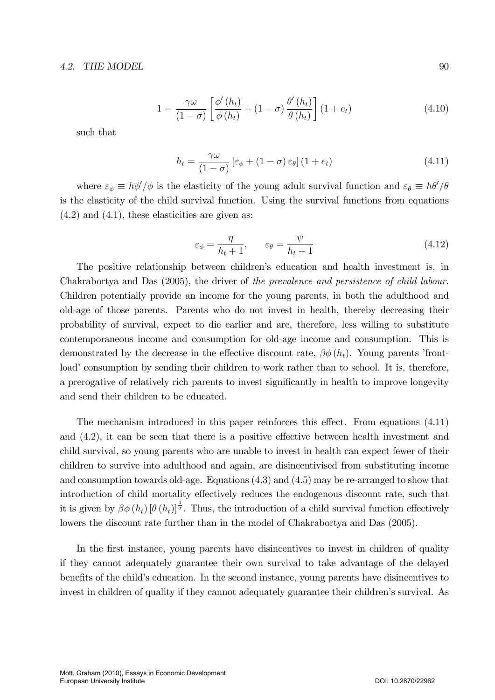$$
1 = \frac{\gamma \omega}{(1 - \sigma)} \left[ \frac{\phi'(h_t)}{\phi(h_t)} + (1 - \sigma) \frac{\theta'(h_t)}{\theta(h_t)} \right] (1 + e_t)
$$
 (4.10)

such that

$$
h_t = \frac{\gamma \omega}{(1 - \sigma)} \left[ \varepsilon_{\phi} + (1 - \sigma) \varepsilon_{\theta} \right] (1 + e_t)
$$
 (4.11)

where  $\varepsilon_{\phi} \equiv h\phi'/\phi$  is the elasticity of the young adult survival function and  $\varepsilon_{\theta} \equiv h\theta'/\theta$ is the elasticity of the child survival function. Using the survival functions from equations  $(4.2)$  and  $(4.1)$ , these elasticities are given as:

$$
\varepsilon_{\phi} = \frac{\eta}{h_t + 1}, \qquad \varepsilon_{\theta} = \frac{\psi}{h_t + 1} \tag{4.12}
$$

The positive relationship between children's education and health investment is, in Chakrabortya and Das (2005), the driver of the prevalence and persistence of child labour. Children potentially provide an income for the young parents, in both the adulthood and old-age of those parents. Parents who do not invest in health, thereby decreasing their probability of survival, expect to die earlier and are, therefore, less willing to substitute contemporaneous income and consumption for old-age income and consumption. This is demonstrated by the decrease in the effective discount rate,  $\beta \phi(h_t)$ . Young parents 'frontload' consumption by sending their children to work rather than to school. It is, therefore, a prerogative of relatively rich parents to invest significantly in health to improve longevity and send their children to be educated.

The mechanism introduced in this paper reinforces this effect. From equations  $(4.11)$ and  $(4.2)$ , it can be seen that there is a positive effective between health investment and child survival, so young parents who are unable to invest in health can expect fewer of their children to survive into adulthood and again, are disincentivised from substituting income and consumption towards old-age. Equations (4.3) and (4.5) may be re-arranged to show that introduction of child mortality effectively reduces the endogenous discount rate, such that it is given by  $\beta \phi(h_t) [\theta(h_t)]^{\frac{1}{\sigma}}$ . Thus, the introduction of a child survival function effectively lowers the discount rate further than in the model of Chakrabortya and Das (2005).

In the first instance, young parents have disincentives to invest in children of quality if they cannot adequately guarantee their own survival to take advantage of the delayed benefits of the child's education. In the second instance, young parents have disincentives to invest in children of quality if they cannot adequately guarantee their children's survival. As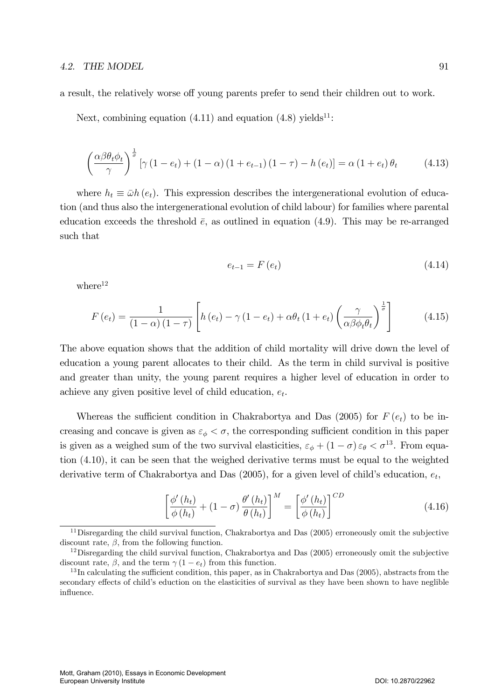a result, the relatively worse off young parents prefer to send their children out to work.

Next, combining equation  $(4.11)$  and equation  $(4.8)$  yields<sup>11</sup>:

$$
\left(\frac{\alpha\beta\theta_t\phi_t}{\gamma}\right)^{\frac{1}{\sigma}}\left[\gamma\left(1-e_t\right)+\left(1-\alpha\right)\left(1+e_{t-1}\right)\left(1-\tau\right)-h\left(e_t\right)\right]=\alpha\left(1+e_t\right)\theta_t\tag{4.13}
$$

where  $h_t \equiv \bar{\omega}h(e_t)$ . This expression describes the intergenerational evolution of education (and thus also the intergenerational evolution of child labour) for families where parental education exceeds the threshold  $\bar{e}$ , as outlined in equation (4.9). This may be re-arranged such that

$$
e_{t-1} = F(e_t) \tag{4.14}
$$

where $12$ 

$$
F\left(e_{t}\right) = \frac{1}{\left(1-\alpha\right)\left(1-\tau\right)} \left[h\left(e_{t}\right) - \gamma\left(1-e_{t}\right) + \alpha\theta_{t}\left(1+e_{t}\right)\left(\frac{\gamma}{\alpha\beta\phi_{t}\theta_{t}}\right)^{\frac{1}{\sigma}}\right]
$$
(4.15)

The above equation shows that the addition of child mortality will drive down the level of education a young parent allocates to their child. As the term in child survival is positive and greater than unity, the young parent requires a higher level of education in order to achieve any given positive level of child education,  $e_t$ .

Whereas the sufficient condition in Chakrabortya and Das (2005) for  $F(e_t)$  to be increasing and concave is given as  $\varepsilon_{\phi} < \sigma$ , the corresponding sufficient condition in this paper is given as a weighed sum of the two survival elasticities,  $\varepsilon_{\phi} + (1 - \sigma) \varepsilon_{\theta} < \sigma^{13}$ . From equation (4.10), it can be seen that the weighed derivative terms must be equal to the weighted derivative term of Chakrabortya and Das  $(2005)$ , for a given level of child's education,  $e_t$ ,

$$
\left[\frac{\phi'(h_t)}{\phi(h_t)} + (1 - \sigma)\frac{\theta'(h_t)}{\theta(h_t)}\right]^M = \left[\frac{\phi'(h_t)}{\phi(h_t)}\right]^{CD}
$$
\n(4.16)

<sup>&</sup>lt;sup>11</sup> Disregarding the child survival function, Chakrabortya and Das  $(2005)$  erroneously omit the subjective discount rate,  $\beta$ , from the following function.

 $12$ Disregarding the child survival function, Chakrabortya and Das (2005) erroneously omit the subjective discount rate,  $\beta$ , and the term  $\gamma(1-e_t)$  from this function.

 $^{13}$ In calculating the sufficient condition, this paper, as in Chakrabortya and Das (2005), abstracts from the secondary effects of child's eduction on the elasticities of survival as they have been shown to have neglible influence.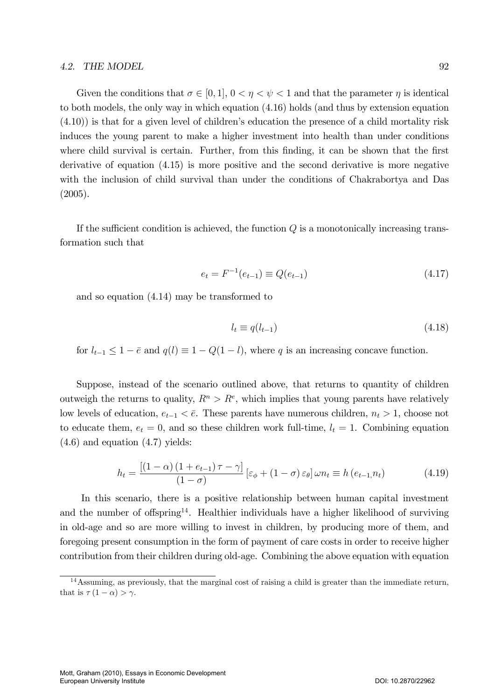Given the conditions that  $\sigma \in [0, 1], 0 < \eta < \psi < 1$  and that the parameter  $\eta$  is identical to both models, the only way in which equation (4.16) holds (and thus by extension equation  $(4.10)$ ) is that for a given level of children's education the presence of a child mortality risk induces the young parent to make a higher investment into health than under conditions where child survival is certain. Further, from this finding, it can be shown that the first derivative of equation (4.15) is more positive and the second derivative is more negative with the inclusion of child survival than under the conditions of Chakrabortya and Das (2005).

If the sufficient condition is achieved, the function  $Q$  is a monotonically increasing transformation such that

$$
e_t = F^{-1}(e_{t-1}) \equiv Q(e_{t-1}) \tag{4.17}
$$

and so equation (4.14) may be transformed to

$$
l_t \equiv q(l_{t-1}) \tag{4.18}
$$

for  $l_{t-1} \leq 1 - \bar{e}$  and  $q(l) \equiv 1 - Q(1 - l)$ , where q is an increasing concave function.

Suppose, instead of the scenario outlined above, that returns to quantity of children outweigh the returns to quality,  $R^n > R^e$ , which implies that young parents have relatively low levels of education,  $e_{t-1} < \bar{e}$ . These parents have numerous children,  $n_t > 1$ , choose not to educate them,  $e_t = 0$ , and so these children work full-time,  $l_t = 1$ . Combining equation  $(4.6)$  and equation  $(4.7)$  yields:

$$
h_{t} = \frac{\left[ (1 - \alpha) \left( 1 + e_{t-1} \right) \tau - \gamma \right]}{(1 - \sigma)} \left[ \varepsilon_{\phi} + (1 - \sigma) \varepsilon_{\theta} \right] \omega n_{t} \equiv h \left( e_{t-1,} n_{t} \right) \tag{4.19}
$$

In this scenario, there is a positive relationship between human capital investment and the number of offspring<sup>14</sup>. Healthier individuals have a higher likelihood of surviving in old-age and so are more willing to invest in children, by producing more of them, and foregoing present consumption in the form of payment of care costs in order to receive higher contribution from their children during old-age. Combining the above equation with equation

 $14$ Assuming, as previously, that the marginal cost of raising a child is greater than the immediate return, that is  $\tau (1 - \alpha) > \gamma$ .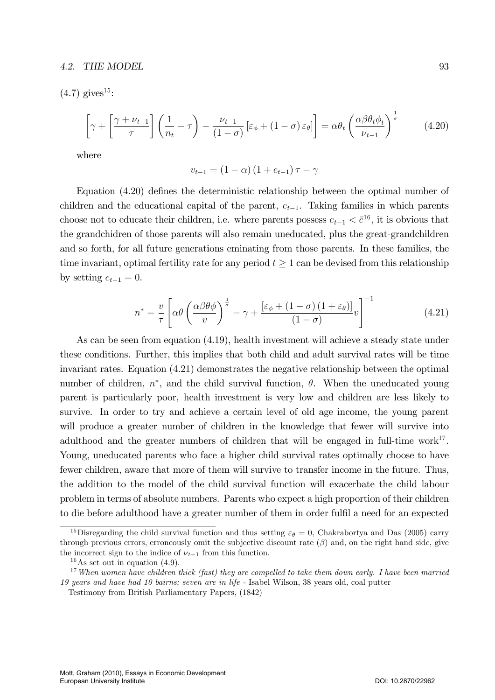$(4.7)$  gives<sup>15</sup>:

$$
\left[\gamma + \left[\frac{\gamma + \nu_{t-1}}{\tau}\right] \left(\frac{1}{n_t} - \tau\right) - \frac{\nu_{t-1}}{(1-\sigma)} \left[\varepsilon_\phi + (1-\sigma)\varepsilon_\theta\right]\right] = \alpha \theta_t \left(\frac{\alpha \beta \theta_t \phi_t}{\nu_{t-1}}\right)^{\frac{1}{\sigma}}\tag{4.20}
$$

where

$$
v_{t-1} = (1 - \alpha) (1 + e_{t-1}) \tau - \gamma
$$

Equation (4.20) defines the deterministic relationship between the optimal number of children and the educational capital of the parent,  $e_{t-1}$ . Taking families in which parents choose not to educate their children, i.e. where parents possess  $e_{t-1} < \bar{e}^{16}$ , it is obvious that the grandchidren of those parents will also remain uneducated, plus the great-grandchildren and so forth, for all future generations eminating from those parents. In these families, the time invariant, optimal fertility rate for any period  $t \geq 1$  can be devised from this relationship by setting  $e_{t-1} = 0$ .

$$
n^* = \frac{v}{\tau} \left[ \alpha \theta \left( \frac{\alpha \beta \theta \phi}{v} \right)^{\frac{1}{\sigma}} - \gamma + \frac{\left[ \varepsilon_\phi + (1 - \sigma) (1 + \varepsilon_\theta) \right]}{(1 - \sigma)} v \right]^{-1} \tag{4.21}
$$

As can be seen from equation (4.19), health investment will achieve a steady state under these conditions. Further, this implies that both child and adult survival rates will be time invariant rates. Equation (4.21) demonstrates the negative relationship between the optimal number of children,  $n^*$ , and the child survival function,  $\theta$ . When the uneducated young parent is particularly poor, health investment is very low and children are less likely to survive. In order to try and achieve a certain level of old age income, the young parent will produce a greater number of children in the knowledge that fewer will survive into adulthood and the greater numbers of children that will be engaged in full-time work<sup>17</sup>. Young, uneducated parents who face a higher child survival rates optimally choose to have fewer children, aware that more of them will survive to transfer income in the future. Thus, the addition to the model of the child survival function will exacerbate the child labour problem in terms of absolute numbers. Parents who expect a high proportion of their children to die before adulthood have a greater number of them in order fulfil a need for an expected

<sup>&</sup>lt;sup>15</sup>Disregarding the child survival function and thus setting  $\varepsilon_{\theta} = 0$ , Chakrabortya and Das (2005) carry through previous errors, erroneously omit the subjective discount rate  $(\beta)$  and, on the right hand side, give the incorrect sign to the indice of  $\nu_{t-1}$  from this function.

 $16\,\mathrm{As}$  set out in equation (4.9).

 $17$  When women have children thick (fast) they are compelled to take them down early. I have been married 19 years and have had 10 bairns; seven are in life - Isabel Wilson, 38 years old, coal putter

Testimony from British Parliamentary Papers, (1842)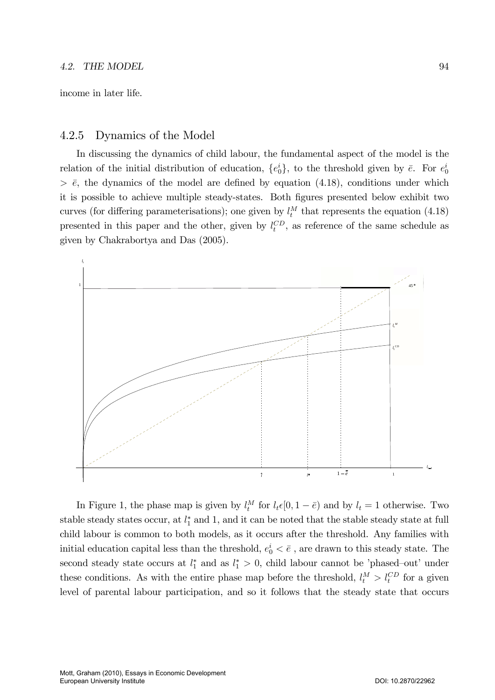income in later life.

## 4.2.5 Dynamics of the Model

In discussing the dynamics of child labour, the fundamental aspect of the model is the relation of the initial distribution of education,  $\{e_0^i\}$ , to the threshold given by  $\bar{e}$ . For  $e_0^i$  $> \bar{e}$ , the dynamics of the model are defined by equation (4.18), conditions under which it is possible to achieve multiple steady-states. Both figures presented below exhibit two curves (for differing parameterisations); one given by  $l_t^M$  that represents the equation (4.18) presented in this paper and the other, given by  $l_t^{CD}$ , as reference of the same schedule as given by Chakrabortya and Das (2005).



In Figure 1, the phase map is given by  $l_t^M$  for  $l_t \in [0, 1 - \bar{e})$  and by  $l_t = 1$  otherwise. Two stable steady states occur, at  $l_1^*$  and 1, and it can be noted that the stable steady state at full child labour is common to both models, as it occurs after the threshold. Any families with initial education capital less than the threshold,  $e_0^i < \bar{e}$ , are drawn to this steady state. The second steady state occurs at  $l_1^*$  and as  $l_1^* > 0$ , child labour cannot be 'phased-out' under these conditions. As with the entire phase map before the threshold,  $l_t^M > l_t^{CD}$  for a given level of parental labour participation, and so it follows that the steady state that occurs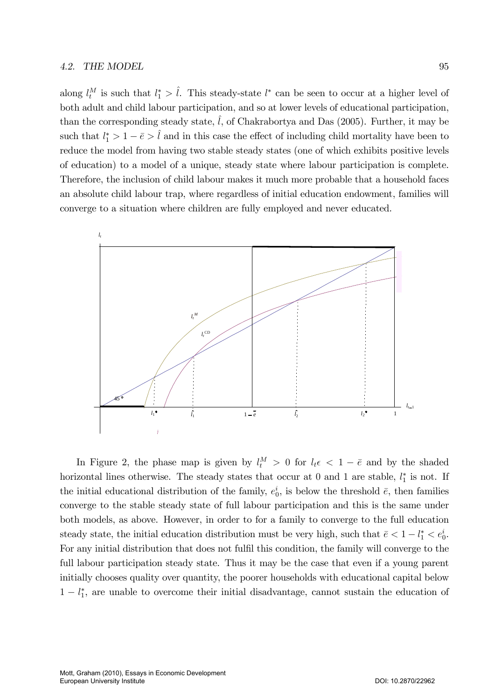along  $l_t^M$  is such that  $l_1^* > \hat{l}$ . This steady-state  $l^*$  can be seen to occur at a higher level of both adult and child labour participation, and so at lower levels of educational participation, than the corresponding steady state,  $\hat{l}$ , of Chakrabortya and Das (2005). Further, it may be such that  $l_1^* > 1 - \bar{e} > \hat{l}$  and in this case the effect of including child mortality have been to reduce the model from having two stable steady states (one of which exhibits positive levels of education) to a model of a unique, steady state where labour participation is complete. Therefore, the inclusion of child labour makes it much more probable that a household faces an absolute child labour trap, where regardless of initial education endowment, families will converge to a situation where children are fully employed and never educated.



In Figure 2, the phase map is given by  $l_t^M > 0$  for  $l_t \epsilon < 1 - \bar{e}$  and by the shaded horizontal lines otherwise. The steady states that occur at 0 and 1 are stable,  $l_1^*$  is not. If the initial educational distribution of the family,  $e_0^i$ , is below the threshold  $\bar{e}$ , then families converge to the stable steady state of full labour participation and this is the same under both models, as above. However, in order to for a family to converge to the full education steady state, the initial education distribution must be very high, such that  $\bar{e} < 1 - l_1^* < e_0^i$ . For any initial distribution that does not fulfil this condition, the family will converge to the full labour participation steady state. Thus it may be the case that even if a young parent initially chooses quality over quantity, the poorer households with educational capital below  $1 - l_1^*$ , are unable to overcome their initial disadvantage, cannot sustain the education of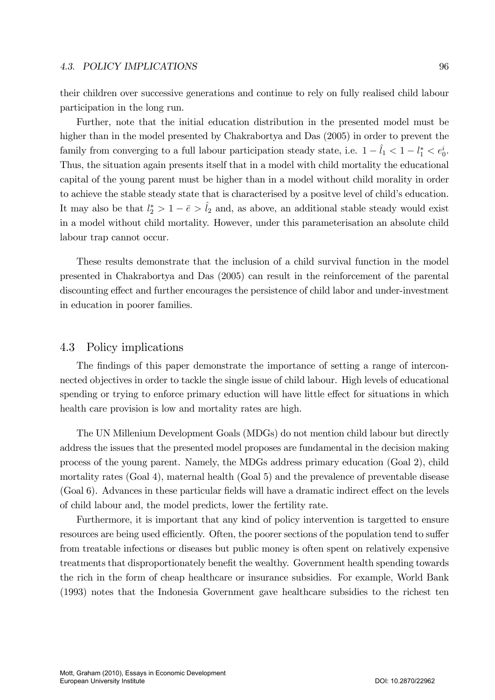their children over successive generations and continue to rely on fully realised child labour participation in the long run.

Further, note that the initial education distribution in the presented model must be higher than in the model presented by Chakrabortya and Das (2005) in order to prevent the family from converging to a full labour participation steady state, i.e.  $1 - \hat{l}_1 < 1 - l_1^* < e_0^i$ . Thus, the situation again presents itself that in a model with child mortality the educational capital of the young parent must be higher than in a model without child morality in order to achieve the stable steady state that is characterised by a positive level of child's education. It may also be that  $l_2^* > 1 - \bar{e} > \hat{l}_2$  and, as above, an additional stable steady would exist in a model without child mortality. However, under this parameterisation an absolute child labour trap cannot occur.

These results demonstrate that the inclusion of a child survival function in the model presented in Chakrabortya and Das (2005) can result in the reinforcement of the parental discounting effect and further encourages the persistence of child labor and under-investment in education in poorer families.

### 4.3 Policy implications

The findings of this paper demonstrate the importance of setting a range of interconnected objectives in order to tackle the single issue of child labour. High levels of educational spending or trying to enforce primary eduction will have little effect for situations in which health care provision is low and mortality rates are high.

The UN Millenium Development Goals (MDGs) do not mention child labour but directly address the issues that the presented model proposes are fundamental in the decision making process of the young parent. Namely, the MDGs address primary education (Goal 2), child mortality rates (Goal 4), maternal health (Goal 5) and the prevalence of preventable disease  $(Goal 6)$ . Advances in these particular fields will have a dramatic indirect effect on the levels of child labour and, the model predicts, lower the fertility rate.

Furthermore, it is important that any kind of policy intervention is targetted to ensure resources are being used efficiently. Often, the poorer sections of the population tend to suffer from treatable infections or diseases but public money is often spent on relatively expensive treatments that disproportionately benefit the wealthy. Government health spending towards the rich in the form of cheap healthcare or insurance subsidies. For example, World Bank (1993) notes that the Indonesia Government gave healthcare subsidies to the richest ten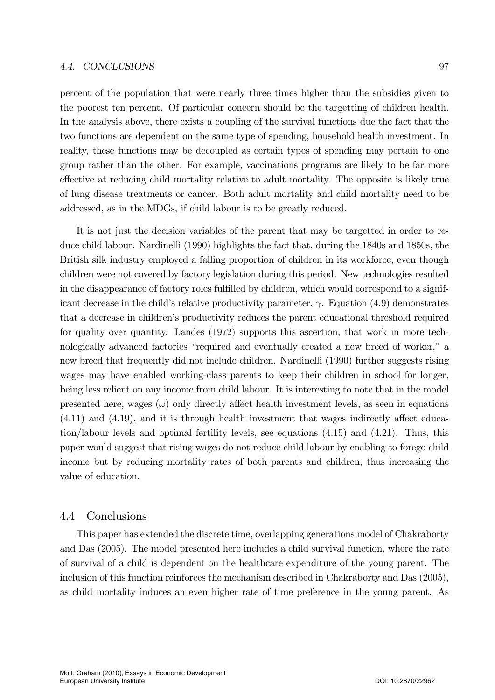#### 4.4. CONCLUSIONS 97

percent of the population that were nearly three times higher than the subsidies given to the poorest ten percent. Of particular concern should be the targetting of children health. In the analysis above, there exists a coupling of the survival functions due the fact that the two functions are dependent on the same type of spending, household health investment. In reality, these functions may be decoupled as certain types of spending may pertain to one group rather than the other. For example, vaccinations programs are likely to be far more effective at reducing child mortality relative to adult mortality. The opposite is likely true of lung disease treatments or cancer. Both adult mortality and child mortality need to be addressed, as in the MDGs, if child labour is to be greatly reduced.

It is not just the decision variables of the parent that may be targetted in order to reduce child labour. Nardinelli (1990) highlights the fact that, during the 1840s and 1850s, the British silk industry employed a falling proportion of children in its workforce, even though children were not covered by factory legislation during this period. New technologies resulted in the disappearance of factory roles fulfilled by children, which would correspond to a significant decrease in the child's relative productivity parameter,  $\gamma$ . Equation (4.9) demonstrates that a decrease in children's productivity reduces the parent educational threshold required for quality over quantity. Landes (1972) supports this ascertion, that work in more technologically advanced factories "required and eventually created a new breed of worker," a new breed that frequently did not include children. Nardinelli (1990) further suggests rising wages may have enabled working-class parents to keep their children in school for longer, being less relient on any income from child labour. It is interesting to note that in the model presented here, wages  $(\omega)$  only directly affect health investment levels, as seen in equations  $(4.11)$  and  $(4.19)$ , and it is through health investment that wages indirectly affect education/labour levels and optimal fertility levels, see equations (4.15) and (4.21). Thus, this paper would suggest that rising wages do not reduce child labour by enabling to forego child income but by reducing mortality rates of both parents and children, thus increasing the value of education.

## 4.4 Conclusions

This paper has extended the discrete time, overlapping generations model of Chakraborty and Das (2005). The model presented here includes a child survival function, where the rate of survival of a child is dependent on the healthcare expenditure of the young parent. The inclusion of this function reinforces the mechanism described in Chakraborty and Das (2005), as child mortality induces an even higher rate of time preference in the young parent. As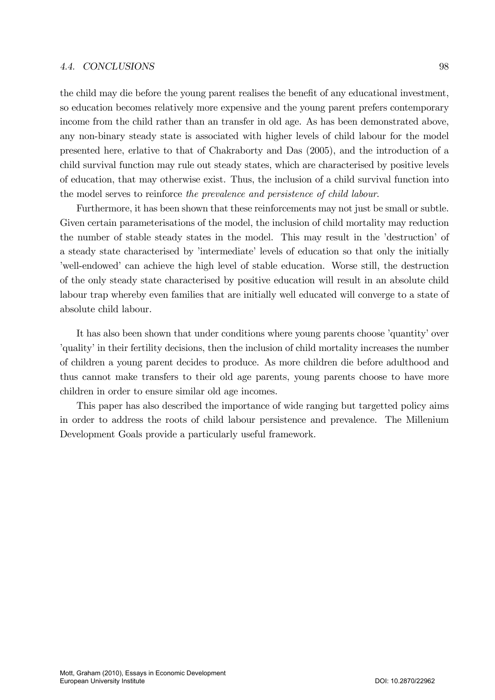## 4.4. CONCLUSIONS 98

the child may die before the young parent realises the benefit of any educational investment, so education becomes relatively more expensive and the young parent prefers contemporary income from the child rather than an transfer in old age. As has been demonstrated above, any non-binary steady state is associated with higher levels of child labour for the model presented here, erlative to that of Chakraborty and Das (2005), and the introduction of a child survival function may rule out steady states, which are characterised by positive levels of education, that may otherwise exist. Thus, the inclusion of a child survival function into the model serves to reinforce the prevalence and persistence of child labour.

Furthermore, it has been shown that these reinforcements may not just be small or subtle. Given certain parameterisations of the model, the inclusion of child mortality may reduction the number of stable steady states in the model. This may result in the 'destruction' of a steady state characterised by 'intermediate' levels of education so that only the initially íwell-endowedí can achieve the high level of stable education. Worse still, the destruction of the only steady state characterised by positive education will result in an absolute child labour trap whereby even families that are initially well educated will converge to a state of absolute child labour.

It has also been shown that under conditions where young parents choose 'quantity' over *i*quality in their fertility decisions, then the inclusion of child mortality increases the number of children a young parent decides to produce. As more children die before adulthood and thus cannot make transfers to their old age parents, young parents choose to have more children in order to ensure similar old age incomes.

This paper has also described the importance of wide ranging but targetted policy aims in order to address the roots of child labour persistence and prevalence. The Millenium Development Goals provide a particularly useful framework.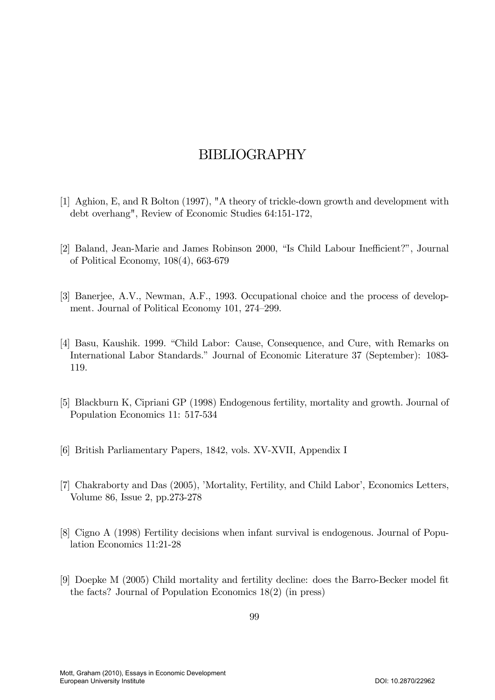## **BIBLIOGRAPHY**

- [1] Aghion, E, and R Bolton (1997), "A theory of trickle-down growth and development with debt overhang", Review of Economic Studies 64:151-172,
- [2] Baland, Jean-Marie and James Robinson 2000, "Is Child Labour Inefficient?", Journal of Political Economy,  $108(4)$ , 663-679
- [3] Banerjee, A.V., Newman, A.F., 1993. Occupational choice and the process of development. Journal of Political Economy 101, 274–299.
- [4] Basu, Kaushik. 1999. "Child Labor: Cause, Consequence, and Cure, with Remarks on International Labor Standards." Journal of Economic Literature 37 (September): 1083-119.
- [5] Blackburn K, Cipriani GP (1998) Endogenous fertility, mortality and growth. Journal of Population Economics 11: 517-534
- [6] British Parliamentary Papers, 1842, vols. XV-XVII, Appendix I
- [7] Chakraborty and Das (2005), 'Mortality, Fertility, and Child Labor', Economics Letters, Volume 86, Issue 2, pp.273-278
- [8] Cigno A (1998) Fertility decisions when infant survival is endogenous. Journal of Population Economics 11:21-28
- [9] Doepke M (2005) Child mortality and fertility decline: does the Barro-Becker model fit the facts? Journal of Population Economics  $18(2)$  (in press)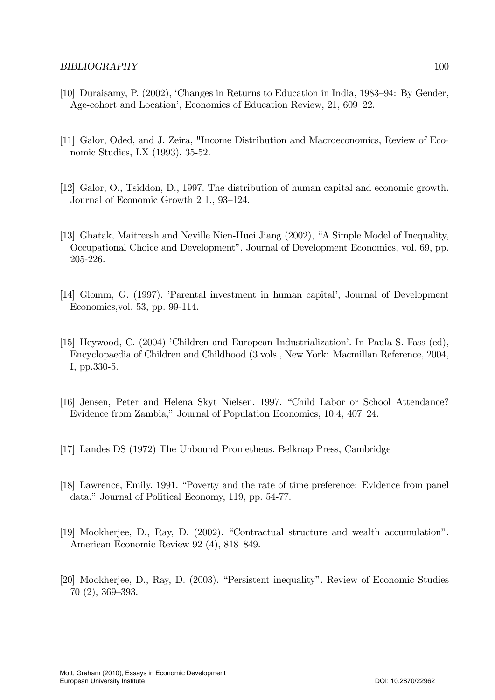- [10] Duraisamy, P. (2002), 'Changes in Returns to Education in India, 1983–94: By Gender, Age-cohort and Location', Economics of Education Review, 21, 609-22.
- [11] Galor, Oded, and J. Zeira, "Income Distribution and Macroeconomics, Review of Economic Studies, LX (1993), 35-52.
- [12] Galor, O., Tsiddon, D., 1997. The distribution of human capital and economic growth. Journal of Economic Growth 2 1., 93–124.
- [13] Ghatak, Maitreesh and Neville Nien-Huei Jiang (2002), "A Simple Model of Inequality, Occupational Choice and Development", Journal of Development Economics, vol. 69, pp. 205-226.
- [14] Glomm, G. (1997). 'Parental investment in human capital', Journal of Development Economics, vol. 53, pp. 99-114.
- [15] Heywood, C. (2004) 'Children and European Industrialization'. In Paula S. Fass (ed), Encyclopaedia of Children and Childhood (3 vols., New York: Macmillan Reference, 2004, I, pp.  $330-5$ .
- [16] Jensen, Peter and Helena Skyt Nielsen. 1997. "Child Labor or School Attendance? Evidence from Zambia," Journal of Population Economics, 10:4, 407-24.
- [17] Landes DS (1972) The Unbound Prometheus. Belknap Press, Cambridge
- [18] Lawrence, Emily. 1991. "Poverty and the rate of time preference: Evidence from panel data." Journal of Political Economy, 119, pp. 54-77.
- [19] Mookherjee, D., Ray, D. (2002). "Contractual structure and wealth accumulation". American Economic Review 92 (4), 818-849.
- [20] Mookherjee, D., Ray, D. (2003). "Persistent inequality". Review of Economic Studies  $70(2), 369 - 393.$